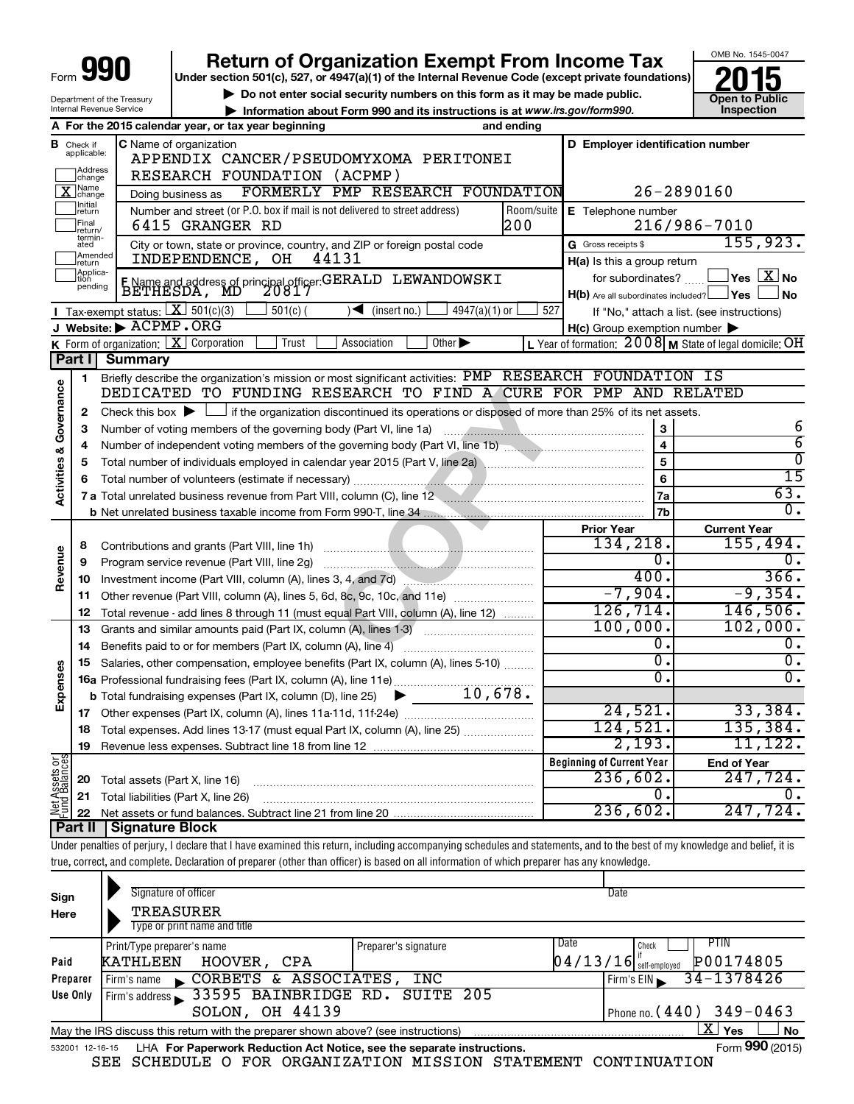|                                                                   |                                                                                                    |                                                                                                                                                               |                                                                                                                                                                            |                                                                                                                  | OMB No. 1545-0047   |  |  |  |  |
|-------------------------------------------------------------------|----------------------------------------------------------------------------------------------------|---------------------------------------------------------------------------------------------------------------------------------------------------------------|----------------------------------------------------------------------------------------------------------------------------------------------------------------------------|------------------------------------------------------------------------------------------------------------------|---------------------|--|--|--|--|
|                                                                   |                                                                                                    |                                                                                                                                                               | <b>Return of Organization Exempt From Income Tax</b><br>Under section 501(c), 527, or 4947(a)(1) of the Internal Revenue Code (except private foundations)                 |                                                                                                                  |                     |  |  |  |  |
|                                                                   |                                                                                                    |                                                                                                                                                               | Do not enter social security numbers on this form as it may be made public.                                                                                                |                                                                                                                  | Open to Public      |  |  |  |  |
|                                                                   |                                                                                                    | Department of the Treasury<br>Internal Revenue Service                                                                                                        | Information about Form 990 and its instructions is at www.irs.gov/form990.                                                                                                 |                                                                                                                  | Inspection          |  |  |  |  |
| A For the 2015 calendar year, or tax year beginning<br>and ending |                                                                                                    |                                                                                                                                                               |                                                                                                                                                                            |                                                                                                                  |                     |  |  |  |  |
|                                                                   | D Employer identification number<br><b>C</b> Name of organization<br><b>B</b> Check if applicable: |                                                                                                                                                               |                                                                                                                                                                            |                                                                                                                  |                     |  |  |  |  |
|                                                                   |                                                                                                    |                                                                                                                                                               | APPENDIX CANCER/PSEUDOMYXOMA PERITONEI                                                                                                                                     |                                                                                                                  |                     |  |  |  |  |
|                                                                   | Address<br> change                                                                                 |                                                                                                                                                               | RESEARCH FOUNDATION (ACPMP)                                                                                                                                                |                                                                                                                  |                     |  |  |  |  |
|                                                                   | ∏Name<br>]change                                                                                   |                                                                                                                                                               | FORMERLY PMP RESEARCH FOUNDATION<br>Doing business as                                                                                                                      | 26-2890160                                                                                                       |                     |  |  |  |  |
|                                                                   | Initial<br>return                                                                                  |                                                                                                                                                               | Number and street (or P.O. box if mail is not delivered to street address)<br>Room/suite                                                                                   | E Telephone number                                                                                               |                     |  |  |  |  |
|                                                                   | Final<br>return/<br>termin-                                                                        |                                                                                                                                                               | 200<br>6415 GRANGER RD                                                                                                                                                     |                                                                                                                  | 216/986-7010        |  |  |  |  |
|                                                                   | ated<br>Amended                                                                                    |                                                                                                                                                               | City or town, state or province, country, and ZIP or foreign postal code                                                                                                   | G Gross receipts \$                                                                                              | 155, 923.           |  |  |  |  |
|                                                                   | Ireturn                                                                                            |                                                                                                                                                               | INDEPENDENCE, OH<br>44131                                                                                                                                                  | H(a) Is this a group return                                                                                      |                     |  |  |  |  |
|                                                                   | Applica-<br>tion<br>pending                                                                        |                                                                                                                                                               | F Name and address of principal officer: GERALD LEWANDOWSKI<br>BETHESDA, MD 20817                                                                                          | for subordinates?                                                                                                | $\Box$ Yes $[X]$ No |  |  |  |  |
|                                                                   |                                                                                                    |                                                                                                                                                               |                                                                                                                                                                            | $H(b)$ Are all subordinates included? $\Box$ Yes                                                                 | <b>No</b>           |  |  |  |  |
|                                                                   |                                                                                                    | Tax-exempt status: $X \mid 301(c)(3)$<br>J Website: ACPMP.ORG                                                                                                 | $501(c)$ (<br>$4947(a)(1)$ or<br>◀<br>(insert no.)                                                                                                                         | 527<br>If "No," attach a list. (see instructions)                                                                |                     |  |  |  |  |
|                                                                   |                                                                                                    |                                                                                                                                                               | K Form of organization: $X$ Corporation<br>Trust<br>Association<br>Other $\blacktriangleright$                                                                             | $H(c)$ Group exemption number $\blacktriangleright$<br>L Year of formation: $2008$ M State of legal domicile: OH |                     |  |  |  |  |
|                                                                   | Part I                                                                                             | <b>Summary</b>                                                                                                                                                |                                                                                                                                                                            |                                                                                                                  |                     |  |  |  |  |
|                                                                   | 1                                                                                                  |                                                                                                                                                               | Briefly describe the organization's mission or most significant activities: PMP RESEARCH FOUNDATION IS                                                                     |                                                                                                                  |                     |  |  |  |  |
| Governance                                                        |                                                                                                    |                                                                                                                                                               | DEDICATED TO FUNDING RESEARCH TO FIND A CURE FOR PMP AND RELATED                                                                                                           |                                                                                                                  |                     |  |  |  |  |
|                                                                   | 2                                                                                                  | Check this box $\blacktriangleright$ $\Box$                                                                                                                   | if the organization discontinued its operations or disposed of more than 25% of its net assets.                                                                            |                                                                                                                  |                     |  |  |  |  |
|                                                                   | 3                                                                                                  |                                                                                                                                                               | Number of voting members of the governing body (Part VI, line 1a)                                                                                                          | 3                                                                                                                | 6                   |  |  |  |  |
|                                                                   | 4                                                                                                  |                                                                                                                                                               |                                                                                                                                                                            | $\overline{\mathbf{4}}$                                                                                          | 6                   |  |  |  |  |
|                                                                   | 5                                                                                                  | 5<br>Total number of individuals employed in calendar year 2015 (Part V, line 2a) manufacture of individuals employed in calendar year 2015 (Part V, line 2a) |                                                                                                                                                                            |                                                                                                                  |                     |  |  |  |  |
| <b>Activities &amp;</b>                                           | 6                                                                                                  |                                                                                                                                                               | Total number of volunteers (estimate if necessary)                                                                                                                         | 6                                                                                                                | $\overline{15}$     |  |  |  |  |
|                                                                   |                                                                                                    |                                                                                                                                                               | 7 a Total unrelated business revenue from Part VIII, column (C), line 12 <b>Column COVID 12</b>                                                                            | 7a                                                                                                               | 63.                 |  |  |  |  |
|                                                                   |                                                                                                    |                                                                                                                                                               |                                                                                                                                                                            | 7b                                                                                                               | σ.                  |  |  |  |  |
|                                                                   |                                                                                                    |                                                                                                                                                               |                                                                                                                                                                            | <b>Prior Year</b>                                                                                                | <b>Current Year</b> |  |  |  |  |
|                                                                   | 8                                                                                                  |                                                                                                                                                               | Contributions and grants (Part VIII, line 1h)                                                                                                                              | 134,218.                                                                                                         | 155,494.            |  |  |  |  |
| Revenue                                                           | 9                                                                                                  |                                                                                                                                                               | Program service revenue (Part VIII, line 2g)                                                                                                                               | Ο.                                                                                                               | О.                  |  |  |  |  |
|                                                                   | 10                                                                                                 |                                                                                                                                                               | Investment income (Part VIII, column (A), lines 3, 4, and 7d)                                                                                                              | 400.                                                                                                             | 366.                |  |  |  |  |
|                                                                   | 11                                                                                                 |                                                                                                                                                               | Other revenue (Part VIII, column (A), lines 5, 6d, 8c, 9c, 10c, and 11e)                                                                                                   | $-7,904.$                                                                                                        | $-9,354.$           |  |  |  |  |
|                                                                   | 12                                                                                                 |                                                                                                                                                               | Total revenue - add lines 8 through 11 (must equal Part VIII, column (A), line 12)                                                                                         | 126, 714.                                                                                                        | 146,506.            |  |  |  |  |
|                                                                   | 13                                                                                                 |                                                                                                                                                               | Grants and similar amounts paid (Part IX, column (A), lines 1-3)                                                                                                           | 100,000.                                                                                                         | 102,000.            |  |  |  |  |
|                                                                   | 14                                                                                                 |                                                                                                                                                               | Benefits paid to or for members (Part IX, column (A), line 4)                                                                                                              | О.<br>σ.                                                                                                         | О.<br>σ.            |  |  |  |  |
| ŵ.                                                                | 15                                                                                                 |                                                                                                                                                               | Salaries, other compensation, employee benefits (Part IX, column (A), lines 5-10)                                                                                          | Ο.                                                                                                               | $0$ .               |  |  |  |  |
| Expense                                                           |                                                                                                    |                                                                                                                                                               | 16a Professional fundraising fees (Part IX, column (A), line 11e)<br>10,678.<br><b>b</b> Total fundraising expenses (Part IX, column (D), line 25)                         |                                                                                                                  |                     |  |  |  |  |
|                                                                   |                                                                                                    |                                                                                                                                                               |                                                                                                                                                                            | 24,521.                                                                                                          | 33,384.             |  |  |  |  |
|                                                                   | 17<br>18                                                                                           |                                                                                                                                                               | Total expenses. Add lines 13-17 (must equal Part IX, column (A), line 25)                                                                                                  | 124,521.                                                                                                         | 135, 384.           |  |  |  |  |
|                                                                   | 19                                                                                                 |                                                                                                                                                               |                                                                                                                                                                            | 2,193.                                                                                                           | 11,122.             |  |  |  |  |
|                                                                   |                                                                                                    |                                                                                                                                                               |                                                                                                                                                                            | <b>Beginning of Current Year</b>                                                                                 | <b>End of Year</b>  |  |  |  |  |
| Net Assets or                                                     | 20                                                                                                 |                                                                                                                                                               | Total assets (Part X, line 16)                                                                                                                                             | 236,602.                                                                                                         | 247,724.            |  |  |  |  |
|                                                                   | 21                                                                                                 |                                                                                                                                                               | Total liabilities (Part X, line 26)                                                                                                                                        | 0.                                                                                                               | 0.                  |  |  |  |  |
|                                                                   | 22                                                                                                 |                                                                                                                                                               |                                                                                                                                                                            | 236,602.                                                                                                         | 247,724.            |  |  |  |  |
|                                                                   | Part II                                                                                            | <b>Signature Block</b>                                                                                                                                        |                                                                                                                                                                            |                                                                                                                  |                     |  |  |  |  |
|                                                                   |                                                                                                    |                                                                                                                                                               | Under penalties of perjury, I declare that I have examined this return, including accompanying schedules and statements, and to the best of my knowledge and belief, it is |                                                                                                                  |                     |  |  |  |  |
|                                                                   |                                                                                                    |                                                                                                                                                               | true, correct, and complete. Declaration of preparer (other than officer) is based on all information of which preparer has any knowledge.                                 |                                                                                                                  |                     |  |  |  |  |
|                                                                   |                                                                                                    |                                                                                                                                                               |                                                                                                                                                                            |                                                                                                                  |                     |  |  |  |  |
| Sign                                                              |                                                                                                    |                                                                                                                                                               | Signature of officer                                                                                                                                                       | Date                                                                                                             |                     |  |  |  |  |
| Here                                                              |                                                                                                    |                                                                                                                                                               | TREASURER                                                                                                                                                                  |                                                                                                                  |                     |  |  |  |  |
|                                                                   |                                                                                                    |                                                                                                                                                               | Type or print name and title                                                                                                                                               | Date                                                                                                             |                     |  |  |  |  |
| Paid                                                              |                                                                                                    | Print/Type preparer's name<br>KATHI.RRN                                                                                                                       | Preparer's signature<br>HOOVER<br>$\cap$ $\mathsf{PA}$                                                                                                                     | Check<br>$\sqrt{13/16}$                                                                                          | PTIN<br>P00174805   |  |  |  |  |

| Paid                                                                                                                          | KATHLEEN HOOVER, CPA                                                                   |  | $04/13/16$ self-employed P00174805 |                              |  |  |  |
|-------------------------------------------------------------------------------------------------------------------------------|----------------------------------------------------------------------------------------|--|------------------------------------|------------------------------|--|--|--|
| Preparer                                                                                                                      | $\sim$ CORBETS & ASSOCIATES, INC<br>Firm's name                                        |  |                                    | $Firm's EIN \ 34 - 1378426$  |  |  |  |
|                                                                                                                               | Use Only Firm's address 33595 BAINBRIDGE RD. SUITE 205                                 |  |                                    |                              |  |  |  |
|                                                                                                                               | SOLON, OH 44139                                                                        |  |                                    | I Phone no. $(440)$ 349-0463 |  |  |  |
| . Χ ∣ γ <sub>es</sub><br><sup>≀</sup> No<br>May the IRS discuss this return with the preparer shown above? (see instructions) |                                                                                        |  |                                    |                              |  |  |  |
|                                                                                                                               | 532001 12-16-15 LHA For Paperwork Reduction Act Notice, see the separate instructions. |  |                                    | Form 990 (2015)              |  |  |  |

SEE SCHEDULE O FOR ORGANIZATION MISSION STATEMENT CONTINUATION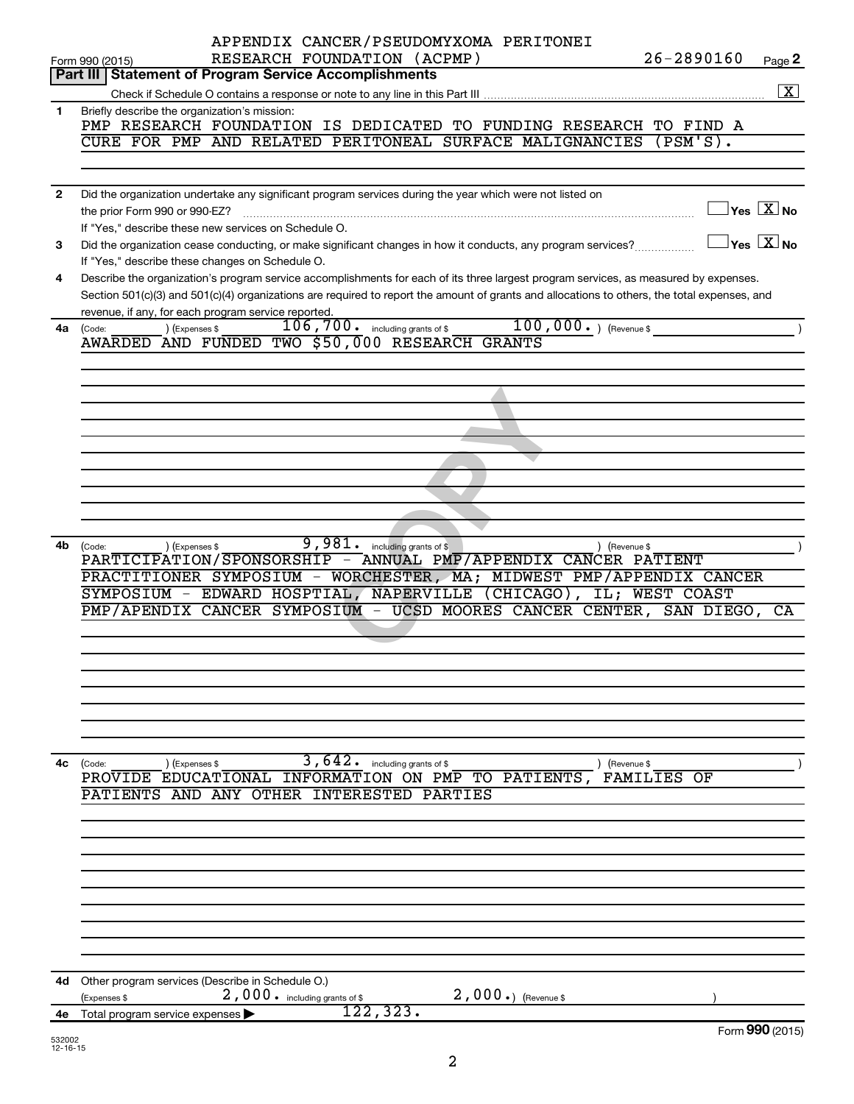|              | APPENDIX CANCER/PSEUDOMYXOMA PERITONEI                                                                                                                  |
|--------------|---------------------------------------------------------------------------------------------------------------------------------------------------------|
|              | RESEARCH FOUNDATION (ACPMP)<br>26-2890160<br>Page 2<br>Form 990 (2015)                                                                                  |
|              | Part III   Statement of Program Service Accomplishments                                                                                                 |
|              | $\boxed{\text{X}}$                                                                                                                                      |
| 1            | Briefly describe the organization's mission:                                                                                                            |
|              | PMP RESEARCH FOUNDATION IS DEDICATED TO FUNDING RESEARCH TO FIND A<br>CURE FOR PMP AND RELATED PERITONEAL SURFACE MALIGNANCIES<br>$(PSM'S)$ .           |
|              |                                                                                                                                                         |
|              |                                                                                                                                                         |
| $\mathbf{2}$ | Did the organization undertake any significant program services during the year which were not listed on                                                |
|              | $\exists$ Yes $\boxed{\text{X}}$ No                                                                                                                     |
|              | If "Yes," describe these new services on Schedule O.                                                                                                    |
| 3            | $\Box$ Yes $[\overline{\mathrm{X}}]$ No<br>Did the organization cease conducting, or make significant changes in how it conducts, any program services? |
|              | If "Yes," describe these changes on Schedule O.                                                                                                         |
| 4            | Describe the organization's program service accomplishments for each of its three largest program services, as measured by expenses.                    |
|              | Section 501(c)(3) and 501(c)(4) organizations are required to report the amount of grants and allocations to others, the total expenses, and            |
|              | revenue, if any, for each program service reported.                                                                                                     |
| 4a           | $100,000.$ (Revenue \$<br>$106, 700$ $\cdot$ including grants of \$<br>) (Expenses \$<br>(Code:                                                         |
|              | AWARDED AND FUNDED TWO \$50,000 RESEARCH GRANTS                                                                                                         |
|              |                                                                                                                                                         |
|              |                                                                                                                                                         |
|              |                                                                                                                                                         |
|              |                                                                                                                                                         |
|              |                                                                                                                                                         |
|              |                                                                                                                                                         |
|              |                                                                                                                                                         |
|              |                                                                                                                                                         |
|              |                                                                                                                                                         |
|              |                                                                                                                                                         |
|              |                                                                                                                                                         |
| 4b           | $\overline{9}$ , $981$ $\cdot$ including grants of \$<br>) (Expenses \$<br>) (Revenue \$<br>(Code:                                                      |
|              | PARTICIPATION/SPONSORSHIP - ANNUAL PMP/APPENDIX CANCER PATIENT                                                                                          |
|              | PRACTITIONER SYMPOSIUM - WORCHESTER, MA; MIDWEST PMP/APPENDIX CANCER                                                                                    |
|              | SYMPOSIUM - EDWARD HOSPTIAL, NAPERVILLE (CHICAGO), IL; WEST COAST                                                                                       |
|              | PMP/APENDIX CANCER SYMPOSIUM - UCSD MOORES CANCER CENTER, SAN DIEGO,<br>CA                                                                              |
|              |                                                                                                                                                         |
|              |                                                                                                                                                         |
|              |                                                                                                                                                         |
|              |                                                                                                                                                         |
|              |                                                                                                                                                         |
|              |                                                                                                                                                         |
|              |                                                                                                                                                         |
|              |                                                                                                                                                         |
| 4c           | 3,642.<br>including grants of \$<br>(Expenses \$<br>(Code:<br>) (Revenue \$<br>INFORMATION ON PMP TO PATIENTS,<br>PROVIDE EDUCATIONAL<br>FAMILIES<br>OF |
|              | PATIENTS AND ANY<br>OTHER INTERESTED<br>PARTIES                                                                                                         |
|              |                                                                                                                                                         |
|              |                                                                                                                                                         |
|              |                                                                                                                                                         |
|              |                                                                                                                                                         |
|              |                                                                                                                                                         |
|              |                                                                                                                                                         |
|              |                                                                                                                                                         |
|              |                                                                                                                                                         |
|              |                                                                                                                                                         |
|              |                                                                                                                                                         |
|              |                                                                                                                                                         |
| 4d           | Other program services (Describe in Schedule O.)<br>2,000.) (Revenue \$<br>2,000. including grants of \$                                                |
| 4е           | (Expenses \$<br>122,323.<br>Total program service expenses                                                                                              |
|              | Form 990 (2015)                                                                                                                                         |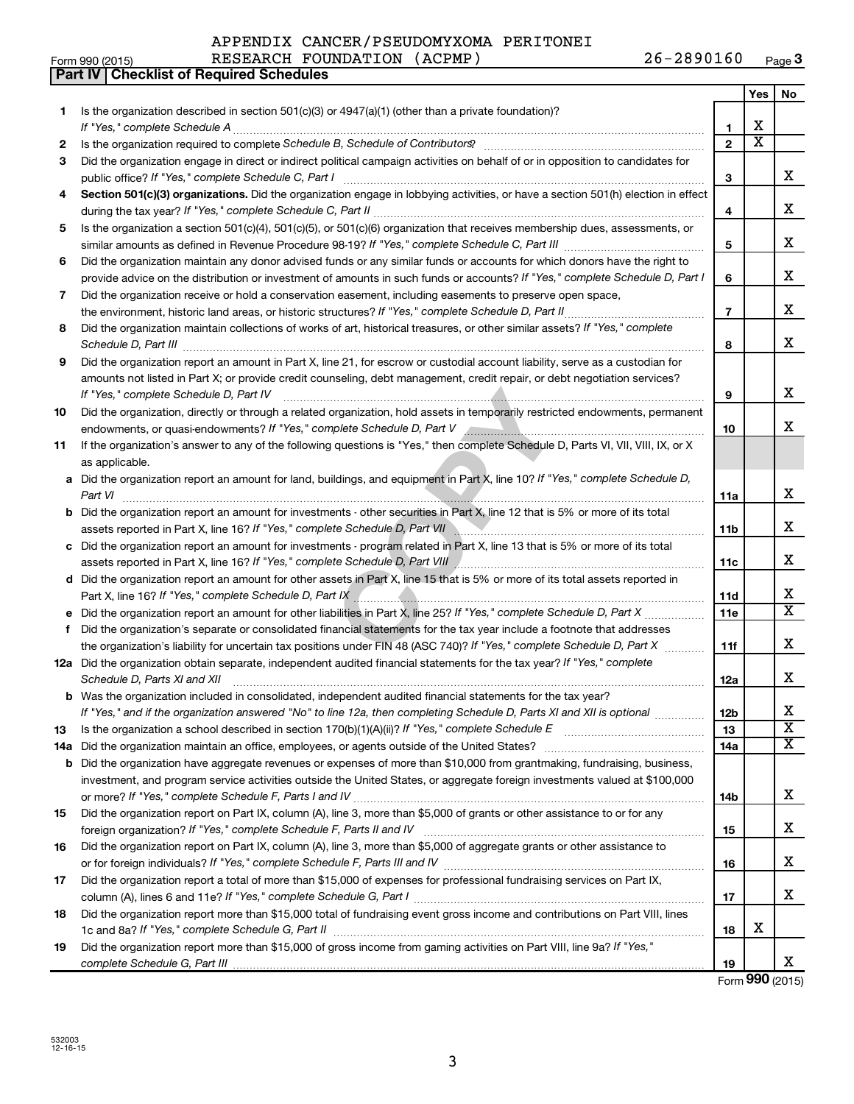| APPENDIX CANCER/PSEUDOMYXOMA PERITONEI |  |            |
|----------------------------------------|--|------------|
| RESEARCH FOUNDATION (ACPMP)            |  | 26-2890160 |

|    | Part IV   Checklist of Required Schedules                                                                                                                                                                                           |                |                       |                         |
|----|-------------------------------------------------------------------------------------------------------------------------------------------------------------------------------------------------------------------------------------|----------------|-----------------------|-------------------------|
|    |                                                                                                                                                                                                                                     |                | Yes                   | No                      |
| 1  | Is the organization described in section 501(c)(3) or $4947(a)(1)$ (other than a private foundation)?                                                                                                                               |                |                       |                         |
|    |                                                                                                                                                                                                                                     | 1              | х                     |                         |
| 2  | Is the organization required to complete Schedule B, Schedule of Contributors? [11] [12] the organization required to complete Schedule B, Schedule of Contributors? [11] [12] [12] the organization required to complete Sche      | $\mathbf{2}$   | $\overline{\text{x}}$ |                         |
| 3  | Did the organization engage in direct or indirect political campaign activities on behalf of or in opposition to candidates for                                                                                                     |                |                       |                         |
|    |                                                                                                                                                                                                                                     | 3              |                       | X                       |
| 4  | Section 501(c)(3) organizations. Did the organization engage in lobbying activities, or have a section 501(h) election in effect                                                                                                    |                |                       |                         |
|    |                                                                                                                                                                                                                                     | 4              |                       | X                       |
|    | Is the organization a section 501(c)(4), 501(c)(5), or 501(c)(6) organization that receives membership dues, assessments, or                                                                                                        |                |                       |                         |
| 5  |                                                                                                                                                                                                                                     | 5              |                       | X                       |
|    |                                                                                                                                                                                                                                     |                |                       |                         |
| 6  | Did the organization maintain any donor advised funds or any similar funds or accounts for which donors have the right to                                                                                                           |                |                       | X                       |
|    | provide advice on the distribution or investment of amounts in such funds or accounts? If "Yes," complete Schedule D, Part I                                                                                                        | 6              |                       |                         |
| 7  | Did the organization receive or hold a conservation easement, including easements to preserve open space,                                                                                                                           |                |                       |                         |
|    |                                                                                                                                                                                                                                     | $\overline{7}$ |                       | X                       |
| 8  | Did the organization maintain collections of works of art, historical treasures, or other similar assets? If "Yes," complete                                                                                                        |                |                       |                         |
|    | Schedule D, Part III <b>Marting Community</b> Construction of the Construction of the Construction of the Construction of the Construction of the Construction of the Construction of the Construction of the Construction of the C | 8              |                       | х                       |
| 9  | Did the organization report an amount in Part X, line 21, for escrow or custodial account liability, serve as a custodian for                                                                                                       |                |                       |                         |
|    | amounts not listed in Part X; or provide credit counseling, debt management, credit repair, or debt negotiation services?                                                                                                           |                |                       |                         |
|    | If "Yes," complete Schedule D, Part IV                                                                                                                                                                                              | 9              |                       | X                       |
| 10 | Did the organization, directly or through a related organization, hold assets in temporarily restricted endowments, permanent                                                                                                       |                |                       |                         |
|    | endowments, or quasi-endowments? If "Yes," complete Schedule D, Part V Annumer Communication contracts and the                                                                                                                      | 10             |                       | x                       |
| 11 | If the organization's answer to any of the following questions is "Yes," then complete Schedule D, Parts VI, VII, VIII, IX, or X                                                                                                    |                |                       |                         |
|    | as applicable.                                                                                                                                                                                                                      |                |                       |                         |
|    | a Did the organization report an amount for land, buildings, and equipment in Part X, line 10? If "Yes," complete Schedule D,                                                                                                       |                |                       |                         |
|    | Part VI                                                                                                                                                                                                                             | 11a            |                       | X                       |
|    | <b>b</b> Did the organization report an amount for investments - other securities in Part X, line 12 that is 5% or more of its total                                                                                                |                |                       |                         |
|    | assets reported in Part X, line 16? If "Yes," complete Schedule D, Part VII                                                                                                                                                         | 11b            |                       | X                       |
|    | c Did the organization report an amount for investments - program related in Part X, line 13 that is 5% or more of its total                                                                                                        |                |                       |                         |
|    | assets reported in Part X, line 16? If "Yes," complete Schedule D, Part VIII [[[[[[[[[[[[[[[[[[[[[[[[[[[[[]]]]                                                                                                                      | 11c            |                       | X                       |
|    | d Did the organization report an amount for other assets in Part X, line 15 that is 5% or more of its total assets reported in                                                                                                      |                |                       |                         |
|    |                                                                                                                                                                                                                                     | 11d            |                       | X                       |
|    | <b>e</b> Did the organization report an amount for other liabilities in Part X, line 25? If "Yes," complete Schedule D, Part X $\ldots$                                                                                             | 11e            |                       | $\overline{\texttt{x}}$ |
| f. | Did the organization's separate or consolidated financial statements for the tax year include a footnote that addresses                                                                                                             |                |                       |                         |
|    | the organization's liability for uncertain tax positions under FIN 48 (ASC 740)? If "Yes," complete Schedule D, Part X                                                                                                              | 11f            |                       | X                       |
|    | 12a Did the organization obtain separate, independent audited financial statements for the tax year? If "Yes," complete                                                                                                             |                |                       |                         |
|    |                                                                                                                                                                                                                                     |                |                       | X                       |
|    | Schedule D, Parts XI and XII                                                                                                                                                                                                        | 12a            |                       |                         |
|    | b Was the organization included in consolidated, independent audited financial statements for the tax year?                                                                                                                         |                |                       | х                       |
|    | If "Yes," and if the organization answered "No" to line 12a, then completing Schedule D, Parts XI and XII is optional                                                                                                               | 12b            |                       | $\overline{\textbf{X}}$ |
| 13 |                                                                                                                                                                                                                                     | 13             |                       | $\overline{\textbf{X}}$ |
|    |                                                                                                                                                                                                                                     | 14a            |                       |                         |
|    | <b>b</b> Did the organization have aggregate revenues or expenses of more than \$10,000 from grantmaking, fundraising, business,                                                                                                    |                |                       |                         |
|    | investment, and program service activities outside the United States, or aggregate foreign investments valued at \$100,000                                                                                                          |                |                       |                         |
|    |                                                                                                                                                                                                                                     | 14b            |                       | х                       |
| 15 | Did the organization report on Part IX, column (A), line 3, more than \$5,000 of grants or other assistance to or for any                                                                                                           |                |                       |                         |
|    |                                                                                                                                                                                                                                     | 15             |                       | х                       |
| 16 | Did the organization report on Part IX, column (A), line 3, more than \$5,000 of aggregate grants or other assistance to                                                                                                            |                |                       |                         |
|    |                                                                                                                                                                                                                                     | 16             |                       | х                       |
| 17 | Did the organization report a total of more than \$15,000 of expenses for professional fundraising services on Part IX,                                                                                                             |                |                       |                         |
|    |                                                                                                                                                                                                                                     | 17             |                       | х                       |
| 18 | Did the organization report more than \$15,000 total of fundraising event gross income and contributions on Part VIII, lines                                                                                                        |                |                       |                         |
|    |                                                                                                                                                                                                                                     | 18             | х                     |                         |
| 19 | Did the organization report more than \$15,000 of gross income from gaming activities on Part VIII, line 9a? If "Yes,"                                                                                                              |                |                       |                         |

Form **990** (2015)

X

**19**

*complete Schedule G, Part III*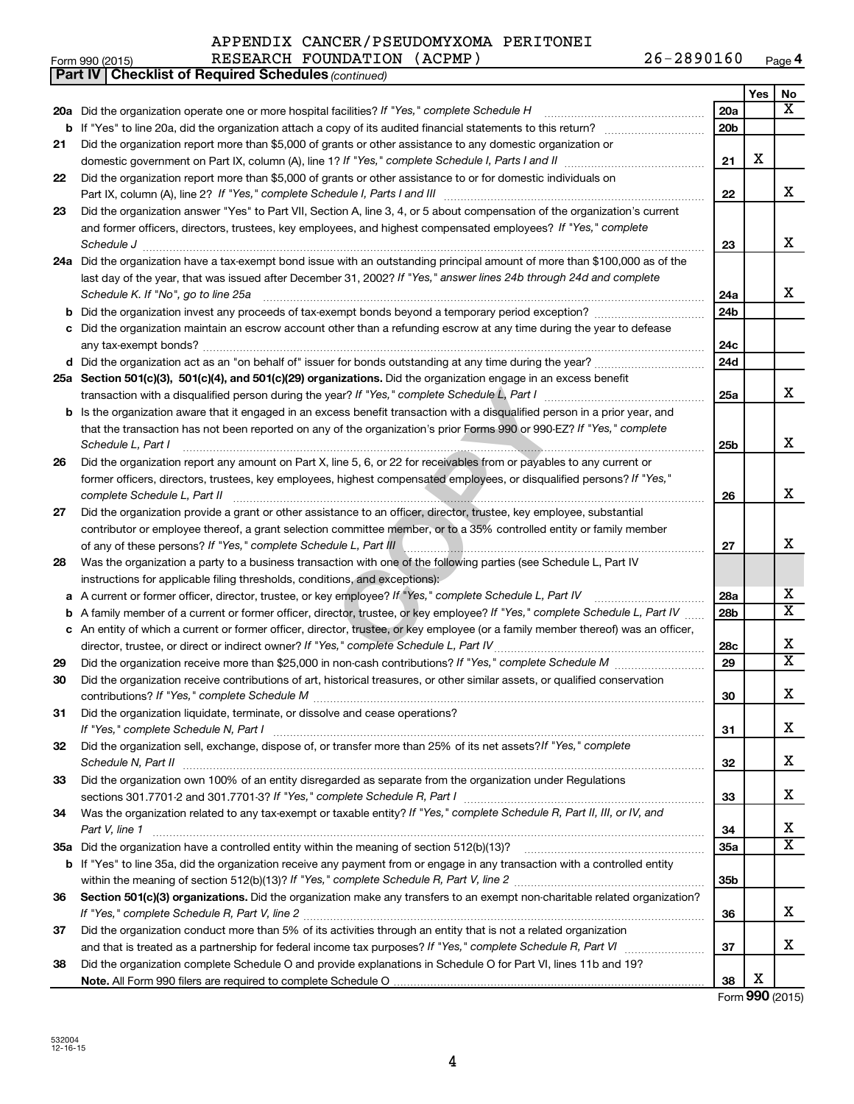#### APPENDIX CANCER/PSEUDOMYXOMA PERITONEI RESEARCH FOUNDATION (ACPMP) 26-2890160

 $\frac{1}{100}$  Form 990 (2015) RESEARCH FOUNDATION (ACPMP)  $\frac{26-2890160}{26}$  Page

|    | Part IV   Checklist of Required Schedules (continued)                                                                               |                 |     |                         |
|----|-------------------------------------------------------------------------------------------------------------------------------------|-----------------|-----|-------------------------|
|    |                                                                                                                                     |                 | Yes | No                      |
|    | 20a Did the organization operate one or more hospital facilities? If "Yes," complete Schedule H                                     | 20a             |     | x                       |
| b  |                                                                                                                                     | 20b             |     |                         |
| 21 | Did the organization report more than \$5,000 of grants or other assistance to any domestic organization or                         |                 |     |                         |
|    |                                                                                                                                     | 21              | X   |                         |
| 22 | Did the organization report more than \$5,000 of grants or other assistance to or for domestic individuals on                       |                 |     |                         |
|    |                                                                                                                                     | 22              |     | х                       |
| 23 | Did the organization answer "Yes" to Part VII, Section A, line 3, 4, or 5 about compensation of the organization's current          |                 |     |                         |
|    | and former officers, directors, trustees, key employees, and highest compensated employees? If "Yes," complete                      |                 |     |                         |
|    | Schedule J <b>Exercise Construction Construction Construction Construction Construction Construction</b>                            | 23              |     | X                       |
|    | 24a Did the organization have a tax-exempt bond issue with an outstanding principal amount of more than \$100,000 as of the         |                 |     |                         |
|    | last day of the year, that was issued after December 31, 2002? If "Yes," answer lines 24b through 24d and complete                  |                 |     |                         |
|    | Schedule K. If "No", go to line 25a                                                                                                 | 24a             |     | x                       |
| b  |                                                                                                                                     | 24 <sub>b</sub> |     |                         |
|    | c Did the organization maintain an escrow account other than a refunding escrow at any time during the year to defease              |                 |     |                         |
|    |                                                                                                                                     | 24c             |     |                         |
|    |                                                                                                                                     | 24d             |     |                         |
|    | 25a Section 501(c)(3), 501(c)(4), and 501(c)(29) organizations. Did the organization engage in an excess benefit                    |                 |     |                         |
|    |                                                                                                                                     | 25a             |     | x                       |
|    | <b>b</b> Is the organization aware that it engaged in an excess benefit transaction with a disqualified person in a prior year, and |                 |     |                         |
|    | that the transaction has not been reported on any of the organization's prior Forms 990 or 990-EZ? If "Yes," complete               |                 |     |                         |
|    | Schedule L, Part I                                                                                                                  | 25b             |     | х                       |
| 26 | Did the organization report any amount on Part X, line 5, 6, or 22 for receivables from or payables to any current or               |                 |     |                         |
|    | former officers, directors, trustees, key employees, highest compensated employees, or disqualified persons? If "Yes,"              |                 |     |                         |
|    | complete Schedule L, Part II                                                                                                        | 26              |     | х                       |
| 27 | Did the organization provide a grant or other assistance to an officer, director, trustee, key employee, substantial                |                 |     |                         |
|    | contributor or employee thereof, a grant selection committee member, or to a 35% controlled entity or family member                 |                 |     |                         |
|    | of any of these persons? If "Yes," complete Schedule L, Part III                                                                    | 27              |     | х                       |
| 28 | Was the organization a party to a business transaction with one of the following parties (see Schedule L, Part IV                   |                 |     |                         |
|    | instructions for applicable filing thresholds, conditions, and exceptions):                                                         |                 |     |                         |
| а  | A current or former officer, director, trustee, or key employee? If "Yes," complete Schedule L, Part IV                             | 28a             |     | х                       |
| b  | A family member of a current or former officer, director, trustee, or key employee? If "Yes," complete Schedule L, Part IV          | 28b             |     | $\overline{\textbf{X}}$ |
|    | c An entity of which a current or former officer, director, trustee, or key employee (or a family member thereof) was an officer,   |                 |     |                         |
|    | director, trustee, or direct or indirect owner? If "Yes," complete Schedule L, Part IV                                              | 28c             |     | х                       |
| 29 |                                                                                                                                     | 29              |     | X                       |
| 30 | Did the organization receive contributions of art, historical treasures, or other similar assets, or qualified conservation         |                 |     |                         |
|    |                                                                                                                                     | 30              |     | Χ                       |
| 31 | Did the organization liquidate, terminate, or dissolve and cease operations?                                                        |                 |     |                         |
|    |                                                                                                                                     | 31              |     | х                       |
| 32 | Did the organization sell, exchange, dispose of, or transfer more than 25% of its net assets? If "Yes," complete                    |                 |     |                         |
|    | Schedule N, Part II                                                                                                                 | 32              |     | х                       |
| 33 | Did the organization own 100% of an entity disregarded as separate from the organization under Regulations                          |                 |     |                         |
|    |                                                                                                                                     | 33              |     | х                       |
| 34 | Was the organization related to any tax-exempt or taxable entity? If "Yes," complete Schedule R, Part II, III, or IV, and           |                 |     |                         |
|    | Part V, line 1                                                                                                                      | 34              |     | х                       |
|    |                                                                                                                                     | 35a             |     | X                       |
| b  | If "Yes" to line 35a, did the organization receive any payment from or engage in any transaction with a controlled entity           |                 |     |                         |
|    |                                                                                                                                     | 35b             |     |                         |
| 36 | Section 501(c)(3) organizations. Did the organization make any transfers to an exempt non-charitable related organization?          |                 |     |                         |
|    |                                                                                                                                     | 36              |     | х                       |
| 37 | Did the organization conduct more than 5% of its activities through an entity that is not a related organization                    |                 |     |                         |
|    |                                                                                                                                     | 37              |     | x                       |
| 38 | Did the organization complete Schedule O and provide explanations in Schedule O for Part VI, lines 11b and 19?                      |                 |     |                         |
|    |                                                                                                                                     | 38              | х   |                         |

Form **990** (2015)

**4**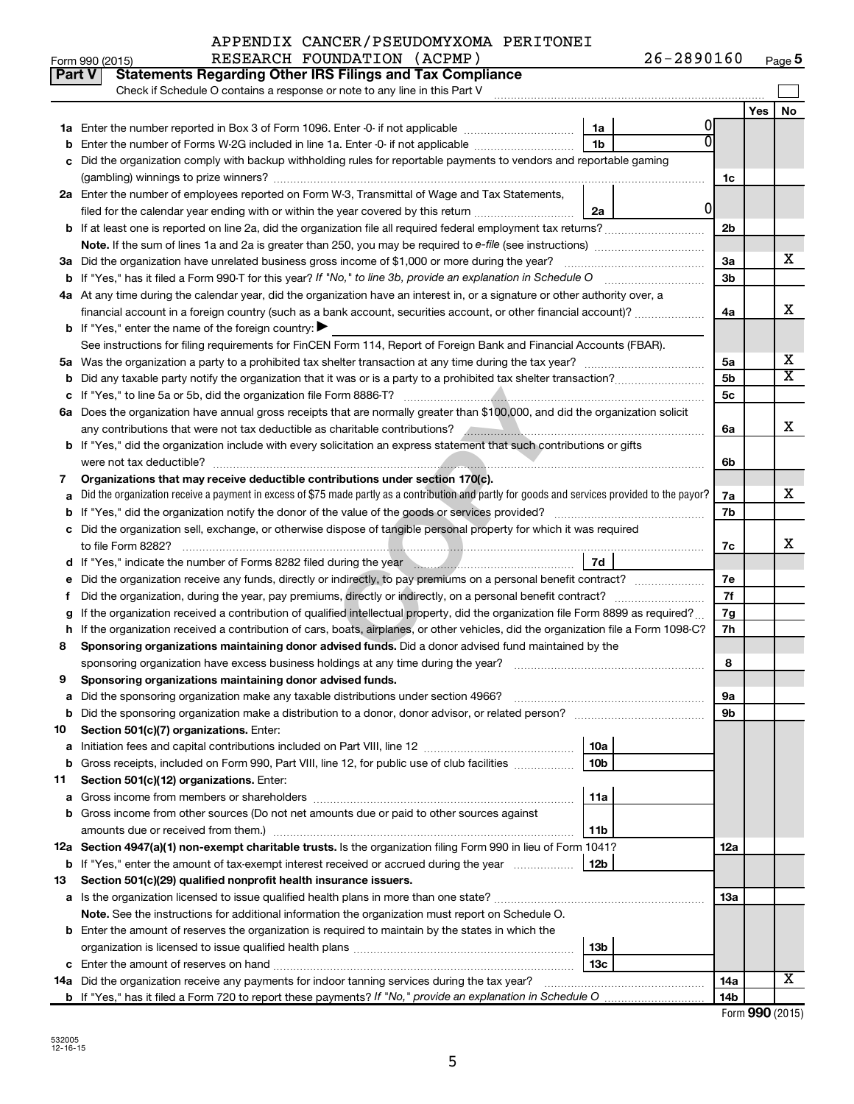|        | Part V<br><b>Statements Regarding Other IRS Filings and Tax Compliance</b>                                                                                                                                                                 |                 |    |                |     |                         |
|--------|--------------------------------------------------------------------------------------------------------------------------------------------------------------------------------------------------------------------------------------------|-----------------|----|----------------|-----|-------------------------|
|        | Check if Schedule O contains a response or note to any line in this Part V                                                                                                                                                                 |                 |    |                |     |                         |
|        |                                                                                                                                                                                                                                            |                 |    |                | Yes | <b>No</b>               |
|        |                                                                                                                                                                                                                                            | 1a              | O  |                |     |                         |
| b      | Enter the number of Forms W-2G included in line 1a. Enter -0- if not applicable                                                                                                                                                            | 1 <sub>b</sub>  | ΩI |                |     |                         |
|        | Did the organization comply with backup withholding rules for reportable payments to vendors and reportable gaming                                                                                                                         |                 |    |                |     |                         |
|        |                                                                                                                                                                                                                                            |                 |    | 1c             |     |                         |
|        | 2a Enter the number of employees reported on Form W-3, Transmittal of Wage and Tax Statements,                                                                                                                                             |                 | 01 |                |     |                         |
|        | filed for the calendar year ending with or within the year covered by this return                                                                                                                                                          | 2a              |    |                |     |                         |
|        |                                                                                                                                                                                                                                            |                 |    | 2 <sub>b</sub> |     |                         |
|        |                                                                                                                                                                                                                                            |                 |    | За             |     | x.                      |
|        | 3a Did the organization have unrelated business gross income of \$1,000 or more during the year?                                                                                                                                           |                 |    | 3 <sub>b</sub> |     |                         |
|        | 4a At any time during the calendar year, did the organization have an interest in, or a signature or other authority over, a                                                                                                               |                 |    |                |     |                         |
|        | financial account in a foreign country (such as a bank account, securities account, or other financial account)?                                                                                                                           |                 |    | 4a             |     | x                       |
|        | <b>b</b> If "Yes," enter the name of the foreign country: $\blacktriangleright$                                                                                                                                                            |                 |    |                |     |                         |
|        | See instructions for filing requirements for FinCEN Form 114, Report of Foreign Bank and Financial Accounts (FBAR).                                                                                                                        |                 |    |                |     |                         |
|        |                                                                                                                                                                                                                                            |                 |    | 5a             |     | x                       |
| b      |                                                                                                                                                                                                                                            |                 |    | 5 <sub>b</sub> |     | $\overline{\mathbf{X}}$ |
|        |                                                                                                                                                                                                                                            |                 |    | 5c             |     |                         |
|        | 6a Does the organization have annual gross receipts that are normally greater than \$100,000, and did the organization solicit                                                                                                             |                 |    |                |     |                         |
|        | any contributions that were not tax deductible as charitable contributions? And an annumeration of that were not                                                                                                                           |                 |    | 6a             |     | х                       |
|        | b If "Yes," did the organization include with every solicitation an express statement that such contributions or gifts                                                                                                                     |                 |    |                |     |                         |
|        |                                                                                                                                                                                                                                            |                 |    | 6b             |     |                         |
| 7      | Organizations that may receive deductible contributions under section 170(c).                                                                                                                                                              |                 |    |                |     |                         |
| a      | Did the organization receive a payment in excess of \$75 made partly as a contribution and partly for goods and services provided to the payor?                                                                                            |                 |    | 7a             |     | x.                      |
|        | 7b                                                                                                                                                                                                                                         |                 |    |                |     |                         |
|        | c Did the organization sell, exchange, or otherwise dispose of tangible personal property for which it was required                                                                                                                        |                 |    |                |     |                         |
|        |                                                                                                                                                                                                                                            |                 |    | 7c             |     | x                       |
|        | d If "Yes," indicate the number of Forms 8282 filed during the year manufactured in the metal of the number of                                                                                                                             | 7d              |    |                |     |                         |
| е      | Did the organization receive any funds, directly or indirectly, to pay premiums on a personal benefit contract?                                                                                                                            |                 |    | 7e             |     |                         |
| Ť.     |                                                                                                                                                                                                                                            |                 |    | 7f             |     |                         |
| g      | If the organization received a contribution of qualified intellectual property, did the organization file Form 8899 as required?                                                                                                           |                 |    | 7g<br>7h       |     |                         |
| h<br>8 | If the organization received a contribution of cars, boats, airplanes, or other vehicles, did the organization file a Form 1098-C?<br>Sponsoring organizations maintaining donor advised funds. Did a donor advised fund maintained by the |                 |    |                |     |                         |
|        |                                                                                                                                                                                                                                            |                 |    | 8              |     |                         |
| 9      | Sponsoring organizations maintaining donor advised funds.                                                                                                                                                                                  |                 |    |                |     |                         |
|        |                                                                                                                                                                                                                                            |                 |    | эа             |     |                         |
|        | <b>b</b> Did the sponsoring organization make a distribution to a donor, donor advisor, or related person?                                                                                                                                 |                 |    | 9b             |     |                         |
| 10     | Section 501(c)(7) organizations. Enter:                                                                                                                                                                                                    |                 |    |                |     |                         |
| а      |                                                                                                                                                                                                                                            | 10a             |    |                |     |                         |
| b      | Gross receipts, included on Form 990, Part VIII, line 12, for public use of club facilities                                                                                                                                                | 10 <sub>b</sub> |    |                |     |                         |
| 11     | Section 501(c)(12) organizations. Enter:                                                                                                                                                                                                   |                 |    |                |     |                         |
| а      |                                                                                                                                                                                                                                            | 11a             |    |                |     |                         |
|        | <b>b</b> Gross income from other sources (Do not net amounts due or paid to other sources against                                                                                                                                          |                 |    |                |     |                         |
|        | amounts due or received from them.)                                                                                                                                                                                                        | 11b             |    |                |     |                         |
|        | 12a Section 4947(a)(1) non-exempt charitable trusts. Is the organization filing Form 990 in lieu of Form 1041?                                                                                                                             |                 |    | 12a            |     |                         |
|        | <b>b</b> If "Yes," enter the amount of tax-exempt interest received or accrued during the year                                                                                                                                             | 12b             |    |                |     |                         |
| 13     | Section 501(c)(29) qualified nonprofit health insurance issuers.                                                                                                                                                                           |                 |    |                |     |                         |
|        | a Is the organization licensed to issue qualified health plans in more than one state?                                                                                                                                                     |                 |    | 13a            |     |                         |
|        | Note. See the instructions for additional information the organization must report on Schedule O.                                                                                                                                          |                 |    |                |     |                         |
|        | <b>b</b> Enter the amount of reserves the organization is required to maintain by the states in which the                                                                                                                                  |                 |    |                |     |                         |
|        |                                                                                                                                                                                                                                            | 13b             |    |                |     |                         |
|        | 14a Did the organization receive any payments for indoor tanning services during the tax year?                                                                                                                                             | 13c             |    | 14a            |     | X                       |
|        |                                                                                                                                                                                                                                            |                 |    | 14b            |     |                         |
|        |                                                                                                                                                                                                                                            |                 |    |                |     |                         |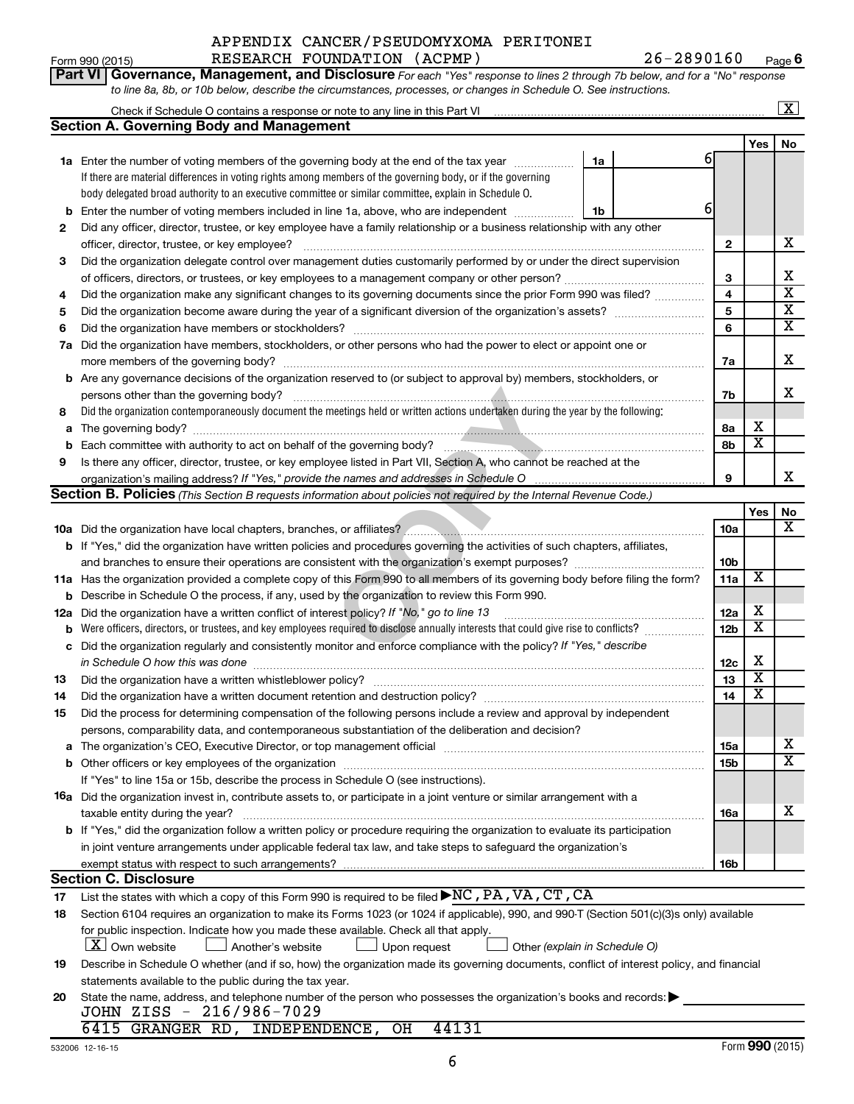#### Form 990 (2015) Page RESEARCH FOUNDATION (ACPMP) 26-2890160 APPENDIX CANCER/PSEUDOMYXOMA PERITONEI

**Part VI** Governance, Management, and Disclosure For each "Yes" response to lines 2 through 7b below, and for a "No" response

**6**

|    | to line 8a, 8b, or 10b below, describe the circumstances, processes, or changes in Schedule O. See instructions.                                                                                                               |                 |                         |                         |  |  |  |  |
|----|--------------------------------------------------------------------------------------------------------------------------------------------------------------------------------------------------------------------------------|-----------------|-------------------------|-------------------------|--|--|--|--|
|    | Check if Schedule O contains a response or note to any line in this Part VI [11] [12] Check if Schedule O contains a response or note to any line in this Part VI                                                              |                 |                         | $\overline{\mathbf{x}}$ |  |  |  |  |
|    | <b>Section A. Governing Body and Management</b>                                                                                                                                                                                |                 |                         |                         |  |  |  |  |
|    |                                                                                                                                                                                                                                |                 | Yes                     | No                      |  |  |  |  |
|    | 1a Enter the number of voting members of the governing body at the end of the tax year<br>1a                                                                                                                                   | 61              |                         |                         |  |  |  |  |
|    | If there are material differences in voting rights among members of the governing body, or if the governing                                                                                                                    |                 |                         |                         |  |  |  |  |
|    | body delegated broad authority to an executive committee or similar committee, explain in Schedule O.                                                                                                                          |                 |                         |                         |  |  |  |  |
| b  | Enter the number of voting members included in line 1a, above, who are independent<br>1b                                                                                                                                       | 61              |                         |                         |  |  |  |  |
| 2  | Did any officer, director, trustee, or key employee have a family relationship or a business relationship with any other                                                                                                       |                 |                         |                         |  |  |  |  |
|    |                                                                                                                                                                                                                                | 2               |                         | x                       |  |  |  |  |
| 3  | Did the organization delegate control over management duties customarily performed by or under the direct supervision                                                                                                          |                 |                         |                         |  |  |  |  |
|    |                                                                                                                                                                                                                                | 3               |                         | х                       |  |  |  |  |
| 4  | Did the organization make any significant changes to its governing documents since the prior Form 990 was filed?                                                                                                               | 4               |                         | $\overline{\textbf{x}}$ |  |  |  |  |
| 5  |                                                                                                                                                                                                                                | 5               |                         | $\overline{\mathbf{X}}$ |  |  |  |  |
| 6  |                                                                                                                                                                                                                                | 6               |                         | $\overline{\mathbf{x}}$ |  |  |  |  |
|    | 7a Did the organization have members, stockholders, or other persons who had the power to elect or appoint one or                                                                                                              |                 |                         |                         |  |  |  |  |
|    |                                                                                                                                                                                                                                | 7a              |                         | х                       |  |  |  |  |
|    | <b>b</b> Are any governance decisions of the organization reserved to (or subject to approval by) members, stockholders, or                                                                                                    |                 |                         |                         |  |  |  |  |
|    | persons other than the governing body?                                                                                                                                                                                         | 7b              |                         | х                       |  |  |  |  |
| 8  | Did the organization contemporaneously document the meetings held or written actions undertaken during the year by the following:                                                                                              |                 |                         |                         |  |  |  |  |
| а  |                                                                                                                                                                                                                                | 8а              | x                       |                         |  |  |  |  |
|    |                                                                                                                                                                                                                                | 8b              | $\overline{\textbf{x}}$ |                         |  |  |  |  |
| 9  | Is there any officer, director, trustee, or key employee listed in Part VII, Section A, who cannot be reached at the                                                                                                           |                 |                         |                         |  |  |  |  |
|    |                                                                                                                                                                                                                                | 9               |                         | x                       |  |  |  |  |
|    | <b>Section B. Policies</b> (This Section B requests information about policies not required by the Internal Revenue Code.)                                                                                                     |                 |                         |                         |  |  |  |  |
|    |                                                                                                                                                                                                                                |                 | Yes                     | No                      |  |  |  |  |
|    |                                                                                                                                                                                                                                | 10a             |                         | x                       |  |  |  |  |
|    | b If "Yes," did the organization have written policies and procedures governing the activities of such chapters, affiliates,                                                                                                   |                 |                         |                         |  |  |  |  |
|    |                                                                                                                                                                                                                                | 10 <sub>b</sub> |                         |                         |  |  |  |  |
|    | 11a Has the organization provided a complete copy of this Form 990 to all members of its governing body before filing the form?                                                                                                | 11a             | х                       |                         |  |  |  |  |
|    | b Describe in Schedule O the process, if any, used by the organization to review this Form 990.                                                                                                                                |                 |                         |                         |  |  |  |  |
|    | 12a Did the organization have a written conflict of interest policy? If "No," go to line 13                                                                                                                                    | 12a             | х                       |                         |  |  |  |  |
| b  | Were officers, directors, or trustees, and key employees required to disclose annually interests that could give rise to conflicts?                                                                                            | 12 <sub>b</sub> | $\overline{\textbf{x}}$ |                         |  |  |  |  |
| с  | Did the organization regularly and consistently monitor and enforce compliance with the policy? If "Yes," describe                                                                                                             |                 |                         |                         |  |  |  |  |
|    | in Schedule O how this was done                                                                                                                                                                                                | 12c             | х                       |                         |  |  |  |  |
| 13 |                                                                                                                                                                                                                                | 13              | $\overline{\textbf{x}}$ |                         |  |  |  |  |
| 14 |                                                                                                                                                                                                                                | 14              | $\overline{\textbf{x}}$ |                         |  |  |  |  |
| 15 | Did the process for determining compensation of the following persons include a review and approval by independent                                                                                                             |                 |                         |                         |  |  |  |  |
|    | persons, comparability data, and contemporaneous substantiation of the deliberation and decision?                                                                                                                              |                 |                         |                         |  |  |  |  |
| a  | The organization's CEO, Executive Director, or top management official manufactured content of the organization's CEO, Executive Director, or top management official manufactured content of the state of the state of the st | 15a             |                         | x                       |  |  |  |  |
| b  | Other officers or key employees of the organization                                                                                                                                                                            | 15b             |                         | $\overline{\texttt{x}}$ |  |  |  |  |
|    | If "Yes" to line 15a or 15b, describe the process in Schedule O (see instructions).                                                                                                                                            |                 |                         |                         |  |  |  |  |
|    | <b>16a</b> Did the organization invest in, contribute assets to, or participate in a joint venture or similar arrangement with a                                                                                               |                 |                         |                         |  |  |  |  |
|    | taxable entity during the year?                                                                                                                                                                                                | 16a             |                         | x                       |  |  |  |  |
|    | <b>b</b> If "Yes," did the organization follow a written policy or procedure requiring the organization to evaluate its participation                                                                                          |                 |                         |                         |  |  |  |  |
|    | in joint venture arrangements under applicable federal tax law, and take steps to safeguard the organization's                                                                                                                 |                 |                         |                         |  |  |  |  |
|    | exempt status with respect to such arrangements?                                                                                                                                                                               | 16b             |                         |                         |  |  |  |  |
|    | <b>Section C. Disclosure</b>                                                                                                                                                                                                   |                 |                         |                         |  |  |  |  |
| 17 | List the states with which a copy of this Form 990 is required to be filed $\blacktriangleright$ NC, PA, VA, $\overline{\text{CT}}$ , CA                                                                                       |                 |                         |                         |  |  |  |  |
| 18 | Section 6104 requires an organization to make its Forms 1023 (or 1024 if applicable), 990, and 990-T (Section 501(c)(3)s only) available                                                                                       |                 |                         |                         |  |  |  |  |
|    | for public inspection. Indicate how you made these available. Check all that apply.                                                                                                                                            |                 |                         |                         |  |  |  |  |
|    | X Own website<br>Another's website<br>Upon request<br>Other (explain in Schedule O)                                                                                                                                            |                 |                         |                         |  |  |  |  |
| 19 | Describe in Schedule O whether (and if so, how) the organization made its governing documents, conflict of interest policy, and financial                                                                                      |                 |                         |                         |  |  |  |  |
|    | statements available to the public during the tax year.                                                                                                                                                                        |                 |                         |                         |  |  |  |  |
| 20 | State the name, address, and telephone number of the person who possesses the organization's books and records:                                                                                                                |                 |                         |                         |  |  |  |  |
|    | JOHN ZISS - 216/986-7029                                                                                                                                                                                                       |                 |                         |                         |  |  |  |  |
|    | 6415 GRANGER RD, INDEPENDENCE, OH<br>44131                                                                                                                                                                                     |                 |                         |                         |  |  |  |  |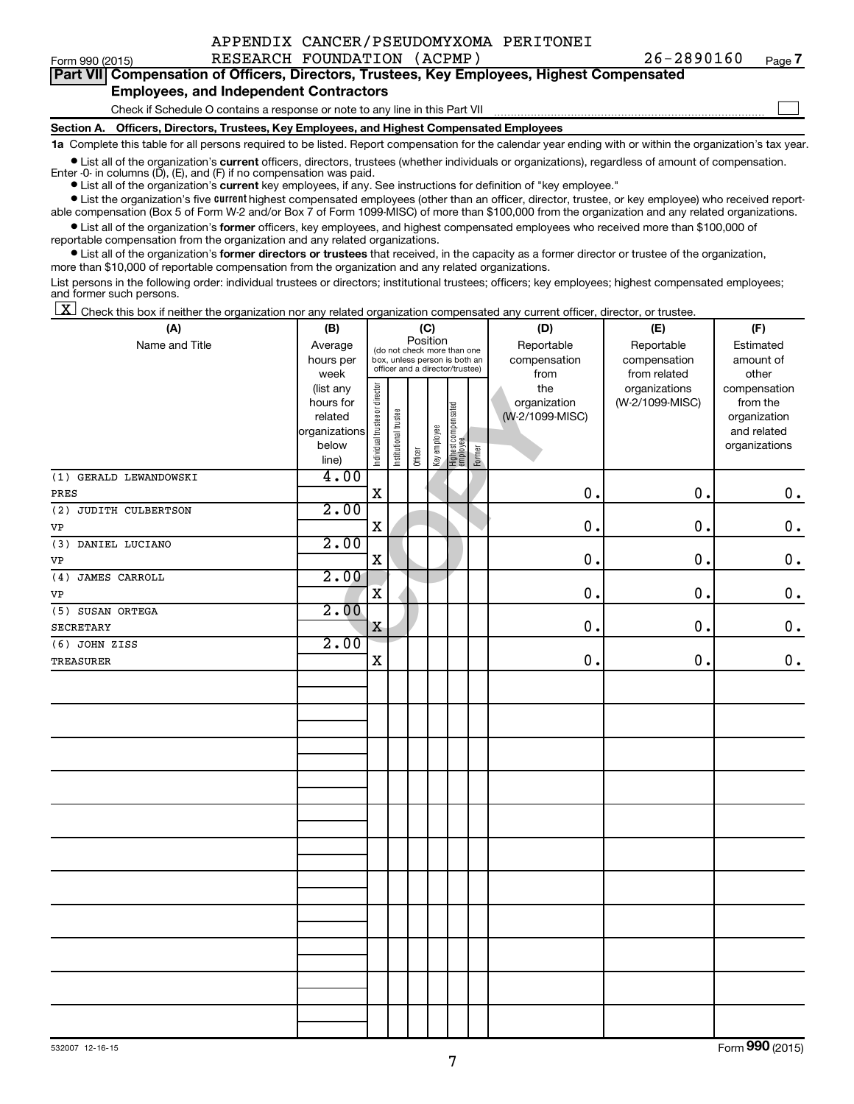|  |  | APPENDIX CANCER/PSEUDOMYXOMA PERITONEI |
|--|--|----------------------------------------|
|  |  |                                        |

 $\Box$ 

|  | Part VII Compensation of Officers, Directors, Trustees, Key Employees, Highest Compensated |
|--|--------------------------------------------------------------------------------------------|
|  | <b>Employees, and Independent Contractors</b>                                              |

#### Check if Schedule O contains a response or note to any line in this Part VII

**Section A. Officers, Directors, Trustees, Key Employees, and Highest Compensated Employees**

**1a**  Complete this table for all persons required to be listed. Report compensation for the calendar year ending with or within the organization's tax year.

**•** List all of the organization's current officers, directors, trustees (whether individuals or organizations), regardless of amount of compensation.

**•** List all of the organization's **current** key employees, if any. See instructions for definition of "key employee." Enter -0- in columns  $(D)$ ,  $(E)$ , and  $(F)$  if no compensation was paid.

**•** List the organization's five current highest compensated employees (other than an officer, director, trustee, or key employee) who received report-

**•** List all of the organization's former officers, key employees, and highest compensated employees who received more than \$100,000 of able compensation (Box 5 of Form W-2 and/or Box 7 of Form 1099-MISC) of more than \$100,000 from the organization and any related organizations. reportable compensation from the organization and any related organizations.

**•** List all of the organization's former directors or trustees that received, in the capacity as a former director or trustee of the organization, more than \$10,000 of reportable compensation from the organization and any related organizations.

List persons in the following order: individual trustees or directors; institutional trustees; officers; key employees; highest compensated employees; and former such persons.

|  |  |  | $\boxed{\mathbf{X}}$ Check this box if neither the organization nor any related organization compensated any current officer, director, or trustee. |  |  |  |  |  |
|--|--|--|-----------------------------------------------------------------------------------------------------------------------------------------------------|--|--|--|--|--|
|--|--|--|-----------------------------------------------------------------------------------------------------------------------------------------------------|--|--|--|--|--|

| (A)                    | (B)           |                                |                       |                                         | (C)          |                                 |        | (D)             | (E)             | (F)           |
|------------------------|---------------|--------------------------------|-----------------------|-----------------------------------------|--------------|---------------------------------|--------|-----------------|-----------------|---------------|
| Name and Title         | Average       |                                |                       | Position<br>(do not check more than one |              |                                 |        | Reportable      | Reportable      | Estimated     |
|                        | hours per     |                                |                       | box, unless person is both an           |              |                                 |        | compensation    | compensation    | amount of     |
|                        | week          |                                |                       | officer and a director/trustee)         |              |                                 |        | from            | from related    | other         |
|                        | (list any     |                                |                       |                                         |              |                                 |        | the             | organizations   | compensation  |
|                        | hours for     |                                |                       |                                         |              |                                 |        | organization    | (W-2/1099-MISC) | from the      |
|                        | related       |                                |                       |                                         |              |                                 |        | (W-2/1099-MISC) |                 | organization  |
|                        | organizations |                                |                       |                                         |              |                                 |        |                 |                 | and related   |
|                        | below         | Individual trustee or director | Institutional trustee |                                         | Key employee | Highest compensated<br>employee |        |                 |                 | organizations |
|                        | line)         |                                |                       | Officer                                 |              |                                 | Former |                 |                 |               |
| (1) GERALD LEWANDOWSKI | 4.00          |                                |                       |                                         |              |                                 |        |                 |                 |               |
| PRES                   |               | $\mathbf X$                    |                       |                                         |              |                                 |        | 0.              | 0.              | $\mathbf 0$ . |
| (2) JUDITH CULBERTSON  | 2.00          |                                |                       |                                         |              |                                 |        |                 |                 |               |
| VP                     |               | $\mathbf X$                    |                       |                                         |              |                                 |        | 0.              | $\mathbf 0$ .   | $\mathbf 0$ . |
| (3) DANIEL LUCIANO     | 2.00          |                                |                       |                                         |              |                                 |        |                 |                 |               |
| VP                     |               | $\mathbf X$                    |                       |                                         |              |                                 |        | 0.              | $\mathbf 0$ .   | $\mathbf 0$ . |
| JAMES CARROLL<br>(4)   | 2.00          |                                |                       |                                         |              |                                 |        |                 |                 |               |
| VP                     |               | $\overline{\textbf{X}}$        |                       |                                         |              |                                 |        | 0.              | 0.              | $\mathbf 0$ . |
| (5) SUSAN ORTEGA       | 2.00          |                                |                       |                                         |              |                                 |        |                 |                 |               |
| <b>SECRETARY</b>       |               | X                              |                       |                                         |              |                                 |        | 0.              | 0.              | $\mathbf 0$ . |
| (6) JOHN ZISS          | 2.00          |                                |                       |                                         |              |                                 |        |                 |                 |               |
| <b>TREASURER</b>       |               | $\mathbf X$                    |                       |                                         |              |                                 |        | 0.              | 0.              | $0$ .         |
|                        |               |                                |                       |                                         |              |                                 |        |                 |                 |               |
|                        |               |                                |                       |                                         |              |                                 |        |                 |                 |               |
|                        |               |                                |                       |                                         |              |                                 |        |                 |                 |               |
|                        |               |                                |                       |                                         |              |                                 |        |                 |                 |               |
|                        |               |                                |                       |                                         |              |                                 |        |                 |                 |               |
|                        |               |                                |                       |                                         |              |                                 |        |                 |                 |               |
|                        |               |                                |                       |                                         |              |                                 |        |                 |                 |               |
|                        |               |                                |                       |                                         |              |                                 |        |                 |                 |               |
|                        |               |                                |                       |                                         |              |                                 |        |                 |                 |               |
|                        |               |                                |                       |                                         |              |                                 |        |                 |                 |               |
|                        |               |                                |                       |                                         |              |                                 |        |                 |                 |               |
|                        |               |                                |                       |                                         |              |                                 |        |                 |                 |               |
|                        |               |                                |                       |                                         |              |                                 |        |                 |                 |               |
|                        |               |                                |                       |                                         |              |                                 |        |                 |                 |               |
|                        |               |                                |                       |                                         |              |                                 |        |                 |                 |               |
|                        |               |                                |                       |                                         |              |                                 |        |                 |                 |               |
|                        |               |                                |                       |                                         |              |                                 |        |                 |                 |               |
|                        |               |                                |                       |                                         |              |                                 |        |                 |                 |               |
|                        |               |                                |                       |                                         |              |                                 |        |                 |                 |               |
|                        |               |                                |                       |                                         |              |                                 |        |                 |                 |               |
|                        |               |                                |                       |                                         |              |                                 |        |                 |                 |               |
|                        |               |                                |                       |                                         |              |                                 |        |                 |                 |               |

Form (2015) **990**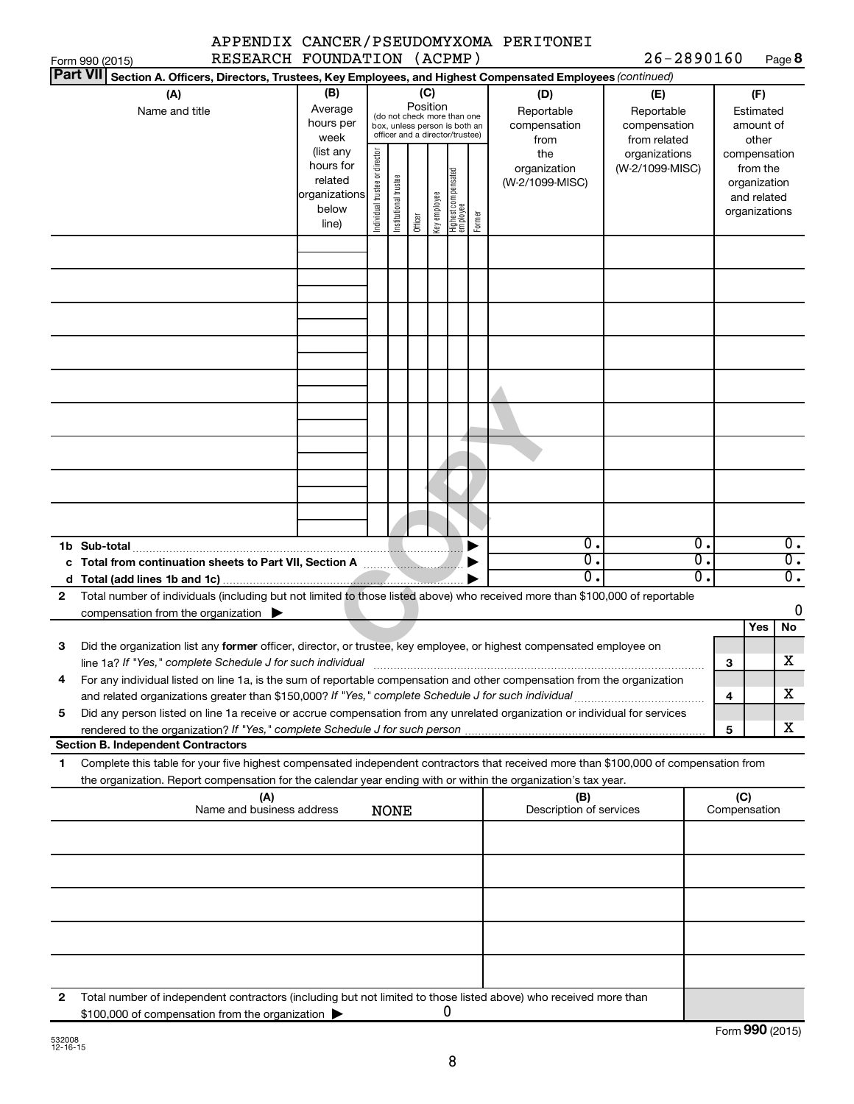|              |                                                                                                                                                                                                                                                        |                                  |                                                                      |                                |                      |                                                                                                                    |              |                                 |        | APPENDIX CANCER/PSEUDOMYXOMA PERITONEI                                                                 |                                                   |                                                          |                     |                                                                          |                                                          |
|--------------|--------------------------------------------------------------------------------------------------------------------------------------------------------------------------------------------------------------------------------------------------------|----------------------------------|----------------------------------------------------------------------|--------------------------------|----------------------|--------------------------------------------------------------------------------------------------------------------|--------------|---------------------------------|--------|--------------------------------------------------------------------------------------------------------|---------------------------------------------------|----------------------------------------------------------|---------------------|--------------------------------------------------------------------------|----------------------------------------------------------|
|              | Form 990 (2015)                                                                                                                                                                                                                                        | RESEARCH FOUNDATION (ACPMP)      |                                                                      |                                |                      |                                                                                                                    |              |                                 |        |                                                                                                        | $26 - 2890160$                                    |                                                          |                     |                                                                          | Page 8                                                   |
|              | <b>Part VII</b>                                                                                                                                                                                                                                        |                                  |                                                                      |                                |                      |                                                                                                                    |              |                                 |        | Section A. Officers, Directors, Trustees, Key Employees, and Highest Compensated Employees (continued) |                                                   |                                                          |                     |                                                                          |                                                          |
|              | (A)<br>Name and title                                                                                                                                                                                                                                  |                                  | (B)<br>Average<br>hours per<br>week                                  |                                |                      | (C)<br>Position<br>(do not check more than one<br>box, unless person is both an<br>officer and a director/trustee) |              |                                 |        | (D)<br>Reportable<br>compensation<br>from                                                              | (E)<br>Reportable<br>compensation<br>from related |                                                          |                     | (F)<br>Estimated<br>amount of<br>other                                   |                                                          |
|              |                                                                                                                                                                                                                                                        |                                  | (list any<br>hours for<br>related<br>organizations<br>below<br>line) | Individual trustee or director | nstitutional trustee | Officer                                                                                                            | Key employee | Highest compensated<br>employee | Former | the<br>organization<br>(W-2/1099-MISC)                                                                 | organizations<br>(W-2/1099-MISC)                  |                                                          |                     | compensation<br>from the<br>organization<br>and related<br>organizations |                                                          |
|              |                                                                                                                                                                                                                                                        |                                  |                                                                      |                                |                      |                                                                                                                    |              |                                 |        |                                                                                                        |                                                   |                                                          |                     |                                                                          |                                                          |
|              |                                                                                                                                                                                                                                                        |                                  |                                                                      |                                |                      |                                                                                                                    |              |                                 |        |                                                                                                        |                                                   |                                                          |                     |                                                                          |                                                          |
|              |                                                                                                                                                                                                                                                        |                                  |                                                                      |                                |                      |                                                                                                                    |              |                                 |        |                                                                                                        |                                                   |                                                          |                     |                                                                          |                                                          |
|              |                                                                                                                                                                                                                                                        |                                  |                                                                      |                                |                      |                                                                                                                    |              |                                 |        |                                                                                                        |                                                   |                                                          |                     |                                                                          |                                                          |
|              |                                                                                                                                                                                                                                                        |                                  |                                                                      |                                |                      |                                                                                                                    |              |                                 |        |                                                                                                        |                                                   |                                                          |                     |                                                                          |                                                          |
|              |                                                                                                                                                                                                                                                        |                                  |                                                                      |                                |                      |                                                                                                                    |              |                                 |        |                                                                                                        |                                                   |                                                          |                     |                                                                          |                                                          |
|              | 1b Sub-total                                                                                                                                                                                                                                           |                                  |                                                                      |                                |                      |                                                                                                                    |              |                                 |        | $\overline{\mathbf{0}}$ .<br>$\overline{0}$ .<br>0.                                                    |                                                   | $\overline{0}$ .<br>$\overline{0}$ .<br>$\overline{0}$ . |                     |                                                                          | $\overline{0}$ .<br>$\overline{0}$ .<br>$\overline{0}$ . |
| $\mathbf{2}$ | Total number of individuals (including but not limited to those listed above) who received more than \$100,000 of reportable<br>compensation from the organization $\blacktriangleright$                                                               |                                  |                                                                      |                                |                      |                                                                                                                    |              |                                 |        |                                                                                                        |                                                   |                                                          |                     | Yes                                                                      | 0<br>No                                                  |
| З            | Did the organization list any former officer, director, or trustee, key employee, or highest compensated employee on<br>line 1a? If "Yes," complete Schedule J for such individual manufactured content content from the content of the                |                                  |                                                                      |                                |                      |                                                                                                                    |              |                                 |        |                                                                                                        |                                                   |                                                          | з                   |                                                                          | X                                                        |
| 4            | For any individual listed on line 1a, is the sum of reportable compensation and other compensation from the organization                                                                                                                               |                                  |                                                                      |                                |                      |                                                                                                                    |              |                                 |        |                                                                                                        |                                                   |                                                          | 4                   |                                                                          | x                                                        |
| 5            | Did any person listed on line 1a receive or accrue compensation from any unrelated organization or individual for services                                                                                                                             |                                  |                                                                      |                                |                      |                                                                                                                    |              |                                 |        |                                                                                                        |                                                   |                                                          | 5                   |                                                                          | x                                                        |
|              | <b>Section B. Independent Contractors</b>                                                                                                                                                                                                              |                                  |                                                                      |                                |                      |                                                                                                                    |              |                                 |        |                                                                                                        |                                                   |                                                          |                     |                                                                          |                                                          |
| 1            | Complete this table for your five highest compensated independent contractors that received more than \$100,000 of compensation from<br>the organization. Report compensation for the calendar year ending with or within the organization's tax year. |                                  |                                                                      |                                |                      |                                                                                                                    |              |                                 |        |                                                                                                        |                                                   |                                                          |                     |                                                                          |                                                          |
|              |                                                                                                                                                                                                                                                        | (A)<br>Name and business address |                                                                      |                                | NONE                 |                                                                                                                    |              |                                 |        | (B)<br>Description of services                                                                         |                                                   |                                                          | (C)<br>Compensation |                                                                          |                                                          |
|              |                                                                                                                                                                                                                                                        |                                  |                                                                      |                                |                      |                                                                                                                    |              |                                 |        |                                                                                                        |                                                   |                                                          |                     |                                                                          |                                                          |
|              |                                                                                                                                                                                                                                                        |                                  |                                                                      |                                |                      |                                                                                                                    |              |                                 |        |                                                                                                        |                                                   |                                                          |                     |                                                                          |                                                          |
|              |                                                                                                                                                                                                                                                        |                                  |                                                                      |                                |                      |                                                                                                                    |              |                                 |        |                                                                                                        |                                                   |                                                          |                     |                                                                          |                                                          |
|              |                                                                                                                                                                                                                                                        |                                  |                                                                      |                                |                      |                                                                                                                    |              |                                 |        |                                                                                                        |                                                   |                                                          |                     |                                                                          |                                                          |
| 2            | Total number of independent contractors (including but not limited to those listed above) who received more than<br>\$100,000 of compensation from the organization                                                                                    |                                  |                                                                      |                                |                      |                                                                                                                    |              | 0                               |        |                                                                                                        |                                                   |                                                          |                     |                                                                          |                                                          |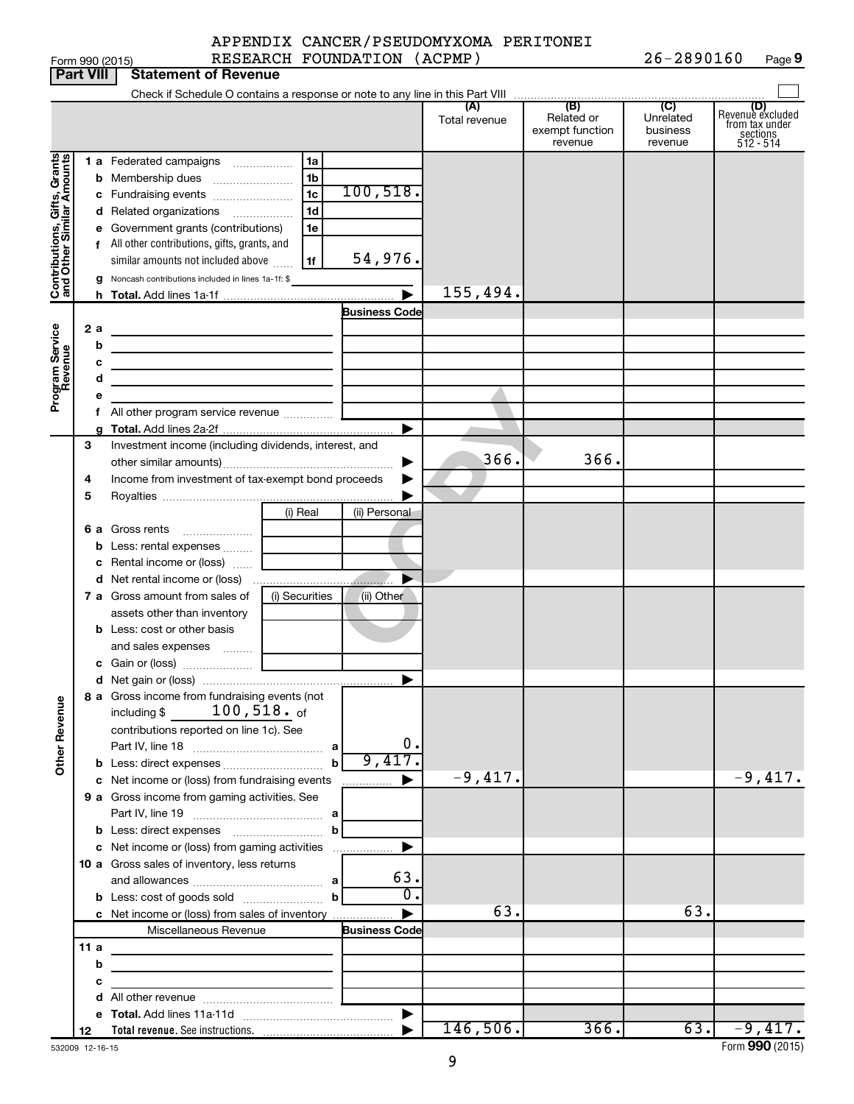|                 | APPENDIX CANCER/PSEUDOMYXOMA PERITONEI |                |      |
|-----------------|----------------------------------------|----------------|------|
| Form 990 (2015) | RESEARCH FOUNDATION (ACPMP)            | $26 - 2890160$ | Page |

|                              |                  | Form 990 (2015)                                                                                   |                | RESEARCH FOUNDATION (ACPMP) |                      |                                                 | $26 - 2890160$                                     | Page 9                                                             |
|------------------------------|------------------|---------------------------------------------------------------------------------------------------|----------------|-----------------------------|----------------------|-------------------------------------------------|----------------------------------------------------|--------------------------------------------------------------------|
|                              | <b>Part VIII</b> | <b>Statement of Revenue</b>                                                                       |                |                             |                      |                                                 |                                                    |                                                                    |
|                              |                  |                                                                                                   |                |                             |                      |                                                 |                                                    |                                                                    |
|                              |                  |                                                                                                   |                |                             | (A)<br>Total revenue | (B)<br>Related or<br>exempt function<br>revenue | $\overline{C}$<br>Unrelated<br>business<br>revenue | (D)<br>Revenue excluded<br>from tax under<br>sections<br>512 - 514 |
|                              |                  | 1 a Federated campaigns                                                                           | 1a             |                             |                      |                                                 |                                                    |                                                                    |
|                              | b                | Membership dues                                                                                   | 1 <sub>b</sub> |                             |                      |                                                 |                                                    |                                                                    |
|                              |                  | c Fundraising events                                                                              | 1 <sub>c</sub> | 100, 518.                   |                      |                                                 |                                                    |                                                                    |
|                              |                  | d Related organizations                                                                           | 1 <sub>d</sub> |                             |                      |                                                 |                                                    |                                                                    |
|                              |                  | e Government grants (contributions)                                                               | 1e             |                             |                      |                                                 |                                                    |                                                                    |
|                              |                  | f All other contributions, gifts, grants, and                                                     |                |                             |                      |                                                 |                                                    |                                                                    |
| Contributions, Gifts, Grants |                  | similar amounts not included above                                                                | 1f             | 54,976.                     |                      |                                                 |                                                    |                                                                    |
|                              |                  | g Noncash contributions included in lines 1a-1f: \$                                               |                |                             |                      |                                                 |                                                    |                                                                    |
|                              |                  |                                                                                                   |                |                             | 155,494.             |                                                 |                                                    |                                                                    |
|                              |                  |                                                                                                   |                | <b>Business Code</b>        |                      |                                                 |                                                    |                                                                    |
| Program Service<br>Revenue   | 2 a              |                                                                                                   |                |                             |                      |                                                 |                                                    |                                                                    |
|                              | b                | the control of the control of the control of the control of the control of                        |                |                             |                      |                                                 |                                                    |                                                                    |
|                              | с<br>d           |                                                                                                   |                |                             |                      |                                                 |                                                    |                                                                    |
|                              | е                |                                                                                                   |                |                             |                      |                                                 |                                                    |                                                                    |
|                              |                  | f All other program service revenue                                                               |                |                             |                      |                                                 |                                                    |                                                                    |
|                              |                  |                                                                                                   |                |                             |                      |                                                 |                                                    |                                                                    |
|                              | 3                | Investment income (including dividends, interest, and                                             |                |                             |                      |                                                 |                                                    |                                                                    |
|                              |                  |                                                                                                   |                |                             | 366.                 | 366.                                            |                                                    |                                                                    |
|                              | 4                | Income from investment of tax-exempt bond proceeds                                                |                |                             |                      |                                                 |                                                    |                                                                    |
|                              | 5                |                                                                                                   |                |                             |                      |                                                 |                                                    |                                                                    |
|                              |                  |                                                                                                   | (i) Real       | (ii) Personal               |                      |                                                 |                                                    |                                                                    |
|                              | 6а               | Gross rents<br>$\ldots \ldots \ldots \ldots \ldots$                                               |                |                             |                      |                                                 |                                                    |                                                                    |
|                              | b                | Less: rental expenses                                                                             |                |                             |                      |                                                 |                                                    |                                                                    |
|                              | с                | Rental income or (loss)                                                                           |                |                             |                      |                                                 |                                                    |                                                                    |
|                              |                  | 7 a Gross amount from sales of                                                                    |                |                             |                      |                                                 |                                                    |                                                                    |
|                              |                  |                                                                                                   | (i) Securities | (ii) Other                  |                      |                                                 |                                                    |                                                                    |
|                              |                  | assets other than inventory<br><b>b</b> Less: cost or other basis                                 |                |                             |                      |                                                 |                                                    |                                                                    |
|                              |                  | and sales expenses                                                                                |                |                             |                      |                                                 |                                                    |                                                                    |
|                              |                  |                                                                                                   |                |                             |                      |                                                 |                                                    |                                                                    |
|                              |                  |                                                                                                   |                |                             |                      |                                                 |                                                    |                                                                    |
|                              |                  | 8 a Gross income from fundraising events (not                                                     |                |                             |                      |                                                 |                                                    |                                                                    |
|                              |                  | $100$ , $518$ . $_{\sf of}$<br>including \$                                                       |                |                             |                      |                                                 |                                                    |                                                                    |
| <b>Other Revenue</b>         |                  | contributions reported on line 1c). See                                                           |                |                             |                      |                                                 |                                                    |                                                                    |
|                              |                  |                                                                                                   |                | 0.                          |                      |                                                 |                                                    |                                                                    |
|                              |                  | <b>b</b> Less: direct expenses <i></i>                                                            |                | 9,417                       |                      |                                                 |                                                    |                                                                    |
|                              |                  | c Net income or (loss) from fundraising events                                                    |                |                             | $-9,417.$            |                                                 |                                                    | $-9,417.$                                                          |
|                              |                  | 9 a Gross income from gaming activities. See                                                      |                |                             |                      |                                                 |                                                    |                                                                    |
|                              |                  |                                                                                                   |                |                             |                      |                                                 |                                                    |                                                                    |
|                              |                  | <b>b</b> Less: direct expenses <b>manually b</b><br>c Net income or (loss) from gaming activities |                | ▶                           |                      |                                                 |                                                    |                                                                    |
|                              |                  | 10 a Gross sales of inventory, less returns                                                       |                |                             |                      |                                                 |                                                    |                                                                    |
|                              |                  |                                                                                                   |                | 63.                         |                      |                                                 |                                                    |                                                                    |
|                              |                  |                                                                                                   |                | $\overline{0}$ .            |                      |                                                 |                                                    |                                                                    |
|                              |                  | c Net income or (loss) from sales of inventory                                                    |                |                             | 63.                  |                                                 | 63.                                                |                                                                    |
|                              |                  | Miscellaneous Revenue                                                                             |                | <b>Business Code</b>        |                      |                                                 |                                                    |                                                                    |
|                              | 11 a             | the control of the control of the control of the control of                                       |                |                             |                      |                                                 |                                                    |                                                                    |
|                              | b                |                                                                                                   |                |                             |                      |                                                 |                                                    |                                                                    |
|                              | с                |                                                                                                   |                |                             |                      |                                                 |                                                    |                                                                    |
|                              |                  |                                                                                                   |                |                             |                      |                                                 |                                                    |                                                                    |
|                              |                  |                                                                                                   |                |                             |                      |                                                 |                                                    |                                                                    |
|                              | 12               |                                                                                                   |                |                             | 146,506.             | 366.                                            | 63.                                                | $-9,417.$                                                          |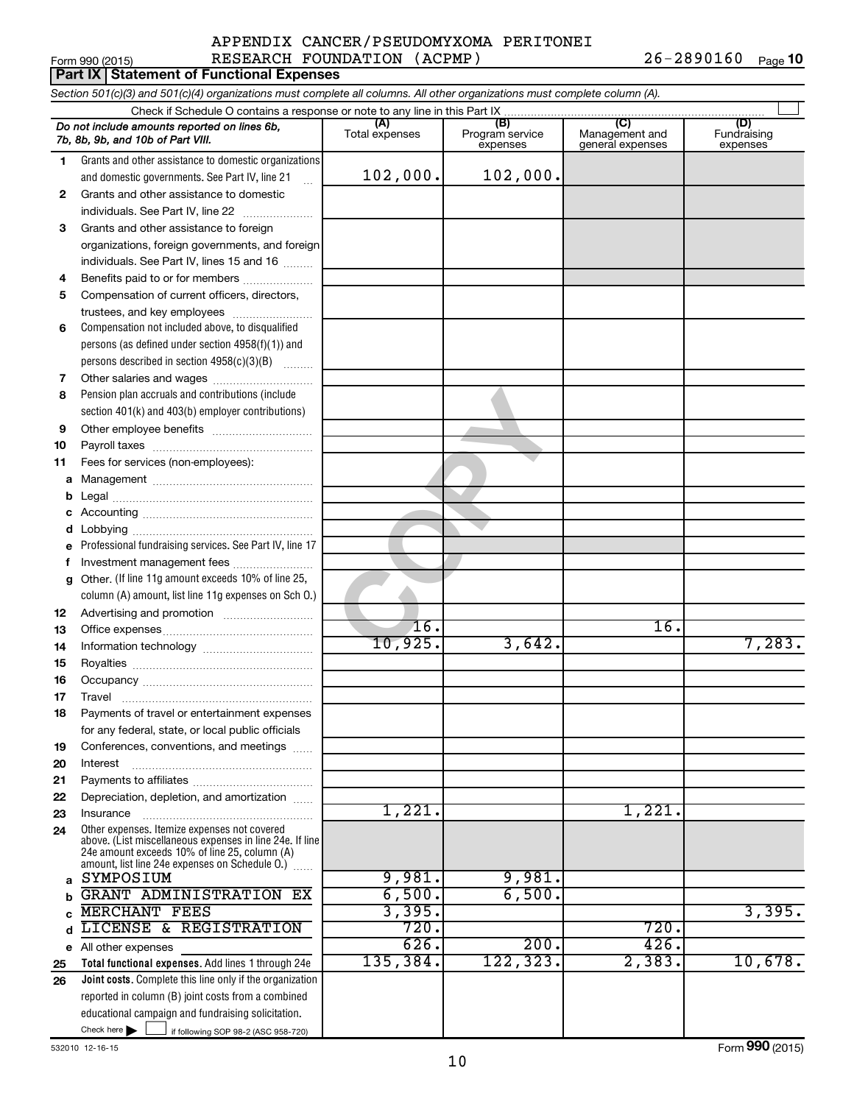#### Form 990 (2015) Page APPENDIX CANCER/PSEUDOMYXOMA PERITONEI RESEARCH FOUNDATION (ACPMP) 26-2890160

26-2890160 Page 10

|              | Part IX   Statement of Functional Expenses                                                                                 |                       |                                    |                                                     |                                |  |  |  |  |  |
|--------------|----------------------------------------------------------------------------------------------------------------------------|-----------------------|------------------------------------|-----------------------------------------------------|--------------------------------|--|--|--|--|--|
|              | Section 501(c)(3) and 501(c)(4) organizations must complete all columns. All other organizations must complete column (A). |                       |                                    |                                                     |                                |  |  |  |  |  |
|              | Check if Schedule O contains a response or note to any line in this Part IX                                                |                       |                                    |                                                     |                                |  |  |  |  |  |
|              | Do not include amounts reported on lines 6b,<br>7b, 8b, 9b, and 10b of Part VIII.                                          | (A)<br>Total expenses | (B)<br>Program service<br>expenses | $\mathcal{C}$<br>Management and<br>general expenses | (D)<br>Fundraising<br>expenses |  |  |  |  |  |
| 1            | Grants and other assistance to domestic organizations                                                                      |                       |                                    |                                                     |                                |  |  |  |  |  |
|              | and domestic governments. See Part IV, line 21                                                                             | 102,000.              | 102,000.                           |                                                     |                                |  |  |  |  |  |
| $\mathbf{2}$ | Grants and other assistance to domestic                                                                                    |                       |                                    |                                                     |                                |  |  |  |  |  |
|              | individuals. See Part IV, line 22                                                                                          |                       |                                    |                                                     |                                |  |  |  |  |  |
| 3            | Grants and other assistance to foreign                                                                                     |                       |                                    |                                                     |                                |  |  |  |  |  |
|              | organizations, foreign governments, and foreign                                                                            |                       |                                    |                                                     |                                |  |  |  |  |  |
|              | individuals. See Part IV, lines 15 and 16                                                                                  |                       |                                    |                                                     |                                |  |  |  |  |  |
| 4            | Benefits paid to or for members                                                                                            |                       |                                    |                                                     |                                |  |  |  |  |  |
| 5            | Compensation of current officers, directors,                                                                               |                       |                                    |                                                     |                                |  |  |  |  |  |
|              | trustees, and key employees                                                                                                |                       |                                    |                                                     |                                |  |  |  |  |  |
| 6            | Compensation not included above, to disqualified<br>persons (as defined under section 4958(f)(1)) and                      |                       |                                    |                                                     |                                |  |  |  |  |  |
|              | persons described in section 4958(c)(3)(B)                                                                                 |                       |                                    |                                                     |                                |  |  |  |  |  |
| 7            | Other salaries and wages                                                                                                   |                       |                                    |                                                     |                                |  |  |  |  |  |
| 8            | Pension plan accruals and contributions (include                                                                           |                       |                                    |                                                     |                                |  |  |  |  |  |
|              | section 401(k) and 403(b) employer contributions)                                                                          |                       |                                    |                                                     |                                |  |  |  |  |  |
| 9            |                                                                                                                            |                       |                                    |                                                     |                                |  |  |  |  |  |
| 10           |                                                                                                                            |                       |                                    |                                                     |                                |  |  |  |  |  |
| 11           | Fees for services (non-employees):                                                                                         |                       |                                    |                                                     |                                |  |  |  |  |  |
| а            |                                                                                                                            |                       |                                    |                                                     |                                |  |  |  |  |  |
| b            |                                                                                                                            |                       |                                    |                                                     |                                |  |  |  |  |  |
| с            |                                                                                                                            |                       |                                    |                                                     |                                |  |  |  |  |  |
| d            |                                                                                                                            |                       |                                    |                                                     |                                |  |  |  |  |  |
| е            | Professional fundraising services. See Part IV, line 17                                                                    |                       |                                    |                                                     |                                |  |  |  |  |  |
| f            | Investment management fees                                                                                                 |                       |                                    |                                                     |                                |  |  |  |  |  |
| g            | Other. (If line 11g amount exceeds 10% of line 25,                                                                         |                       |                                    |                                                     |                                |  |  |  |  |  |
|              | column (A) amount, list line 11g expenses on Sch O.)                                                                       |                       |                                    |                                                     |                                |  |  |  |  |  |
| 12           |                                                                                                                            |                       |                                    |                                                     |                                |  |  |  |  |  |
| 13           |                                                                                                                            | 16.<br>10,925.        | 3,642.                             | 16.                                                 | 7,283.                         |  |  |  |  |  |
| 14           |                                                                                                                            |                       |                                    |                                                     |                                |  |  |  |  |  |
| 15           |                                                                                                                            |                       |                                    |                                                     |                                |  |  |  |  |  |
| 16           |                                                                                                                            |                       |                                    |                                                     |                                |  |  |  |  |  |
| 17           | Travel<br>Payments of travel or entertainment expenses                                                                     |                       |                                    |                                                     |                                |  |  |  |  |  |
| 18           |                                                                                                                            |                       |                                    |                                                     |                                |  |  |  |  |  |
| 19           | for any federal, state, or local public officials<br>Conferences, conventions, and meetings                                |                       |                                    |                                                     |                                |  |  |  |  |  |
| 20           | Interest                                                                                                                   |                       |                                    |                                                     |                                |  |  |  |  |  |
| 21           |                                                                                                                            |                       |                                    |                                                     |                                |  |  |  |  |  |
| 22           | Depreciation, depletion, and amortization                                                                                  |                       |                                    |                                                     |                                |  |  |  |  |  |
| 23           | Insurance                                                                                                                  | 1,221.                |                                    | 1,221                                               |                                |  |  |  |  |  |
| 24           | Other expenses. Itemize expenses not covered                                                                               |                       |                                    |                                                     |                                |  |  |  |  |  |
|              | above. (List miscellaneous expenses in line 24e. If line<br>24e amount exceeds 10% of line 25, column (A)                  |                       |                                    |                                                     |                                |  |  |  |  |  |
|              | amount, list line 24e expenses on Schedule O.)                                                                             |                       |                                    |                                                     |                                |  |  |  |  |  |
| a            | SYMPOSIUM                                                                                                                  | 9,981.                | 9,981.                             |                                                     |                                |  |  |  |  |  |
| b            | GRANT ADMINISTRATION EX                                                                                                    | 6,500.                | 6,500.                             |                                                     |                                |  |  |  |  |  |
|              | <b>MERCHANT FEES</b>                                                                                                       | 3,395.                |                                    |                                                     | 3,395.                         |  |  |  |  |  |
| d            | LICENSE & REGISTRATION                                                                                                     | 720.                  |                                    | 720.                                                |                                |  |  |  |  |  |
| е            | All other expenses                                                                                                         | 626.                  | 200.                               | 426.                                                |                                |  |  |  |  |  |
| 25           | Total functional expenses. Add lines 1 through 24e                                                                         | 135,384.              | 122,323.                           | 2,383.                                              | 10,678.                        |  |  |  |  |  |
| 26           | Joint costs. Complete this line only if the organization                                                                   |                       |                                    |                                                     |                                |  |  |  |  |  |
|              | reported in column (B) joint costs from a combined                                                                         |                       |                                    |                                                     |                                |  |  |  |  |  |
|              | educational campaign and fundraising solicitation.<br>Check here $\blacktriangleright$                                     |                       |                                    |                                                     |                                |  |  |  |  |  |
|              | if following SOP 98-2 (ASC 958-720)                                                                                        |                       |                                    |                                                     |                                |  |  |  |  |  |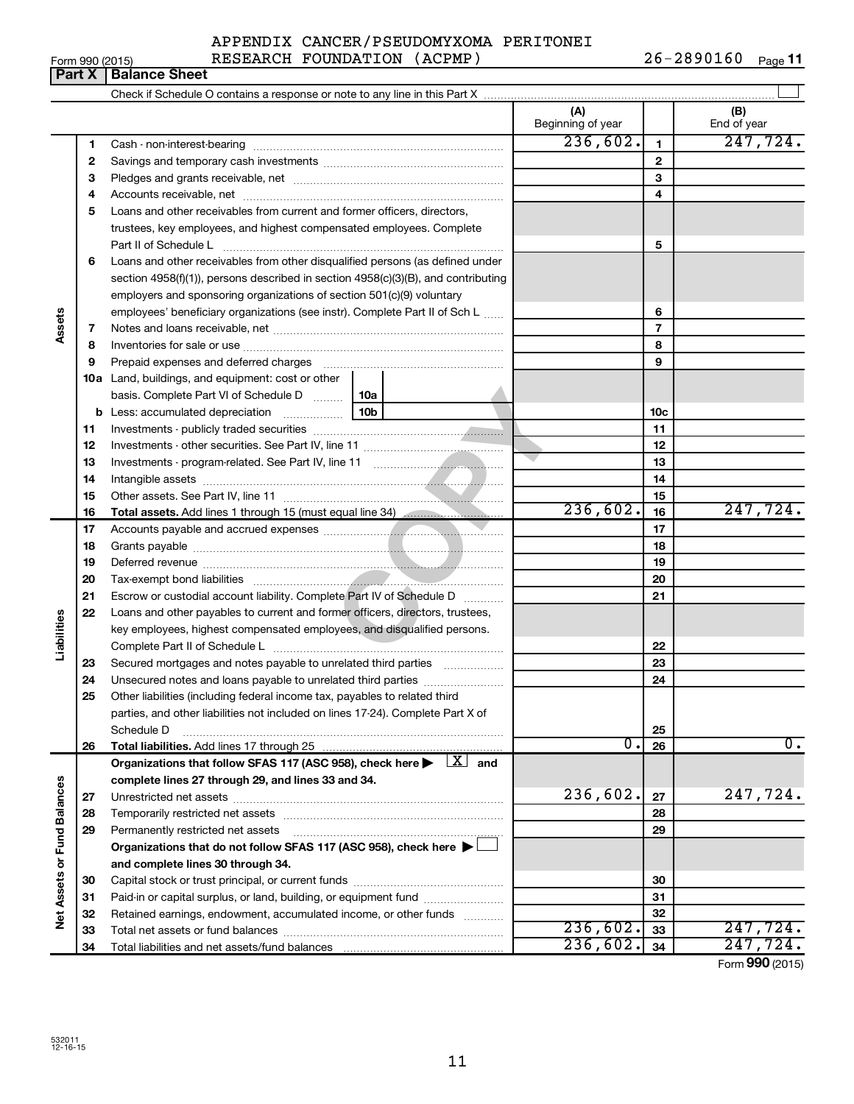|                 | APPENDIX CANCER/PSEUDOMYXOMA PERITONEI |                |         |
|-----------------|----------------------------------------|----------------|---------|
| Form 990 (2015) | RESEARCH FOUNDATION (ACPMP)            | $26 - 2890160$ | Page 11 |

|                             |    |                                                                                                                              | (A)<br>Beginning of year |                | (B)<br>End of year                      |
|-----------------------------|----|------------------------------------------------------------------------------------------------------------------------------|--------------------------|----------------|-----------------------------------------|
|                             | 1  |                                                                                                                              | 236,602.                 | $\mathbf{1}$   | 247,724.                                |
|                             | 2  |                                                                                                                              |                          | $\mathbf{2}$   |                                         |
|                             | з  |                                                                                                                              |                          | 3              |                                         |
|                             | 4  |                                                                                                                              |                          | 4              |                                         |
|                             | 5  | Loans and other receivables from current and former officers, directors,                                                     |                          |                |                                         |
|                             |    | trustees, key employees, and highest compensated employees. Complete                                                         |                          |                |                                         |
|                             |    |                                                                                                                              |                          | 5              |                                         |
|                             | 6  | Loans and other receivables from other disqualified persons (as defined under                                                |                          |                |                                         |
|                             |    | section $4958(f)(1)$ , persons described in section $4958(c)(3)(B)$ , and contributing                                       |                          |                |                                         |
|                             |    | employers and sponsoring organizations of section 501(c)(9) voluntary                                                        |                          |                |                                         |
|                             |    | employees' beneficiary organizations (see instr). Complete Part II of Sch L                                                  |                          | 6              |                                         |
| Assets                      | 7  |                                                                                                                              |                          | $\overline{7}$ |                                         |
|                             | 8  |                                                                                                                              |                          | 8              |                                         |
|                             | 9  | Prepaid expenses and deferred charges [11] [11] prepaid expenses and deferred charges [11] [11] minimum and the P            |                          | 9              |                                         |
|                             |    | <b>10a</b> Land, buildings, and equipment: cost or other                                                                     |                          |                |                                         |
|                             |    | basis. Complete Part VI of Schedule D    10a                                                                                 |                          |                |                                         |
|                             |    | 10b<br><b>b</b> Less: accumulated depreciation <i></i>                                                                       |                          | 10c            |                                         |
|                             | 11 |                                                                                                                              |                          | 11             |                                         |
|                             | 12 |                                                                                                                              |                          | 12             |                                         |
|                             | 13 |                                                                                                                              |                          | 13             |                                         |
|                             | 14 |                                                                                                                              |                          | 14             |                                         |
|                             | 15 |                                                                                                                              |                          | 15             |                                         |
|                             | 16 | Total assets. Add lines 1 through 15 (must equal line 34) manuscription.                                                     | 236,602.                 | 16             | 247,724.                                |
|                             | 17 |                                                                                                                              |                          | 17             |                                         |
|                             | 18 |                                                                                                                              |                          | 18             |                                         |
|                             | 19 |                                                                                                                              |                          | 19             |                                         |
|                             | 20 |                                                                                                                              |                          | 20             |                                         |
|                             | 21 | Escrow or custodial account liability. Complete Part IV of Schedule D                                                        |                          | 21             |                                         |
|                             | 22 | Loans and other payables to current and former officers, directors, trustees,                                                |                          |                |                                         |
| Liabilities                 |    | key employees, highest compensated employees, and disqualified persons.                                                      |                          |                |                                         |
|                             |    |                                                                                                                              |                          | 22             |                                         |
|                             | 23 | Secured mortgages and notes payable to unrelated third parties                                                               |                          | 23             |                                         |
|                             | 24 |                                                                                                                              |                          | 24             |                                         |
|                             | 25 | Other liabilities (including federal income tax, payables to related third                                                   |                          |                |                                         |
|                             |    | parties, and other liabilities not included on lines 17-24). Complete Part X of                                              |                          |                |                                         |
|                             |    | Schedule D                                                                                                                   |                          | 25             |                                         |
|                             | 26 | Total liabilities. Add lines 17 through 25                                                                                   | О.                       | 26             | 0.                                      |
|                             |    | Organizations that follow SFAS 117 (ASC 958), check here $\blacktriangleright \begin{array}{c} \boxed{X} \\ \end{array}$ and |                          |                |                                         |
|                             |    | complete lines 27 through 29, and lines 33 and 34.                                                                           |                          |                |                                         |
|                             | 27 |                                                                                                                              | 236,602.                 | 27             | 247,724.                                |
|                             | 28 |                                                                                                                              |                          | 28             |                                         |
|                             | 29 | Permanently restricted net assets                                                                                            |                          | 29             |                                         |
|                             |    | Organizations that do not follow SFAS 117 (ASC 958), check here ▶ [                                                          |                          |                |                                         |
|                             |    | and complete lines 30 through 34.                                                                                            |                          |                |                                         |
|                             | 30 |                                                                                                                              |                          | 30             |                                         |
|                             | 31 | Paid-in or capital surplus, or land, building, or equipment fund                                                             |                          | 31             |                                         |
| Net Assets or Fund Balances | 32 | Retained earnings, endowment, accumulated income, or other funds                                                             |                          | 32             |                                         |
|                             | 33 |                                                                                                                              | 236,602.                 | 33             | 247,724.                                |
|                             | 34 |                                                                                                                              | 236,602.                 | 34             | 247,724.<br>$F_{\text{OCD}}$ 990 (2015) |

# **Part X** | Balance Sheet

Form (2015) **990**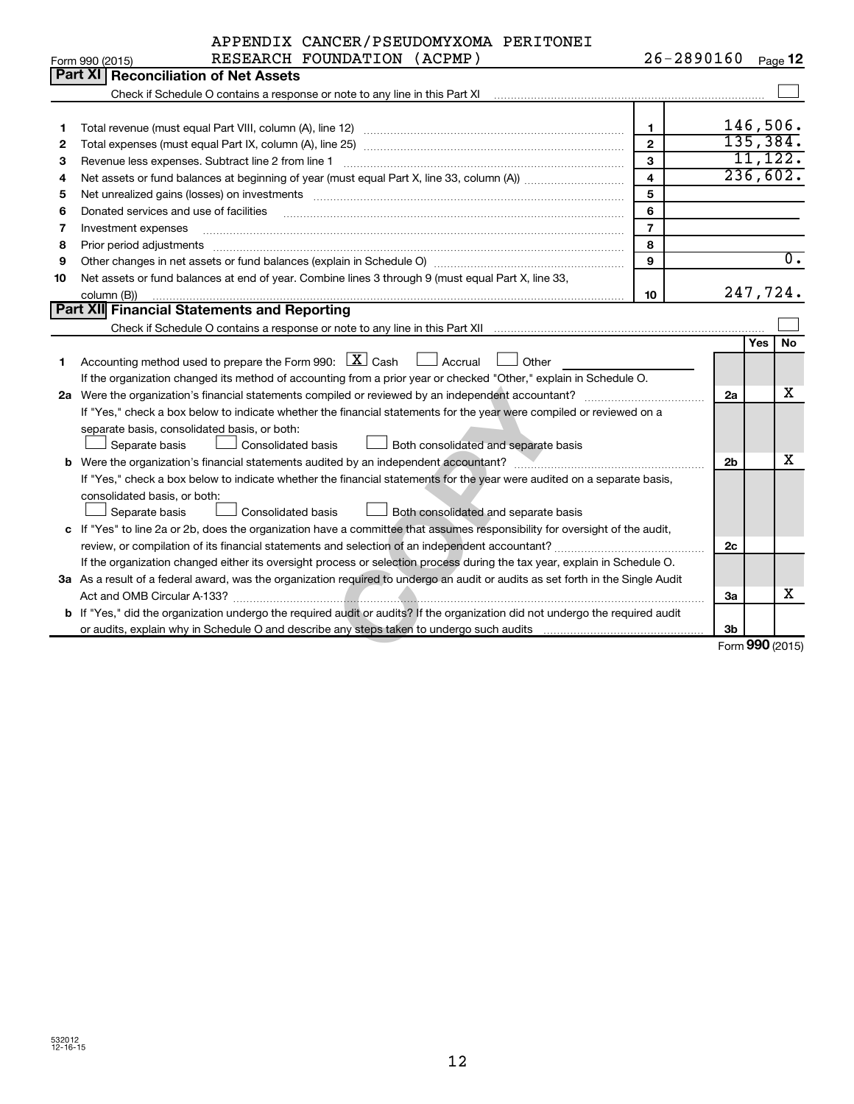|                 | APPENDIX CANCER/PSEUDOMYXOMA PERITONEI |  |                |                |
|-----------------|----------------------------------------|--|----------------|----------------|
| Form 990 (2015) | RESEARCH FOUNDATION (ACPMP)            |  | $26 - 2890160$ | Page $\sf{12}$ |

|    | Part XI<br><b>Reconciliation of Net Assets</b>                                                                                  |                         |                |            |                  |  |
|----|---------------------------------------------------------------------------------------------------------------------------------|-------------------------|----------------|------------|------------------|--|
|    | Check if Schedule O contains a response or note to any line in this Part XI                                                     |                         |                |            |                  |  |
|    |                                                                                                                                 |                         |                |            |                  |  |
| 1  |                                                                                                                                 | $\mathbf{1}$            |                |            | 146,506.         |  |
| 2  |                                                                                                                                 | $\overline{2}$          |                |            | 135,384.         |  |
| 3  | Revenue less expenses. Subtract line 2 from line 1                                                                              | 3                       |                |            | 11, 122.         |  |
| 4  |                                                                                                                                 | $\overline{\mathbf{4}}$ |                |            | 236,602.         |  |
| 5  |                                                                                                                                 | 5                       |                |            |                  |  |
| 6  | Donated services and use of facilities                                                                                          | 6                       |                |            |                  |  |
| 7  | Investment expenses                                                                                                             | $\overline{7}$          |                |            |                  |  |
| 8  | Prior period adjustments                                                                                                        | 8                       |                |            |                  |  |
| 9  |                                                                                                                                 | 9                       |                |            | $\overline{0}$ . |  |
| 10 | Net assets or fund balances at end of year. Combine lines 3 through 9 (must equal Part X, line 33,                              |                         |                |            |                  |  |
|    | column (B))                                                                                                                     | 10                      |                |            | 247,724.         |  |
|    | Part XII Financial Statements and Reporting                                                                                     |                         |                |            |                  |  |
|    |                                                                                                                                 |                         |                |            |                  |  |
|    |                                                                                                                                 |                         |                | <b>Yes</b> | <b>No</b>        |  |
| 1  | Accounting method used to prepare the Form 990: $\boxed{\textbf{X}}$ Cash<br>$\Box$ Accrual<br>Other                            |                         |                |            |                  |  |
|    | If the organization changed its method of accounting from a prior year or checked "Other," explain in Schedule O.               |                         |                |            |                  |  |
|    |                                                                                                                                 |                         |                |            |                  |  |
|    | If "Yes," check a box below to indicate whether the financial statements for the year were compiled or reviewed on a            |                         |                |            |                  |  |
|    | separate basis, consolidated basis, or both:                                                                                    |                         |                |            |                  |  |
|    | Both consolidated and separate basis<br>Separate basis<br>Consolidated basis                                                    |                         |                |            |                  |  |
|    |                                                                                                                                 |                         | 2 <sub>b</sub> |            | x                |  |
|    | If "Yes," check a box below to indicate whether the financial statements for the year were audited on a separate basis,         |                         |                |            |                  |  |
|    | consolidated basis, or both:                                                                                                    |                         |                |            |                  |  |
|    | Consolidated basis<br>Both consolidated and separate basis<br>Separate basis                                                    |                         |                |            |                  |  |
|    | c If "Yes" to line 2a or 2b, does the organization have a committee that assumes responsibility for oversight of the audit,     |                         |                |            |                  |  |
|    |                                                                                                                                 |                         | 2c             |            |                  |  |
|    | If the organization changed either its oversight process or selection process during the tax year, explain in Schedule O.       |                         |                |            |                  |  |
|    | 3a As a result of a federal award, was the organization required to undergo an audit or audits as set forth in the Single Audit |                         |                |            |                  |  |
|    |                                                                                                                                 |                         | За             |            | х                |  |
|    | b If "Yes," did the organization undergo the required audit or audits? If the organization did not undergo the required audit   |                         |                |            |                  |  |
|    |                                                                                                                                 |                         | 3 <sub>b</sub> |            |                  |  |
|    |                                                                                                                                 |                         |                |            | Form 990 (2015)  |  |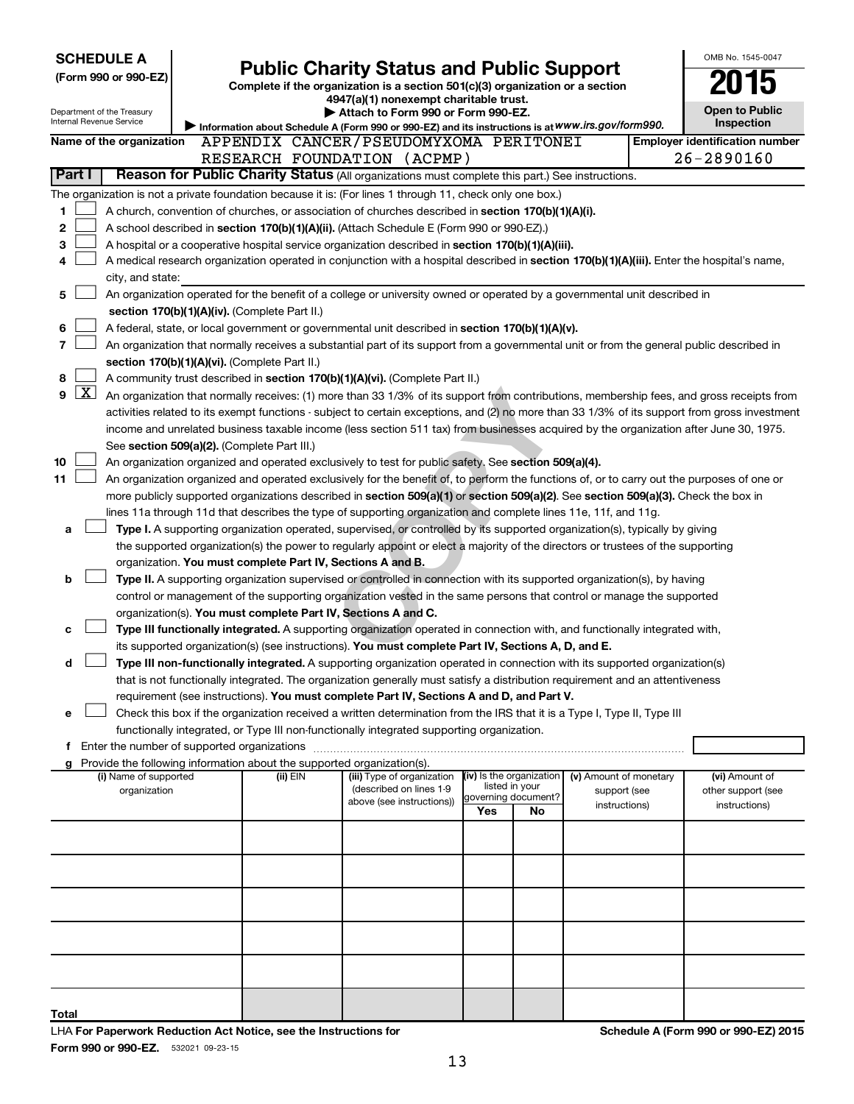| <b>SCHEDULE A</b>                                                                                         |                                                                                                                                            |                                                                        |                                                                                                                                                                                                                      |                          |                                       |                        |  | OMB No. 1545-0047                     |  |
|-----------------------------------------------------------------------------------------------------------|--------------------------------------------------------------------------------------------------------------------------------------------|------------------------------------------------------------------------|----------------------------------------------------------------------------------------------------------------------------------------------------------------------------------------------------------------------|--------------------------|---------------------------------------|------------------------|--|---------------------------------------|--|
| (Form 990 or 990-EZ)                                                                                      |                                                                                                                                            |                                                                        | <b>Public Charity Status and Public Support</b>                                                                                                                                                                      |                          |                                       |                        |  |                                       |  |
|                                                                                                           |                                                                                                                                            |                                                                        | Complete if the organization is a section 501(c)(3) organization or a section<br>4947(a)(1) nonexempt charitable trust.                                                                                              |                          |                                       |                        |  |                                       |  |
| Department of the Treasury                                                                                |                                                                                                                                            |                                                                        | Attach to Form 990 or Form 990-EZ.                                                                                                                                                                                   |                          |                                       |                        |  | <b>Open to Public</b>                 |  |
| Internal Revenue Service                                                                                  |                                                                                                                                            |                                                                        | Information about Schedule A (Form 990 or 990-EZ) and its instructions is at WWW.irs.gov/form990.                                                                                                                    |                          |                                       |                        |  | <b>Inspection</b>                     |  |
| Name of the organization                                                                                  |                                                                                                                                            |                                                                        | APPENDIX CANCER/PSEUDOMYXOMA PERITONEI                                                                                                                                                                               |                          |                                       |                        |  | <b>Employer identification number</b> |  |
|                                                                                                           |                                                                                                                                            |                                                                        | RESEARCH FOUNDATION (ACPMP)                                                                                                                                                                                          |                          |                                       |                        |  | 26-2890160                            |  |
| Part I                                                                                                    |                                                                                                                                            |                                                                        | Reason for Public Charity Status (All organizations must complete this part.) See instructions.                                                                                                                      |                          |                                       |                        |  |                                       |  |
| The organization is not a private foundation because it is: (For lines 1 through 11, check only one box.) |                                                                                                                                            |                                                                        |                                                                                                                                                                                                                      |                          |                                       |                        |  |                                       |  |
| 1                                                                                                         |                                                                                                                                            |                                                                        | A church, convention of churches, or association of churches described in section 170(b)(1)(A)(i).                                                                                                                   |                          |                                       |                        |  |                                       |  |
| 2                                                                                                         | A school described in section 170(b)(1)(A)(ii). (Attach Schedule E (Form 990 or 990-EZ).)                                                  |                                                                        |                                                                                                                                                                                                                      |                          |                                       |                        |  |                                       |  |
| 3                                                                                                         | A hospital or a cooperative hospital service organization described in section 170(b)(1)(A)(iii).                                          |                                                                        |                                                                                                                                                                                                                      |                          |                                       |                        |  |                                       |  |
| 4                                                                                                         | A medical research organization operated in conjunction with a hospital described in section 170(b)(1)(A)(iii). Enter the hospital's name, |                                                                        |                                                                                                                                                                                                                      |                          |                                       |                        |  |                                       |  |
| city, and state:                                                                                          |                                                                                                                                            |                                                                        |                                                                                                                                                                                                                      |                          |                                       |                        |  |                                       |  |
| 5                                                                                                         |                                                                                                                                            |                                                                        | An organization operated for the benefit of a college or university owned or operated by a governmental unit described in                                                                                            |                          |                                       |                        |  |                                       |  |
|                                                                                                           |                                                                                                                                            | section 170(b)(1)(A)(iv). (Complete Part II.)                          |                                                                                                                                                                                                                      |                          |                                       |                        |  |                                       |  |
| 6                                                                                                         |                                                                                                                                            |                                                                        | A federal, state, or local government or governmental unit described in section 170(b)(1)(A)(v).                                                                                                                     |                          |                                       |                        |  |                                       |  |
| 7                                                                                                         |                                                                                                                                            |                                                                        | An organization that normally receives a substantial part of its support from a governmental unit or from the general public described in                                                                            |                          |                                       |                        |  |                                       |  |
|                                                                                                           |                                                                                                                                            | section 170(b)(1)(A)(vi). (Complete Part II.)                          |                                                                                                                                                                                                                      |                          |                                       |                        |  |                                       |  |
| 8                                                                                                         |                                                                                                                                            |                                                                        | A community trust described in section 170(b)(1)(A)(vi). (Complete Part II.)                                                                                                                                         |                          |                                       |                        |  |                                       |  |
| $\boxed{\text{X}}$<br>9                                                                                   |                                                                                                                                            |                                                                        | An organization that normally receives: (1) more than 33 1/3% of its support from contributions, membership fees, and gross receipts from                                                                            |                          |                                       |                        |  |                                       |  |
|                                                                                                           |                                                                                                                                            |                                                                        | activities related to its exempt functions - subject to certain exceptions, and (2) no more than 33 1/3% of its support from gross investment                                                                        |                          |                                       |                        |  |                                       |  |
|                                                                                                           |                                                                                                                                            |                                                                        | income and unrelated business taxable income (less section 511 tax) from businesses acquired by the organization after June 30, 1975.                                                                                |                          |                                       |                        |  |                                       |  |
|                                                                                                           |                                                                                                                                            | See section 509(a)(2). (Complete Part III.)                            |                                                                                                                                                                                                                      |                          |                                       |                        |  |                                       |  |
| 10                                                                                                        |                                                                                                                                            |                                                                        | An organization organized and operated exclusively to test for public safety. See section 509(a)(4).                                                                                                                 |                          |                                       |                        |  |                                       |  |
| 11                                                                                                        |                                                                                                                                            |                                                                        | An organization organized and operated exclusively for the benefit of, to perform the functions of, or to carry out the purposes of one or                                                                           |                          |                                       |                        |  |                                       |  |
|                                                                                                           |                                                                                                                                            |                                                                        | more publicly supported organizations described in section 509(a)(1) or section 509(a)(2). See section 509(a)(3). Check the box in                                                                                   |                          |                                       |                        |  |                                       |  |
|                                                                                                           |                                                                                                                                            |                                                                        | lines 11a through 11d that describes the type of supporting organization and complete lines 11e, 11f, and 11g.                                                                                                       |                          |                                       |                        |  |                                       |  |
| а                                                                                                         |                                                                                                                                            |                                                                        | Type I. A supporting organization operated, supervised, or controlled by its supported organization(s), typically by giving                                                                                          |                          |                                       |                        |  |                                       |  |
|                                                                                                           |                                                                                                                                            |                                                                        | the supported organization(s) the power to regularly appoint or elect a majority of the directors or trustees of the supporting                                                                                      |                          |                                       |                        |  |                                       |  |
|                                                                                                           |                                                                                                                                            | organization. You must complete Part IV, Sections A and B.             |                                                                                                                                                                                                                      |                          |                                       |                        |  |                                       |  |
| b                                                                                                         |                                                                                                                                            |                                                                        | Type II. A supporting organization supervised or controlled in connection with its supported organization(s), by having                                                                                              |                          |                                       |                        |  |                                       |  |
|                                                                                                           |                                                                                                                                            |                                                                        | control or management of the supporting organization vested in the same persons that control or manage the supported                                                                                                 |                          |                                       |                        |  |                                       |  |
|                                                                                                           |                                                                                                                                            | organization(s). You must complete Part IV, Sections A and C.          |                                                                                                                                                                                                                      |                          |                                       |                        |  |                                       |  |
| с                                                                                                         |                                                                                                                                            |                                                                        | Type III functionally integrated. A supporting organization operated in connection with, and functionally integrated with,                                                                                           |                          |                                       |                        |  |                                       |  |
|                                                                                                           |                                                                                                                                            |                                                                        | its supported organization(s) (see instructions). You must complete Part IV, Sections A, D, and E.                                                                                                                   |                          |                                       |                        |  |                                       |  |
| d                                                                                                         |                                                                                                                                            |                                                                        | Type III non-functionally integrated. A supporting organization operated in connection with its supported organization(s)                                                                                            |                          |                                       |                        |  |                                       |  |
|                                                                                                           |                                                                                                                                            |                                                                        | that is not functionally integrated. The organization generally must satisfy a distribution requirement and an attentiveness                                                                                         |                          |                                       |                        |  |                                       |  |
|                                                                                                           |                                                                                                                                            |                                                                        | requirement (see instructions). You must complete Part IV, Sections A and D, and Part V.                                                                                                                             |                          |                                       |                        |  |                                       |  |
| е                                                                                                         |                                                                                                                                            |                                                                        | Check this box if the organization received a written determination from the IRS that it is a Type I, Type II, Type III<br>functionally integrated, or Type III non-functionally integrated supporting organization. |                          |                                       |                        |  |                                       |  |
| f Enter the number of supported organizations                                                             |                                                                                                                                            |                                                                        |                                                                                                                                                                                                                      |                          |                                       |                        |  |                                       |  |
|                                                                                                           |                                                                                                                                            | Provide the following information about the supported organization(s). |                                                                                                                                                                                                                      |                          |                                       |                        |  |                                       |  |
| g<br>(i) Name of supported                                                                                |                                                                                                                                            | (ii) EIN                                                               | (iii) Type of organization                                                                                                                                                                                           | (iv) Is the organization |                                       | (v) Amount of monetary |  | (vi) Amount of                        |  |
| organization                                                                                              |                                                                                                                                            |                                                                        | (described on lines 1-9                                                                                                                                                                                              |                          | listed in your<br>governing document? | support (see           |  | other support (see                    |  |
|                                                                                                           |                                                                                                                                            |                                                                        | above (see instructions))                                                                                                                                                                                            | Yes                      | <b>No</b>                             | instructions)          |  | instructions)                         |  |
|                                                                                                           |                                                                                                                                            |                                                                        |                                                                                                                                                                                                                      |                          |                                       |                        |  |                                       |  |
|                                                                                                           |                                                                                                                                            |                                                                        |                                                                                                                                                                                                                      |                          |                                       |                        |  |                                       |  |
|                                                                                                           |                                                                                                                                            |                                                                        |                                                                                                                                                                                                                      |                          |                                       |                        |  |                                       |  |
|                                                                                                           |                                                                                                                                            |                                                                        |                                                                                                                                                                                                                      |                          |                                       |                        |  |                                       |  |
|                                                                                                           |                                                                                                                                            |                                                                        |                                                                                                                                                                                                                      |                          |                                       |                        |  |                                       |  |
|                                                                                                           |                                                                                                                                            |                                                                        |                                                                                                                                                                                                                      |                          |                                       |                        |  |                                       |  |
|                                                                                                           |                                                                                                                                            |                                                                        |                                                                                                                                                                                                                      |                          |                                       |                        |  |                                       |  |
|                                                                                                           |                                                                                                                                            |                                                                        |                                                                                                                                                                                                                      |                          |                                       |                        |  |                                       |  |
|                                                                                                           |                                                                                                                                            |                                                                        |                                                                                                                                                                                                                      |                          |                                       |                        |  |                                       |  |
| Total                                                                                                     |                                                                                                                                            |                                                                        |                                                                                                                                                                                                                      |                          |                                       |                        |  |                                       |  |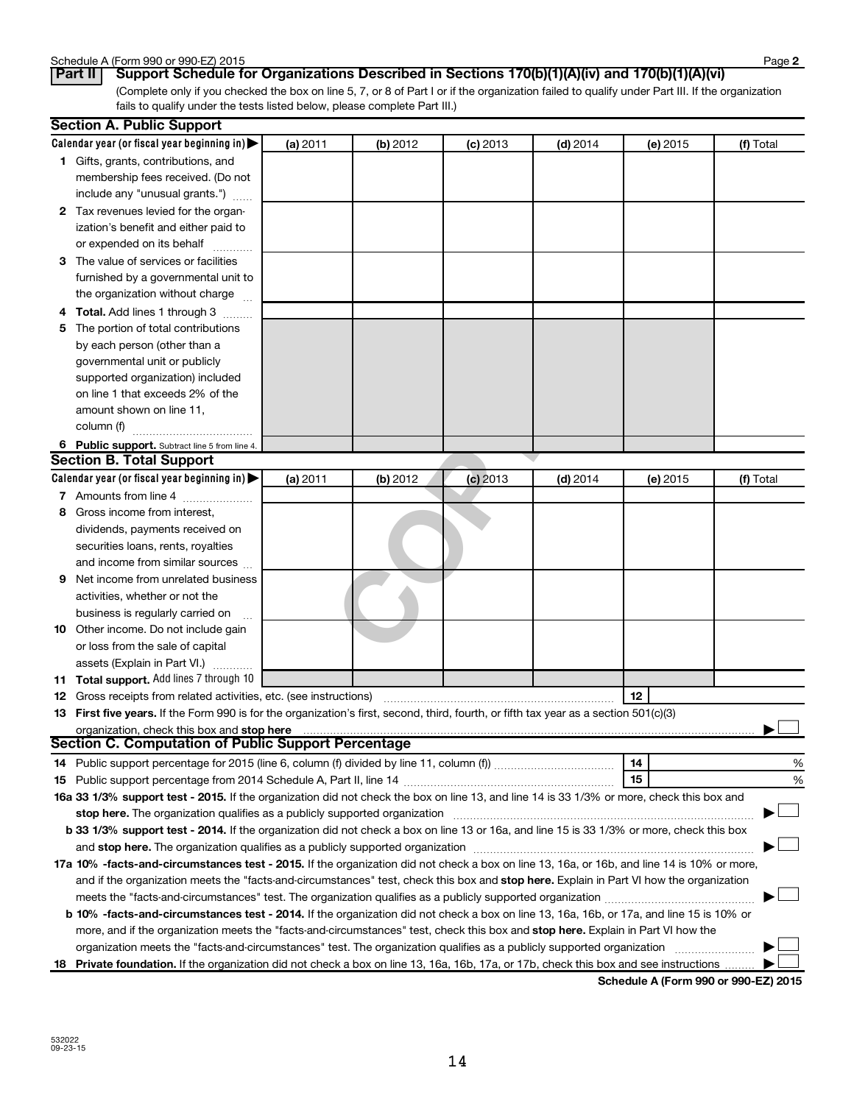| Schedule A (Form 990 or 990-EZ) 2015 | Page |
|--------------------------------------|------|
|--------------------------------------|------|

**2**

| Part II   Support Schedule for Organizations Described in Sections 170(b)(1)(A)(iv) and 170(b)(1)(A)(vi)                                        |
|-------------------------------------------------------------------------------------------------------------------------------------------------|
| (Complete only if you checked the box on line 5, 7, or 8 of Part I or if the organization failed to qualify under Part III. If the organization |
| fails to qualify under the tests listed below, please complete Part III.)                                                                       |

|   | <b>Section A. Public Support</b>                                                                                                                                                                                               |          |          |            |            |          |           |
|---|--------------------------------------------------------------------------------------------------------------------------------------------------------------------------------------------------------------------------------|----------|----------|------------|------------|----------|-----------|
|   | Calendar year (or fiscal year beginning in)                                                                                                                                                                                    | (a) 2011 | (b) 2012 | $(c)$ 2013 | $(d)$ 2014 | (e) 2015 | (f) Total |
|   | 1 Gifts, grants, contributions, and                                                                                                                                                                                            |          |          |            |            |          |           |
|   | membership fees received. (Do not                                                                                                                                                                                              |          |          |            |            |          |           |
|   | include any "unusual grants.")                                                                                                                                                                                                 |          |          |            |            |          |           |
|   | 2 Tax revenues levied for the organ-                                                                                                                                                                                           |          |          |            |            |          |           |
|   | ization's benefit and either paid to                                                                                                                                                                                           |          |          |            |            |          |           |
|   | or expended on its behalf                                                                                                                                                                                                      |          |          |            |            |          |           |
|   | 3 The value of services or facilities                                                                                                                                                                                          |          |          |            |            |          |           |
|   | furnished by a governmental unit to                                                                                                                                                                                            |          |          |            |            |          |           |
|   | the organization without charge                                                                                                                                                                                                |          |          |            |            |          |           |
| 4 | <b>Total.</b> Add lines 1 through 3                                                                                                                                                                                            |          |          |            |            |          |           |
| 5 | The portion of total contributions                                                                                                                                                                                             |          |          |            |            |          |           |
|   | by each person (other than a                                                                                                                                                                                                   |          |          |            |            |          |           |
|   | governmental unit or publicly                                                                                                                                                                                                  |          |          |            |            |          |           |
|   | supported organization) included                                                                                                                                                                                               |          |          |            |            |          |           |
|   | on line 1 that exceeds 2% of the                                                                                                                                                                                               |          |          |            |            |          |           |
|   | amount shown on line 11,                                                                                                                                                                                                       |          |          |            |            |          |           |
|   | column (f)                                                                                                                                                                                                                     |          |          |            |            |          |           |
|   | 6 Public support. Subtract line 5 from line 4.                                                                                                                                                                                 |          |          |            |            |          |           |
|   | <b>Section B. Total Support</b>                                                                                                                                                                                                |          |          |            |            |          |           |
|   | Calendar year (or fiscal year beginning in)                                                                                                                                                                                    | (a) 2011 | (b) 2012 | $(c)$ 2013 | $(d)$ 2014 | (e) 2015 | (f) Total |
|   | 7 Amounts from line 4                                                                                                                                                                                                          |          |          |            |            |          |           |
| 8 | Gross income from interest,                                                                                                                                                                                                    |          |          |            |            |          |           |
|   | dividends, payments received on                                                                                                                                                                                                |          |          |            |            |          |           |
|   | securities loans, rents, royalties                                                                                                                                                                                             |          |          |            |            |          |           |
|   | and income from similar sources                                                                                                                                                                                                |          |          |            |            |          |           |
| 9 | Net income from unrelated business                                                                                                                                                                                             |          |          |            |            |          |           |
|   | activities, whether or not the                                                                                                                                                                                                 |          |          |            |            |          |           |
|   | business is regularly carried on                                                                                                                                                                                               |          |          |            |            |          |           |
|   | <b>10</b> Other income. Do not include gain                                                                                                                                                                                    |          |          |            |            |          |           |
|   | or loss from the sale of capital                                                                                                                                                                                               |          |          |            |            |          |           |
|   | assets (Explain in Part VI.)                                                                                                                                                                                                   |          |          |            |            |          |           |
|   | <b>11 Total support.</b> Add lines 7 through 10                                                                                                                                                                                |          |          |            |            |          |           |
|   | <b>12</b> Gross receipts from related activities, etc. (see instructions)                                                                                                                                                      |          |          |            |            | 12       |           |
|   | 13 First five years. If the Form 990 is for the organization's first, second, third, fourth, or fifth tax year as a section 501(c)(3)                                                                                          |          |          |            |            |          |           |
|   | organization, check this box and stop here                                                                                                                                                                                     |          |          |            |            |          |           |
|   | <b>Section C. Computation of Public Support Percentage</b>                                                                                                                                                                     |          |          |            |            |          |           |
|   |                                                                                                                                                                                                                                |          |          |            |            | 14       | %         |
|   |                                                                                                                                                                                                                                |          |          |            |            | 15       | %         |
|   | 16a 33 1/3% support test - 2015. If the organization did not check the box on line 13, and line 14 is 33 1/3% or more, check this box and                                                                                      |          |          |            |            |          |           |
|   | stop here. The organization qualifies as a publicly supported organization manufaction manufacture or manufacture or the organization manufacture or the organization of the state of the state of the state of the state or m |          |          |            |            |          |           |
|   | b 33 1/3% support test - 2014. If the organization did not check a box on line 13 or 16a, and line 15 is 33 1/3% or more, check this box                                                                                       |          |          |            |            |          |           |
|   |                                                                                                                                                                                                                                |          |          |            |            |          |           |
|   | 17a 10% -facts-and-circumstances test - 2015. If the organization did not check a box on line 13, 16a, or 16b, and line 14 is 10% or more,                                                                                     |          |          |            |            |          |           |
|   | and if the organization meets the "facts-and-circumstances" test, check this box and stop here. Explain in Part VI how the organization                                                                                        |          |          |            |            |          |           |
|   |                                                                                                                                                                                                                                |          |          |            |            |          |           |
|   | <b>b 10%</b> -facts-and-circumstances test - 2014. If the organization did not check a box on line 13, 16a, 16b, or 17a, and line 15 is 10% or                                                                                 |          |          |            |            |          |           |
|   |                                                                                                                                                                                                                                |          |          |            |            |          |           |
|   | more, and if the organization meets the "facts-and-circumstances" test, check this box and stop here. Explain in Part VI how the                                                                                               |          |          |            |            |          |           |
|   | organization meets the "facts-and-circumstances" test. The organization qualifies as a publicly supported organization                                                                                                         |          |          |            |            |          |           |
|   | 18 Private foundation. If the organization did not check a box on line 13, 16a, 16b, 17a, or 17b, check this box and see instructions                                                                                          |          |          |            |            |          |           |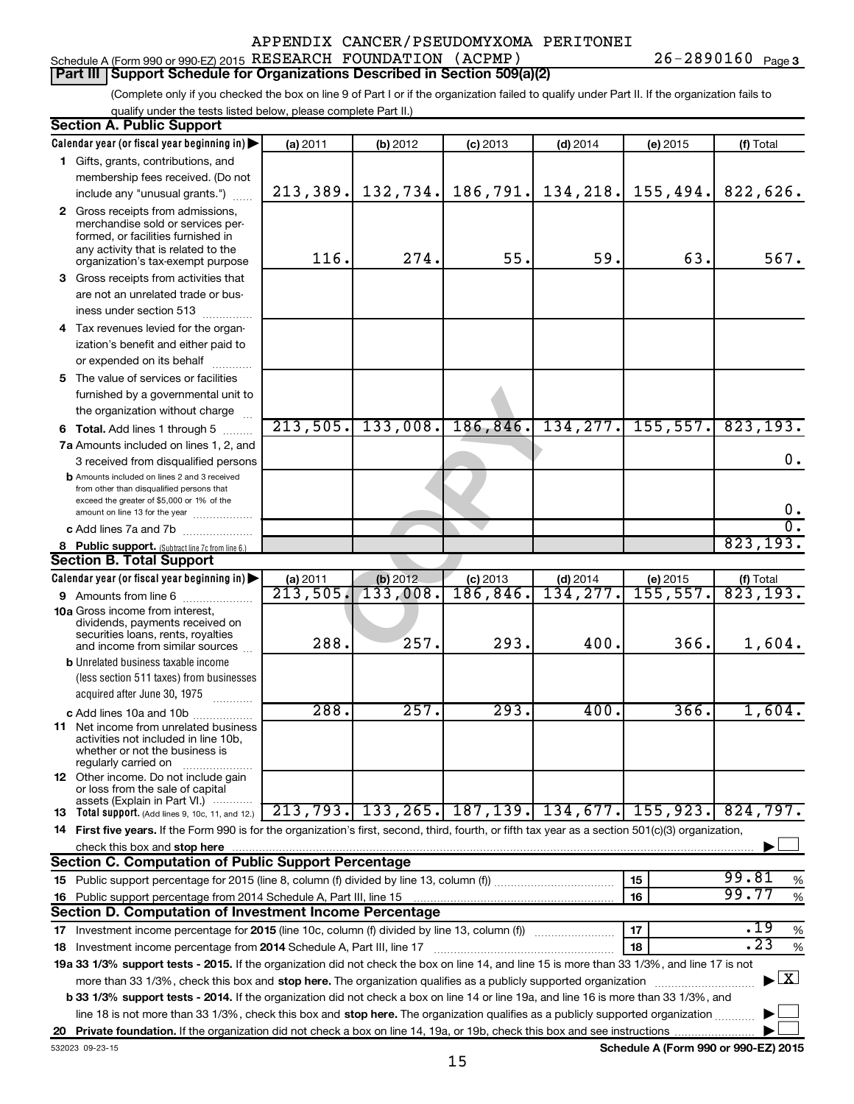# Schedule A (Form 990 or 990-EZ) 2015 Page RESEARCH FOUNDATION (ACPMP) 26-2890160

**Part III Support Schedule for Organizations Described in Section 509(a)(2)** 

(Complete only if you checked the box on line 9 of Part I or if the organization failed to qualify under Part II. If the organization fails to qualify under the tests listed below, please complete Part II.)

| <b>Section A. Public Support</b>                                                                                                                                                                                                    |                      |          |                                                   |            |           |                                      |  |  |
|-------------------------------------------------------------------------------------------------------------------------------------------------------------------------------------------------------------------------------------|----------------------|----------|---------------------------------------------------|------------|-----------|--------------------------------------|--|--|
| Calendar year (or fiscal year beginning in)                                                                                                                                                                                         | (a) 2011             | (b) 2012 | $(c)$ 2013                                        | $(d)$ 2014 | (e) 2015  | (f) Total                            |  |  |
| 1 Gifts, grants, contributions, and                                                                                                                                                                                                 |                      |          |                                                   |            |           |                                      |  |  |
| membership fees received. (Do not                                                                                                                                                                                                   |                      |          |                                                   |            |           |                                      |  |  |
| include any "unusual grants.")                                                                                                                                                                                                      | 213,389.             | 132,734. | 186, 791.                                         | 134,218.   | 155,494.  | 822,626.                             |  |  |
| 2 Gross receipts from admissions,<br>merchandise sold or services per-<br>formed, or facilities furnished in<br>any activity that is related to the<br>organization's tax-exempt purpose                                            | 116.                 | 274.     | 55.                                               | 59.        | 63.       | 567.                                 |  |  |
| <b>3</b> Gross receipts from activities that                                                                                                                                                                                        |                      |          |                                                   |            |           |                                      |  |  |
| are not an unrelated trade or bus-                                                                                                                                                                                                  |                      |          |                                                   |            |           |                                      |  |  |
| iness under section 513                                                                                                                                                                                                             |                      |          |                                                   |            |           |                                      |  |  |
| 4 Tax revenues levied for the organ-                                                                                                                                                                                                |                      |          |                                                   |            |           |                                      |  |  |
| ization's benefit and either paid to                                                                                                                                                                                                |                      |          |                                                   |            |           |                                      |  |  |
| or expended on its behalf                                                                                                                                                                                                           |                      |          |                                                   |            |           |                                      |  |  |
| 5 The value of services or facilities                                                                                                                                                                                               |                      |          |                                                   |            |           |                                      |  |  |
| furnished by a governmental unit to                                                                                                                                                                                                 |                      |          |                                                   |            |           |                                      |  |  |
| the organization without charge                                                                                                                                                                                                     |                      |          |                                                   |            |           |                                      |  |  |
| <b>6 Total.</b> Add lines 1 through 5                                                                                                                                                                                               | 213,505.             | 133,008. | 186, 846.                                         | 134, 277.  | 155, 557. | 823,193.                             |  |  |
| 7a Amounts included on lines 1, 2, and                                                                                                                                                                                              |                      |          |                                                   |            |           |                                      |  |  |
| 3 received from disqualified persons                                                                                                                                                                                                |                      |          |                                                   |            |           | 0.                                   |  |  |
| <b>b</b> Amounts included on lines 2 and 3 received<br>from other than disqualified persons that<br>exceed the greater of \$5,000 or 1% of the                                                                                      |                      |          |                                                   |            |           |                                      |  |  |
| amount on line 13 for the year                                                                                                                                                                                                      |                      |          |                                                   |            |           | 0.                                   |  |  |
| c Add lines 7a and 7b                                                                                                                                                                                                               |                      |          |                                                   |            |           | σ.                                   |  |  |
| 8 Public support. (Subtract line 7c from line 6.)                                                                                                                                                                                   |                      |          |                                                   |            |           | 823, 193.                            |  |  |
| <b>Section B. Total Support</b>                                                                                                                                                                                                     |                      |          |                                                   |            |           |                                      |  |  |
| Calendar year (or fiscal year beginning in)                                                                                                                                                                                         | (a) 2011             | (b) 2012 | (c) 2013                                          | $(d)$ 2014 | (e) 2015  | $rac{f(f) \text{ Total}}{823,193.}$  |  |  |
| <b>9</b> Amounts from line 6                                                                                                                                                                                                        | $\overline{213,505}$ | 133,008. | 186, 846.                                         | 134,277.   | 155,557.  |                                      |  |  |
| <b>10a</b> Gross income from interest,<br>dividends, payments received on<br>securities loans, rents, royalties<br>and income from similar sources                                                                                  | 288.                 | 257.     | 293.                                              | 400.       | 366.      | 1,604.                               |  |  |
| <b>b</b> Unrelated business taxable income                                                                                                                                                                                          |                      |          |                                                   |            |           |                                      |  |  |
| (less section 511 taxes) from businesses                                                                                                                                                                                            |                      |          |                                                   |            |           |                                      |  |  |
| acquired after June 30, 1975                                                                                                                                                                                                        |                      |          |                                                   |            |           |                                      |  |  |
| c Add lines 10a and 10b                                                                                                                                                                                                             | $\overline{288}$ .   | 257.     | 293.                                              | 400.       | 366.      | 1,604.                               |  |  |
| <b>11</b> Net income from unrelated business<br>activities not included in line 10b,<br>whether or not the business is<br>regularly carried on                                                                                      |                      |          |                                                   |            |           |                                      |  |  |
| 12 Other income. Do not include gain<br>or loss from the sale of capital<br>assets (Explain in Part VI.)                                                                                                                            |                      |          |                                                   |            |           |                                      |  |  |
| <b>13</b> Total support. (Add lines 9, 10c, 11, and 12.)                                                                                                                                                                            |                      |          | 213, 793, 133, 265, 187, 139, 134, 677, 155, 923, |            |           | 824,797.                             |  |  |
| 14 First five years. If the Form 990 is for the organization's first, second, third, fourth, or fifth tax year as a section 501(c)(3) organization,                                                                                 |                      |          |                                                   |            |           |                                      |  |  |
| check this box and stop here <i>macuum content and accordination of the state of the state and stop here</i> macuum content and stop here and stop here and stop here and stop here and stop the state of the state of the state of |                      |          |                                                   |            |           |                                      |  |  |
| Section C. Computation of Public Support Percentage                                                                                                                                                                                 |                      |          |                                                   |            |           |                                      |  |  |
|                                                                                                                                                                                                                                     |                      |          |                                                   |            | 15        | 99.81<br>%                           |  |  |
|                                                                                                                                                                                                                                     |                      |          |                                                   |            | 16        | 99.77<br>$\%$                        |  |  |
| Section D. Computation of Investment Income Percentage                                                                                                                                                                              |                      |          |                                                   |            |           |                                      |  |  |
|                                                                                                                                                                                                                                     |                      |          |                                                   |            | 17        | .19<br>%                             |  |  |
| 17 Investment income percentage for 2015 (line 10c, column (f) divided by line 13, column (f))<br>.23<br>18<br>$\%$<br>18 Investment income percentage from 2014 Schedule A, Part III, line 17                                      |                      |          |                                                   |            |           |                                      |  |  |
| 19a 33 1/3% support tests - 2015. If the organization did not check the box on line 14, and line 15 is more than 33 1/3%, and line 17 is not                                                                                        |                      |          |                                                   |            |           |                                      |  |  |
| more than 33 1/3%, check this box and stop here. The organization qualifies as a publicly supported organization                                                                                                                    |                      |          |                                                   |            |           | $\blacktriangleright$ $\mathbf{X}$   |  |  |
| <b>b 33 1/3% support tests - 2014.</b> If the organization did not check a box on line 14 or line 19a, and line 16 is more than 33 1/3%, and                                                                                        |                      |          |                                                   |            |           |                                      |  |  |
| line 18 is not more than 33 1/3%, check this box and stop here. The organization qualifies as a publicly supported organization                                                                                                     |                      |          |                                                   |            |           |                                      |  |  |
|                                                                                                                                                                                                                                     |                      |          |                                                   |            |           |                                      |  |  |
| 532023 09-23-15                                                                                                                                                                                                                     |                      |          |                                                   |            |           | Schedule A (Form 990 or 990-EZ) 2015 |  |  |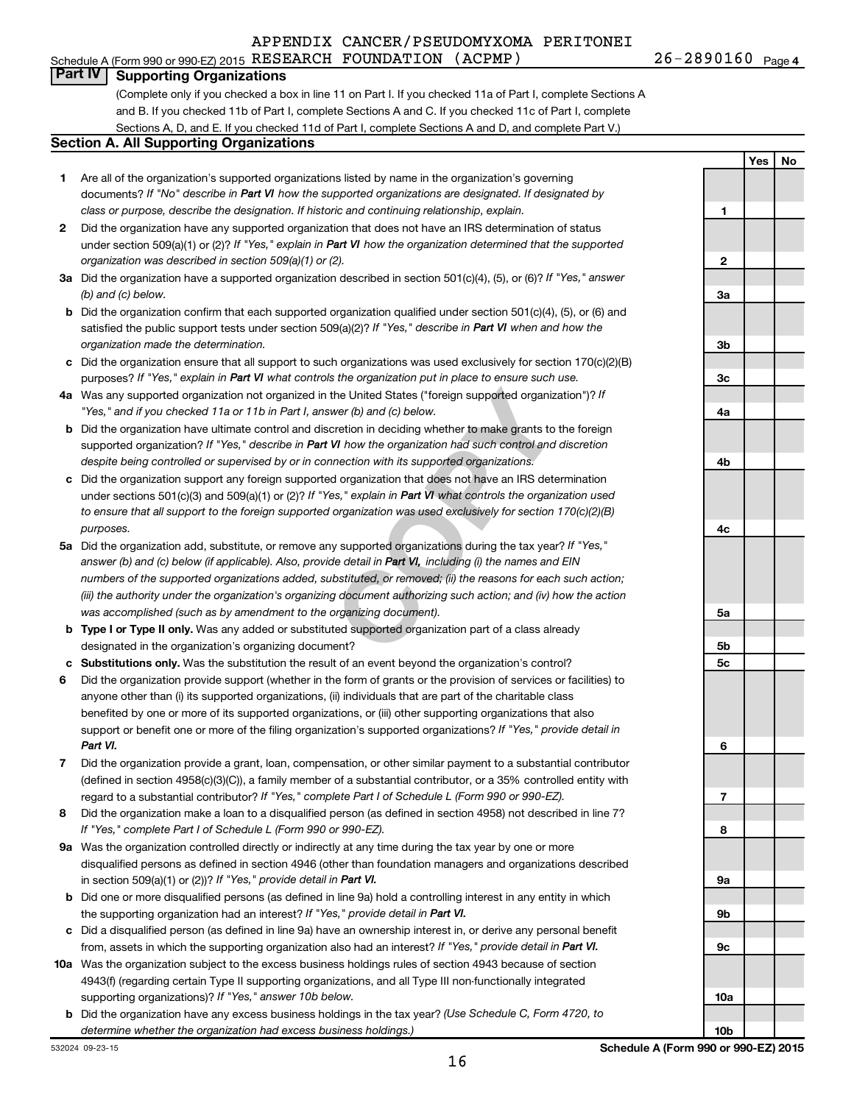Schedule A (Form 990 or 990-EZ) 2015 Page RESEARCH FOUNDATION (ACPMP) 26-2890160

26-2890160 Page 4

**Yes No**

### **Part IV Supporting Organizations**

(Complete only if you checked a box in line 11 on Part I. If you checked 11a of Part I, complete Sections A and B. If you checked 11b of Part I, complete Sections A and C. If you checked 11c of Part I, complete Sections A, D, and E. If you checked 11d of Part I, complete Sections A and D, and complete Part V.)

#### **Section A. All Supporting Organizations**

- **1** Are all of the organization's supported organizations listed by name in the organization's governing documents? If "No" describe in Part VI how the supported organizations are designated. If designated by *class or purpose, describe the designation. If historic and continuing relationship, explain.*
- **2** Did the organization have any supported organization that does not have an IRS determination of status under section 509(a)(1) or (2)? If "Yes," explain in Part VI how the organization determined that the supported *organization was described in section 509(a)(1) or (2).*
- **3a** Did the organization have a supported organization described in section 501(c)(4), (5), or (6)? If "Yes," answer *(b) and (c) below.*
- **b** Did the organization confirm that each supported organization qualified under section 501(c)(4), (5), or (6) and satisfied the public support tests under section 509(a)(2)? If "Yes," describe in Part VI when and how the *organization made the determination.*
- **c** Did the organization ensure that all support to such organizations was used exclusively for section 170(c)(2)(B) purposes? If "Yes," explain in Part VI what controls the organization put in place to ensure such use.
- **4 a** *If* Was any supported organization not organized in the United States ("foreign supported organization")? *"Yes," and if you checked 11a or 11b in Part I, answer (b) and (c) below.*
- **b** Did the organization have ultimate control and discretion in deciding whether to make grants to the foreign supported organization? If "Yes," describe in Part VI how the organization had such control and discretion *despite being controlled or supervised by or in connection with its supported organizations.*
- **c** Did the organization support any foreign supported organization that does not have an IRS determination under sections 501(c)(3) and 509(a)(1) or (2)? If "Yes," explain in Part VI what controls the organization used *to ensure that all support to the foreign supported organization was used exclusively for section 170(c)(2)(B) purposes.*
- the United States ("foreign supported organization")? *I*<br>wer (b) and (c) below.<br>Correction in deciding whether to make grants to the foreignal<br>W how the organization had such control and discretion<br>nection with its suppor **5a** Did the organization add, substitute, or remove any supported organizations during the tax year? If "Yes," answer (b) and (c) below (if applicable). Also, provide detail in Part VI, including (i) the names and EIN *numbers of the supported organizations added, substituted, or removed; (ii) the reasons for each such action; (iii) the authority under the organization's organizing document authorizing such action; and (iv) how the action was accomplished (such as by amendment to the organizing document).*
- **b** Type I or Type II only. Was any added or substituted supported organization part of a class already designated in the organization's organizing document?
- **c Substitutions only.**  Was the substitution the result of an event beyond the organization's control?
- **6** Did the organization provide support (whether in the form of grants or the provision of services or facilities) to support or benefit one or more of the filing organization's supported organizations? If "Yes," provide detail in anyone other than (i) its supported organizations, (ii) individuals that are part of the charitable class benefited by one or more of its supported organizations, or (iii) other supporting organizations that also *Part VI.*
- **7** Did the organization provide a grant, loan, compensation, or other similar payment to a substantial contributor regard to a substantial contributor? If "Yes," complete Part I of Schedule L (Form 990 or 990-EZ). (defined in section 4958(c)(3)(C)), a family member of a substantial contributor, or a 35% controlled entity with
- **8** Did the organization make a loan to a disqualified person (as defined in section 4958) not described in line 7? *If "Yes," complete Part I of Schedule L (Form 990 or 990-EZ).*
- **9 a** Was the organization controlled directly or indirectly at any time during the tax year by one or more in section 509(a)(1) or (2))? If "Yes," provide detail in **Part VI.** disqualified persons as defined in section 4946 (other than foundation managers and organizations described
- **b** Did one or more disqualified persons (as defined in line 9a) hold a controlling interest in any entity in which the supporting organization had an interest? If "Yes," provide detail in Part VI.
- **c** Did a disqualified person (as defined in line 9a) have an ownership interest in, or derive any personal benefit from, assets in which the supporting organization also had an interest? If "Yes," provide detail in Part VI.
- **10 a** Was the organization subject to the excess business holdings rules of section 4943 because of section supporting organizations)? If "Yes," answer 10b below. 4943(f) (regarding certain Type II supporting organizations, and all Type III non-functionally integrated
- **b** Did the organization have any excess business holdings in the tax year? (Use Schedule C, Form 4720, to *determine whether the organization had excess business holdings.)*

**1 2 3a 3b 3c 4a 4b 4c 5a 5b 5c 6 7 8 9a 9b 9c 10a**

**10b**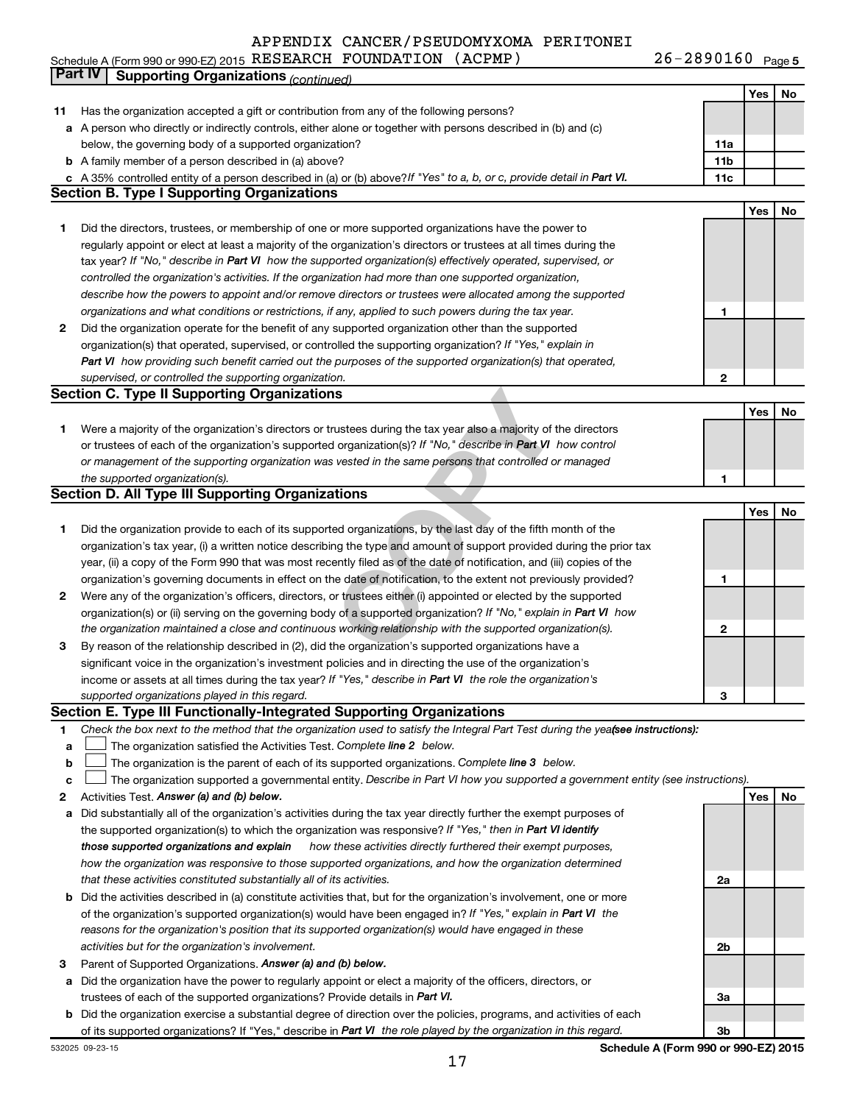Schedule A (Form 990 or 990-EZ) 2015 RESEARCH FOUNDATION (ACPMP) Z6-Z89UI6U Page RESEARCH FOUNDATION (ACPMP) 26-2890160

26-2890160 Page 5

|    | Part IV<br><b>Supporting Organizations (continued)</b>                                                                          |                 |     |    |
|----|---------------------------------------------------------------------------------------------------------------------------------|-----------------|-----|----|
|    |                                                                                                                                 |                 | Yes | No |
| 11 | Has the organization accepted a gift or contribution from any of the following persons?                                         |                 |     |    |
|    | a A person who directly or indirectly controls, either alone or together with persons described in (b) and (c)                  |                 |     |    |
|    | below, the governing body of a supported organization?                                                                          | 11a             |     |    |
|    | <b>b</b> A family member of a person described in (a) above?                                                                    | 11 <sub>b</sub> |     |    |
|    | c A 35% controlled entity of a person described in (a) or (b) above? If "Yes" to a, b, or c, provide detail in Part VI.         | 11c             |     |    |
|    | <b>Section B. Type I Supporting Organizations</b>                                                                               |                 |     |    |
|    |                                                                                                                                 |                 | Yes | No |
| 1  | Did the directors, trustees, or membership of one or more supported organizations have the power to                             |                 |     |    |
|    | regularly appoint or elect at least a majority of the organization's directors or trustees at all times during the              |                 |     |    |
|    | tax year? If "No," describe in Part VI how the supported organization(s) effectively operated, supervised, or                   |                 |     |    |
|    | controlled the organization's activities. If the organization had more than one supported organization,                         |                 |     |    |
|    | describe how the powers to appoint and/or remove directors or trustees were allocated among the supported                       |                 |     |    |
|    | organizations and what conditions or restrictions, if any, applied to such powers during the tax year.                          | 1               |     |    |
| 2  | Did the organization operate for the benefit of any supported organization other than the supported                             |                 |     |    |
|    | organization(s) that operated, supervised, or controlled the supporting organization? If "Yes," explain in                      |                 |     |    |
|    | Part VI how providing such benefit carried out the purposes of the supported organization(s) that operated,                     |                 |     |    |
|    | supervised, or controlled the supporting organization.                                                                          | 2               |     |    |
|    | <b>Section C. Type II Supporting Organizations</b>                                                                              |                 |     |    |
|    |                                                                                                                                 |                 | Yes | No |
| 1  | Were a majority of the organization's directors or trustees during the tax year also a majority of the directors                |                 |     |    |
|    | or trustees of each of the organization's supported organization(s)? If "No," describe in Part VI how control                   |                 |     |    |
|    | or management of the supporting organization was vested in the same persons that controlled or managed                          |                 |     |    |
|    | the supported organization(s).                                                                                                  | 1               |     |    |
|    | <b>Section D. All Type III Supporting Organizations</b>                                                                         |                 |     |    |
|    |                                                                                                                                 |                 | Yes | No |
| 1  | Did the organization provide to each of its supported organizations, by the last day of the fifth month of the                  |                 |     |    |
|    | organization's tax year, (i) a written notice describing the type and amount of support provided during the prior tax           |                 |     |    |
|    | year, (ii) a copy of the Form 990 that was most recently filed as of the date of notification, and (iii) copies of the          |                 |     |    |
|    | organization's governing documents in effect on the date of notification, to the extent not previously provided?                | 1               |     |    |
| 2  | Were any of the organization's officers, directors, or trustees either (i) appointed or elected by the supported                |                 |     |    |
|    | organization(s) or (ii) serving on the governing body of a supported organization? If "No," explain in Part VI how              |                 |     |    |
|    | the organization maintained a close and continuous working relationship with the supported organization(s).                     | 2               |     |    |
| 3  | By reason of the relationship described in (2), did the organization's supported organizations have a                           |                 |     |    |
|    | significant voice in the organization's investment policies and in directing the use of the organization's                      |                 |     |    |
|    | income or assets at all times during the tax year? If "Yes," describe in Part VI the role the organization's                    |                 |     |    |
|    | supported organizations played in this regard.                                                                                  | з               |     |    |
|    | Section E. Type III Functionally-Integrated Supporting Organizations                                                            |                 |     |    |
| 1  | Check the box next to the method that the organization used to satisfy the Integral Part Test during the yealsee instructions): |                 |     |    |
| a  | The organization satisfied the Activities Test. Complete line 2 below.                                                          |                 |     |    |
| b  | The organization is the parent of each of its supported organizations. Complete line 3 below.                                   |                 |     |    |
| c  | The organization supported a governmental entity. Describe in Part VI how you supported a government entity (see instructions). |                 |     |    |
| 2  | Activities Test. Answer (a) and (b) below.                                                                                      |                 | Yes | No |
| а  | Did substantially all of the organization's activities during the tax year directly further the exempt purposes of              |                 |     |    |
|    | the supported organization(s) to which the organization was responsive? If "Yes," then in Part VI identify                      |                 |     |    |
|    | how these activities directly furthered their exempt purposes,<br>those supported organizations and explain                     |                 |     |    |
|    | how the organization was responsive to those supported organizations, and how the organization determined                       |                 |     |    |
|    | that these activities constituted substantially all of its activities.                                                          | 2a              |     |    |
| b  | Did the activities described in (a) constitute activities that, but for the organization's involvement, one or more             |                 |     |    |
|    | of the organization's supported organization(s) would have been engaged in? If "Yes," explain in Part VI the                    |                 |     |    |
|    | reasons for the organization's position that its supported organization(s) would have engaged in these                          |                 |     |    |
|    | activities but for the organization's involvement.                                                                              | 2b              |     |    |
| 3  | Parent of Supported Organizations. Answer (a) and (b) below.                                                                    |                 |     |    |
| а  | Did the organization have the power to regularly appoint or elect a majority of the officers, directors, or                     |                 |     |    |
|    | trustees of each of the supported organizations? Provide details in Part VI.                                                    | За              |     |    |
| b  | Did the organization exercise a substantial degree of direction over the policies, programs, and activities of each             |                 |     |    |
|    | of its supported organizations? If "Yes," describe in Part VI the role played by the organization in this regard.               | 3b              |     |    |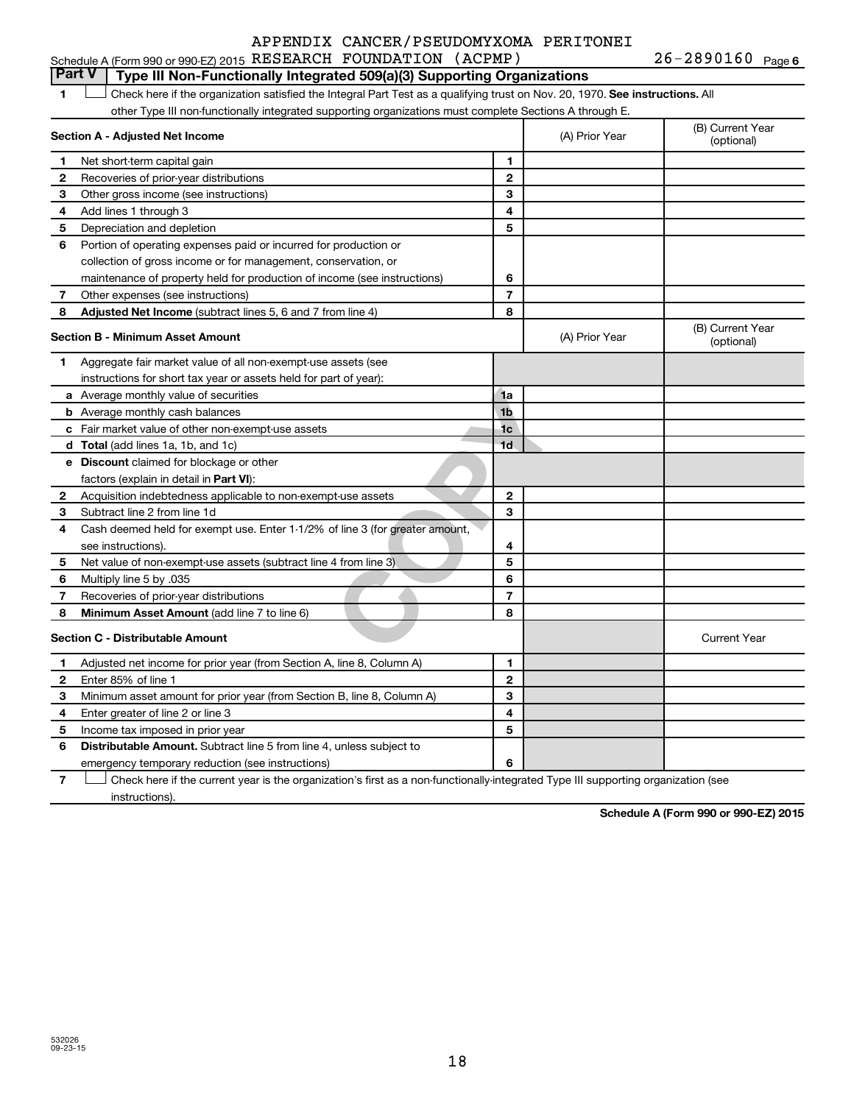|  |  | Schedule A (Form 990 or 990-EZ) 2015 RESEARCH FOUNDATION (ACPMP) |  |  | $26 - 2890160$ Page 6 |  |
|--|--|------------------------------------------------------------------|--|--|-----------------------|--|
|--|--|------------------------------------------------------------------|--|--|-----------------------|--|

# **Part V Type III Non-Functionally Integrated 509(a)(3) Supporting Organizations**

1  $\Box$  Check here if the organization satisfied the Integral Part Test as a qualifying trust on Nov. 20, 1970. See instructions. All other Type III non-functionally integrated supporting organizations must complete Sections A through E.  $\Box$ 

|              | Section A - Adjusted Net Income                                              | (A) Prior Year | (B) Current Year<br>(optional) |                                |
|--------------|------------------------------------------------------------------------------|----------------|--------------------------------|--------------------------------|
| 1            | Net short-term capital gain                                                  | 1              |                                |                                |
| $\mathbf{2}$ | Recoveries of prior-year distributions                                       | $\mathbf{2}$   |                                |                                |
| З            | Other gross income (see instructions)                                        | 3              |                                |                                |
| 4            | Add lines 1 through 3                                                        | 4              |                                |                                |
| 5            | Depreciation and depletion                                                   | 5              |                                |                                |
| 6            | Portion of operating expenses paid or incurred for production or             |                |                                |                                |
|              | collection of gross income or for management, conservation, or               |                |                                |                                |
|              | maintenance of property held for production of income (see instructions)     | 6              |                                |                                |
| 7            | Other expenses (see instructions)                                            | $\overline{7}$ |                                |                                |
| 8            | Adjusted Net Income (subtract lines 5, 6 and 7 from line 4)                  | 8              |                                |                                |
|              | <b>Section B - Minimum Asset Amount</b>                                      |                | (A) Prior Year                 | (B) Current Year<br>(optional) |
| 1            | Aggregate fair market value of all non-exempt-use assets (see                |                |                                |                                |
|              | instructions for short tax year or assets held for part of year):            |                |                                |                                |
|              | a Average monthly value of securities                                        | 1a             |                                |                                |
|              | <b>b</b> Average monthly cash balances                                       | 1 <sub>b</sub> |                                |                                |
|              | <b>c</b> Fair market value of other non-exempt-use assets                    | 1 <sub>c</sub> |                                |                                |
|              | <b>d</b> Total (add lines 1a, 1b, and 1c)                                    | 1 <sub>d</sub> |                                |                                |
|              | e Discount claimed for blockage or other                                     |                |                                |                                |
|              | factors (explain in detail in <b>Part VI</b> ):                              |                |                                |                                |
| 2            | Acquisition indebtedness applicable to non-exempt-use assets                 | $\mathbf{2}$   |                                |                                |
| 3            | Subtract line 2 from line 1d                                                 | 3              |                                |                                |
| 4            | Cash deemed held for exempt use. Enter 1-1/2% of line 3 (for greater amount, |                |                                |                                |
|              | see instructions).                                                           | 4              |                                |                                |
| 5            | Net value of non-exempt-use assets (subtract line 4 from line 3)             | 5              |                                |                                |
| 6            | Multiply line 5 by .035                                                      | 6              |                                |                                |
| 7            | Recoveries of prior-year distributions                                       | $\overline{7}$ |                                |                                |
| 8            | <b>Minimum Asset Amount (add line 7 to line 6)</b>                           | 8              |                                |                                |
|              | <b>Section C - Distributable Amount</b>                                      |                |                                | <b>Current Year</b>            |
| 1            | Adjusted net income for prior year (from Section A, line 8, Column A)        | 1              |                                |                                |
| 2            | Enter 85% of line 1                                                          | $\mathbf{2}$   |                                |                                |
| 3            | Minimum asset amount for prior year (from Section B, line 8, Column A)       | 3              |                                |                                |
| 4            | Enter greater of line 2 or line 3                                            | 4              |                                |                                |
| 5            | Income tax imposed in prior year                                             | 5              |                                |                                |
| 6            | <b>Distributable Amount.</b> Subtract line 5 from line 4, unless subject to  |                |                                |                                |
|              | emergency temporary reduction (see instructions)                             | 6              |                                |                                |

**7** Let Check here if the current year is the organization's first as a non-functionally-integrated Type III supporting organization (see instructions).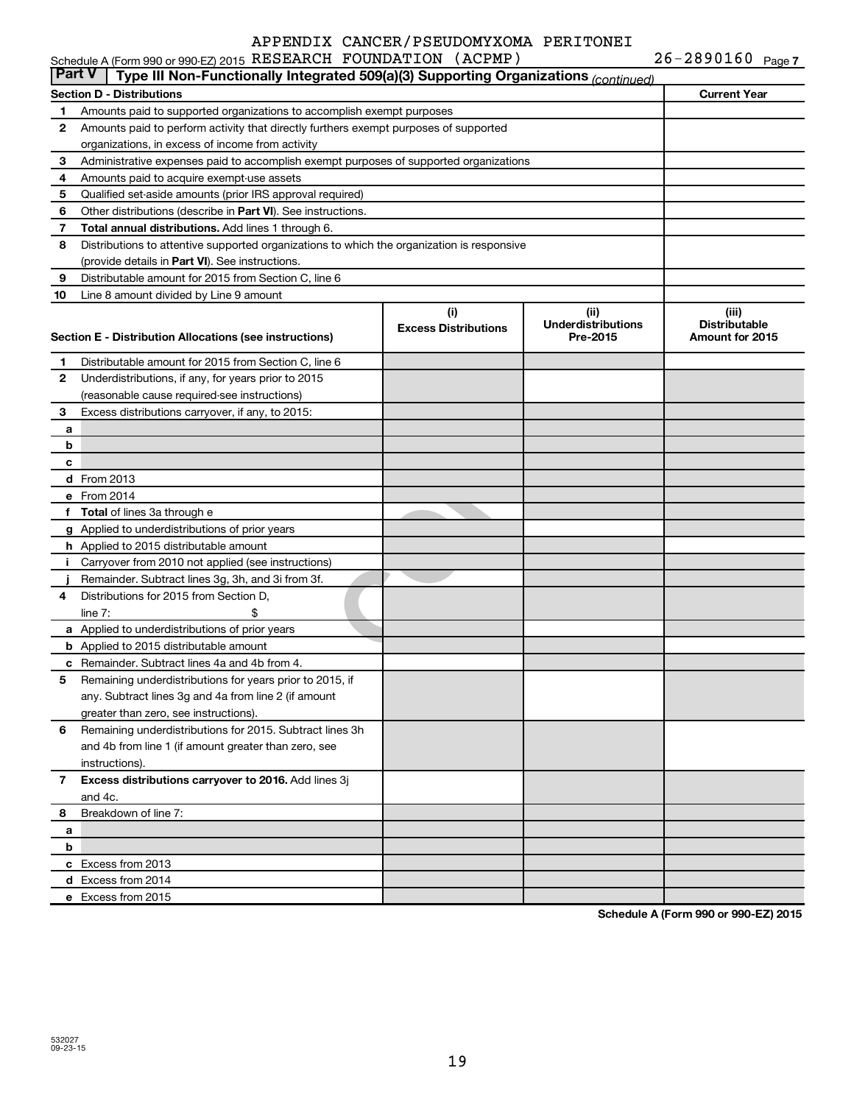|               | Schedule A (Form 990 or 990-EZ) 2015 RESEARCH FOUNDATION (ACPMP)                           |                                    |                                               | $26 - 2890160$ Page 7                            |
|---------------|--------------------------------------------------------------------------------------------|------------------------------------|-----------------------------------------------|--------------------------------------------------|
| <b>Part V</b> | Type III Non-Functionally Integrated 509(a)(3) Supporting Organizations (continued)        |                                    |                                               |                                                  |
|               | Section D - Distributions                                                                  |                                    |                                               | <b>Current Year</b>                              |
| 1             | Amounts paid to supported organizations to accomplish exempt purposes                      |                                    |                                               |                                                  |
| 2             | Amounts paid to perform activity that directly furthers exempt purposes of supported       |                                    |                                               |                                                  |
|               | organizations, in excess of income from activity                                           |                                    |                                               |                                                  |
| 3             | Administrative expenses paid to accomplish exempt purposes of supported organizations      |                                    |                                               |                                                  |
| 4             | Amounts paid to acquire exempt-use assets                                                  |                                    |                                               |                                                  |
| 5             | Qualified set-aside amounts (prior IRS approval required)                                  |                                    |                                               |                                                  |
| 6             | Other distributions (describe in Part VI). See instructions.                               |                                    |                                               |                                                  |
| 7             | Total annual distributions. Add lines 1 through 6.                                         |                                    |                                               |                                                  |
| 8             | Distributions to attentive supported organizations to which the organization is responsive |                                    |                                               |                                                  |
|               | (provide details in Part VI). See instructions.                                            |                                    |                                               |                                                  |
| 9             | Distributable amount for 2015 from Section C, line 6                                       |                                    |                                               |                                                  |
| 10            | Line 8 amount divided by Line 9 amount                                                     |                                    |                                               |                                                  |
|               | Section E - Distribution Allocations (see instructions)                                    | (i)<br><b>Excess Distributions</b> | (ii)<br><b>Underdistributions</b><br>Pre-2015 | (iii)<br><b>Distributable</b><br>Amount for 2015 |
| 1             | Distributable amount for 2015 from Section C, line 6                                       |                                    |                                               |                                                  |
| 2             | Underdistributions, if any, for years prior to 2015                                        |                                    |                                               |                                                  |
|               | (reasonable cause required-see instructions)                                               |                                    |                                               |                                                  |
| 3             | Excess distributions carryover, if any, to 2015:                                           |                                    |                                               |                                                  |
| a             |                                                                                            |                                    |                                               |                                                  |
| b             |                                                                                            |                                    |                                               |                                                  |
| c             |                                                                                            |                                    |                                               |                                                  |
|               | <b>d</b> From 2013                                                                         |                                    |                                               |                                                  |
|               | e From 2014                                                                                |                                    |                                               |                                                  |
| f             | <b>Total</b> of lines 3a through e                                                         |                                    |                                               |                                                  |
|               | g Applied to underdistributions of prior years                                             |                                    |                                               |                                                  |
|               | h Applied to 2015 distributable amount                                                     |                                    |                                               |                                                  |
| Ť.            | Carryover from 2010 not applied (see instructions)                                         |                                    |                                               |                                                  |
|               | Remainder. Subtract lines 3g, 3h, and 3i from 3f.                                          |                                    |                                               |                                                  |
| 4             | Distributions for 2015 from Section D,                                                     |                                    |                                               |                                                  |
|               | line $7:$                                                                                  |                                    |                                               |                                                  |
|               | a Applied to underdistributions of prior years                                             |                                    |                                               |                                                  |
|               | <b>b</b> Applied to 2015 distributable amount                                              |                                    |                                               |                                                  |
|               | c Remainder. Subtract lines 4a and 4b from 4.                                              |                                    |                                               |                                                  |
|               | 5 Remaining underdistributions for years prior to 2015, if                                 |                                    |                                               |                                                  |
|               | any. Subtract lines 3q and 4a from line 2 (if amount                                       |                                    |                                               |                                                  |
|               | greater than zero, see instructions).                                                      |                                    |                                               |                                                  |
| 6             | Remaining underdistributions for 2015. Subtract lines 3h                                   |                                    |                                               |                                                  |
|               | and 4b from line 1 (if amount greater than zero, see                                       |                                    |                                               |                                                  |
|               | instructions).                                                                             |                                    |                                               |                                                  |
| 7             | Excess distributions carryover to 2016. Add lines 3j                                       |                                    |                                               |                                                  |
|               | and 4c.                                                                                    |                                    |                                               |                                                  |
| 8             | Breakdown of line 7:                                                                       |                                    |                                               |                                                  |
| а             |                                                                                            |                                    |                                               |                                                  |
| b             |                                                                                            |                                    |                                               |                                                  |
|               | c Excess from 2013                                                                         |                                    |                                               |                                                  |
|               | d Excess from 2014                                                                         |                                    |                                               |                                                  |

**Schedule A (Form 990 or 990-EZ) 2015**

**e** Excess from 2015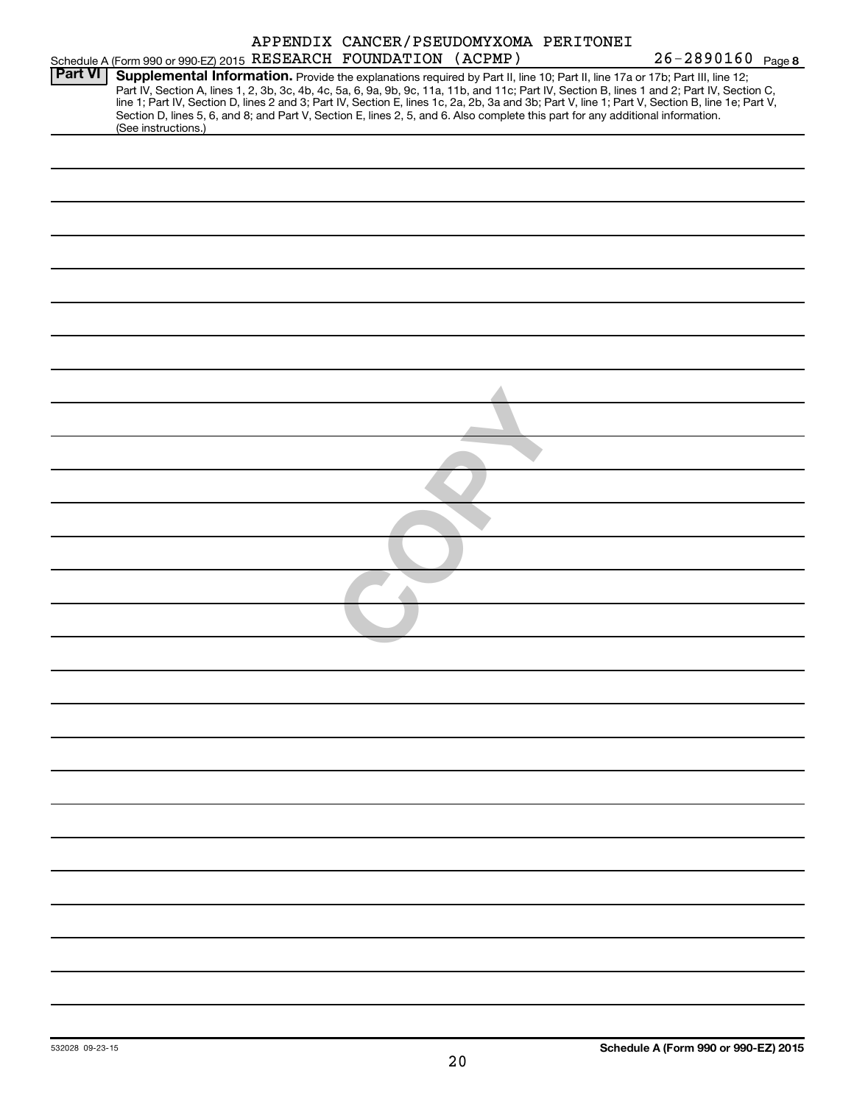|                |                                                                                                                                                                                                                                                                                                                                                                                                                                                                                                                                                                     | APPENDIX CANCER/PSEUDOMYXOMA PERITONEI |  |                   |
|----------------|---------------------------------------------------------------------------------------------------------------------------------------------------------------------------------------------------------------------------------------------------------------------------------------------------------------------------------------------------------------------------------------------------------------------------------------------------------------------------------------------------------------------------------------------------------------------|----------------------------------------|--|-------------------|
|                | Schedule A (Form 990 or 990-EZ) 2015 RESEARCH FOUNDATION (ACPMP)                                                                                                                                                                                                                                                                                                                                                                                                                                                                                                    |                                        |  | 26-2890160 Page 8 |
| <b>Part VI</b> | Supplemental Information. Provide the explanations required by Part II, line 10; Part II, line 17a or 17b; Part III, line 12;<br>Part IV, Section A, lines 1, 2, 3b, 3c, 4b, 4c, 5a, 6, 9a, 9b, 9c, 11a, 11b, and 11c; Part IV, Section B, lines 1 and 2; Part IV, Section C,<br>line 1; Part IV, Section D, lines 2 and 3; Part IV, Section E, lines 1c, 2a, 2b, 3a and 3b; Part V, line 1; Part V, Section B, line 1e; Part V,<br>Section D, lines 5, 6, and 8; and Part V, Section E, lines 2, 5, and 6. Also complete this part for any additional information. |                                        |  |                   |
|                | (See instructions.)                                                                                                                                                                                                                                                                                                                                                                                                                                                                                                                                                 |                                        |  |                   |
|                |                                                                                                                                                                                                                                                                                                                                                                                                                                                                                                                                                                     |                                        |  |                   |
|                |                                                                                                                                                                                                                                                                                                                                                                                                                                                                                                                                                                     |                                        |  |                   |
|                |                                                                                                                                                                                                                                                                                                                                                                                                                                                                                                                                                                     |                                        |  |                   |
|                |                                                                                                                                                                                                                                                                                                                                                                                                                                                                                                                                                                     |                                        |  |                   |
|                |                                                                                                                                                                                                                                                                                                                                                                                                                                                                                                                                                                     |                                        |  |                   |
|                |                                                                                                                                                                                                                                                                                                                                                                                                                                                                                                                                                                     |                                        |  |                   |
|                |                                                                                                                                                                                                                                                                                                                                                                                                                                                                                                                                                                     |                                        |  |                   |
|                |                                                                                                                                                                                                                                                                                                                                                                                                                                                                                                                                                                     |                                        |  |                   |
|                |                                                                                                                                                                                                                                                                                                                                                                                                                                                                                                                                                                     |                                        |  |                   |
|                |                                                                                                                                                                                                                                                                                                                                                                                                                                                                                                                                                                     |                                        |  |                   |
|                |                                                                                                                                                                                                                                                                                                                                                                                                                                                                                                                                                                     |                                        |  |                   |
|                |                                                                                                                                                                                                                                                                                                                                                                                                                                                                                                                                                                     |                                        |  |                   |
|                |                                                                                                                                                                                                                                                                                                                                                                                                                                                                                                                                                                     |                                        |  |                   |
|                |                                                                                                                                                                                                                                                                                                                                                                                                                                                                                                                                                                     |                                        |  |                   |
|                |                                                                                                                                                                                                                                                                                                                                                                                                                                                                                                                                                                     |                                        |  |                   |
|                |                                                                                                                                                                                                                                                                                                                                                                                                                                                                                                                                                                     |                                        |  |                   |
|                |                                                                                                                                                                                                                                                                                                                                                                                                                                                                                                                                                                     |                                        |  |                   |
|                |                                                                                                                                                                                                                                                                                                                                                                                                                                                                                                                                                                     |                                        |  |                   |
|                |                                                                                                                                                                                                                                                                                                                                                                                                                                                                                                                                                                     |                                        |  |                   |
|                |                                                                                                                                                                                                                                                                                                                                                                                                                                                                                                                                                                     |                                        |  |                   |
|                |                                                                                                                                                                                                                                                                                                                                                                                                                                                                                                                                                                     |                                        |  |                   |
|                |                                                                                                                                                                                                                                                                                                                                                                                                                                                                                                                                                                     |                                        |  |                   |
|                |                                                                                                                                                                                                                                                                                                                                                                                                                                                                                                                                                                     |                                        |  |                   |
|                |                                                                                                                                                                                                                                                                                                                                                                                                                                                                                                                                                                     |                                        |  |                   |
|                |                                                                                                                                                                                                                                                                                                                                                                                                                                                                                                                                                                     |                                        |  |                   |
|                |                                                                                                                                                                                                                                                                                                                                                                                                                                                                                                                                                                     |                                        |  |                   |
|                |                                                                                                                                                                                                                                                                                                                                                                                                                                                                                                                                                                     |                                        |  |                   |
|                |                                                                                                                                                                                                                                                                                                                                                                                                                                                                                                                                                                     |                                        |  |                   |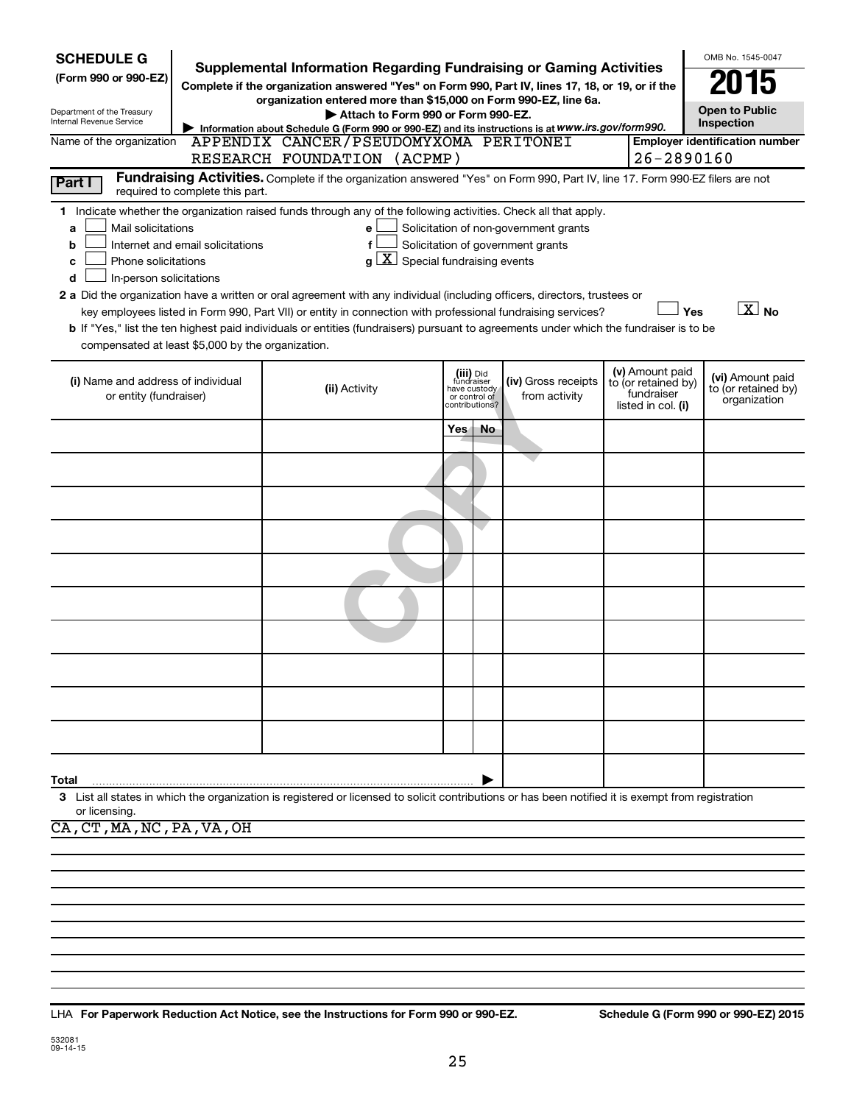| <b>SCHEDULE G</b><br>(Form 990 or 990-EZ)<br>Department of the Treasury<br>Internal Revenue Service<br>Name of the organization<br>Part I | required to complete this part.                                                                                                                                                                                                                                                                                                                                                                                                                                                                                                                                                                                                                                                                                                                                                                                                    | Supplemental Information Regarding Fundraising or Gaming Activities<br>Complete if the organization answered "Yes" on Form 990, Part IV, lines 17, 18, or 19, or if the<br>organization entered more than \$15,000 on Form 990-EZ, line 6a.<br>Attach to Form 990 or Form 990-EZ.<br>Information about Schedule G (Form 990 or 990-EZ) and its instructions is at WWW.irs.gov/form990.<br>APPENDIX CANCER/PSEUDOMYXOMA PERITONEI<br>RESEARCH FOUNDATION (ACPMP)<br>Fundraising Activities. Complete if the organization answered "Yes" on Form 990, Part IV, line 17. Form 990-EZ filers are not |     |                                                                            |                                      | 26-2890160                                                                 | OMB No. 1545-0047<br><b>Open to Public</b><br><b>Inspection</b><br><b>Employer identification number</b> |  |  |
|-------------------------------------------------------------------------------------------------------------------------------------------|------------------------------------------------------------------------------------------------------------------------------------------------------------------------------------------------------------------------------------------------------------------------------------------------------------------------------------------------------------------------------------------------------------------------------------------------------------------------------------------------------------------------------------------------------------------------------------------------------------------------------------------------------------------------------------------------------------------------------------------------------------------------------------------------------------------------------------|--------------------------------------------------------------------------------------------------------------------------------------------------------------------------------------------------------------------------------------------------------------------------------------------------------------------------------------------------------------------------------------------------------------------------------------------------------------------------------------------------------------------------------------------------------------------------------------------------|-----|----------------------------------------------------------------------------|--------------------------------------|----------------------------------------------------------------------------|----------------------------------------------------------------------------------------------------------|--|--|
| a<br>b<br>c<br>d                                                                                                                          | 1 Indicate whether the organization raised funds through any of the following activities. Check all that apply.<br>Mail solicitations<br>Solicitation of non-government grants<br>e<br>Internet and email solicitations<br>Solicitation of government grants<br>f<br>$g\mid X$ Special fundraising events<br>Phone solicitations<br>In-person solicitations<br>2 a Did the organization have a written or oral agreement with any individual (including officers, directors, trustees or<br>$\overline{X}$ No<br>Yes<br>key employees listed in Form 990, Part VII) or entity in connection with professional fundraising services?<br>b If "Yes," list the ten highest paid individuals or entities (fundraisers) pursuant to agreements under which the fundraiser is to be<br>compensated at least \$5,000 by the organization. |                                                                                                                                                                                                                                                                                                                                                                                                                                                                                                                                                                                                  |     |                                                                            |                                      |                                                                            |                                                                                                          |  |  |
| (i) Name and address of individual<br>or entity (fundraiser)                                                                              |                                                                                                                                                                                                                                                                                                                                                                                                                                                                                                                                                                                                                                                                                                                                                                                                                                    | (ii) Activity                                                                                                                                                                                                                                                                                                                                                                                                                                                                                                                                                                                    |     | (iii) Did<br>fundraiser<br>have custody<br>or control of<br>contributions? | (iv) Gross receipts<br>from activity | (v) Amount paid<br>to (or retained by)<br>fundraiser<br>listed in col. (i) | (vi) Amount paid<br>to (or retained by)<br>organization                                                  |  |  |
|                                                                                                                                           |                                                                                                                                                                                                                                                                                                                                                                                                                                                                                                                                                                                                                                                                                                                                                                                                                                    |                                                                                                                                                                                                                                                                                                                                                                                                                                                                                                                                                                                                  | Yes | No                                                                         |                                      |                                                                            |                                                                                                          |  |  |
|                                                                                                                                           |                                                                                                                                                                                                                                                                                                                                                                                                                                                                                                                                                                                                                                                                                                                                                                                                                                    |                                                                                                                                                                                                                                                                                                                                                                                                                                                                                                                                                                                                  |     |                                                                            |                                      |                                                                            |                                                                                                          |  |  |
|                                                                                                                                           |                                                                                                                                                                                                                                                                                                                                                                                                                                                                                                                                                                                                                                                                                                                                                                                                                                    |                                                                                                                                                                                                                                                                                                                                                                                                                                                                                                                                                                                                  |     |                                                                            |                                      |                                                                            |                                                                                                          |  |  |
|                                                                                                                                           |                                                                                                                                                                                                                                                                                                                                                                                                                                                                                                                                                                                                                                                                                                                                                                                                                                    |                                                                                                                                                                                                                                                                                                                                                                                                                                                                                                                                                                                                  |     |                                                                            |                                      |                                                                            |                                                                                                          |  |  |
|                                                                                                                                           |                                                                                                                                                                                                                                                                                                                                                                                                                                                                                                                                                                                                                                                                                                                                                                                                                                    |                                                                                                                                                                                                                                                                                                                                                                                                                                                                                                                                                                                                  |     |                                                                            |                                      |                                                                            |                                                                                                          |  |  |
|                                                                                                                                           |                                                                                                                                                                                                                                                                                                                                                                                                                                                                                                                                                                                                                                                                                                                                                                                                                                    |                                                                                                                                                                                                                                                                                                                                                                                                                                                                                                                                                                                                  |     |                                                                            |                                      |                                                                            |                                                                                                          |  |  |
|                                                                                                                                           |                                                                                                                                                                                                                                                                                                                                                                                                                                                                                                                                                                                                                                                                                                                                                                                                                                    |                                                                                                                                                                                                                                                                                                                                                                                                                                                                                                                                                                                                  |     |                                                                            |                                      |                                                                            |                                                                                                          |  |  |
|                                                                                                                                           |                                                                                                                                                                                                                                                                                                                                                                                                                                                                                                                                                                                                                                                                                                                                                                                                                                    |                                                                                                                                                                                                                                                                                                                                                                                                                                                                                                                                                                                                  |     |                                                                            |                                      |                                                                            |                                                                                                          |  |  |
|                                                                                                                                           |                                                                                                                                                                                                                                                                                                                                                                                                                                                                                                                                                                                                                                                                                                                                                                                                                                    |                                                                                                                                                                                                                                                                                                                                                                                                                                                                                                                                                                                                  |     |                                                                            |                                      |                                                                            |                                                                                                          |  |  |
|                                                                                                                                           |                                                                                                                                                                                                                                                                                                                                                                                                                                                                                                                                                                                                                                                                                                                                                                                                                                    |                                                                                                                                                                                                                                                                                                                                                                                                                                                                                                                                                                                                  |     |                                                                            |                                      |                                                                            |                                                                                                          |  |  |
|                                                                                                                                           |                                                                                                                                                                                                                                                                                                                                                                                                                                                                                                                                                                                                                                                                                                                                                                                                                                    |                                                                                                                                                                                                                                                                                                                                                                                                                                                                                                                                                                                                  |     |                                                                            |                                      |                                                                            |                                                                                                          |  |  |
| Total                                                                                                                                     |                                                                                                                                                                                                                                                                                                                                                                                                                                                                                                                                                                                                                                                                                                                                                                                                                                    | 3 List all states in which the organization is registered or licensed to solicit contributions or has been notified it is exempt from registration                                                                                                                                                                                                                                                                                                                                                                                                                                               |     |                                                                            |                                      |                                                                            |                                                                                                          |  |  |
| or licensing.<br>CA, CT, MA, NC, PA, VA, OH                                                                                               |                                                                                                                                                                                                                                                                                                                                                                                                                                                                                                                                                                                                                                                                                                                                                                                                                                    |                                                                                                                                                                                                                                                                                                                                                                                                                                                                                                                                                                                                  |     |                                                                            |                                      |                                                                            |                                                                                                          |  |  |
|                                                                                                                                           |                                                                                                                                                                                                                                                                                                                                                                                                                                                                                                                                                                                                                                                                                                                                                                                                                                    |                                                                                                                                                                                                                                                                                                                                                                                                                                                                                                                                                                                                  |     |                                                                            |                                      |                                                                            |                                                                                                          |  |  |
|                                                                                                                                           |                                                                                                                                                                                                                                                                                                                                                                                                                                                                                                                                                                                                                                                                                                                                                                                                                                    |                                                                                                                                                                                                                                                                                                                                                                                                                                                                                                                                                                                                  |     |                                                                            |                                      |                                                                            |                                                                                                          |  |  |

**For Paperwork Reduction Act Notice, see the Instructions for Form 990 or 990-EZ. Schedule G (Form 990 or 990-EZ) 2015** LHA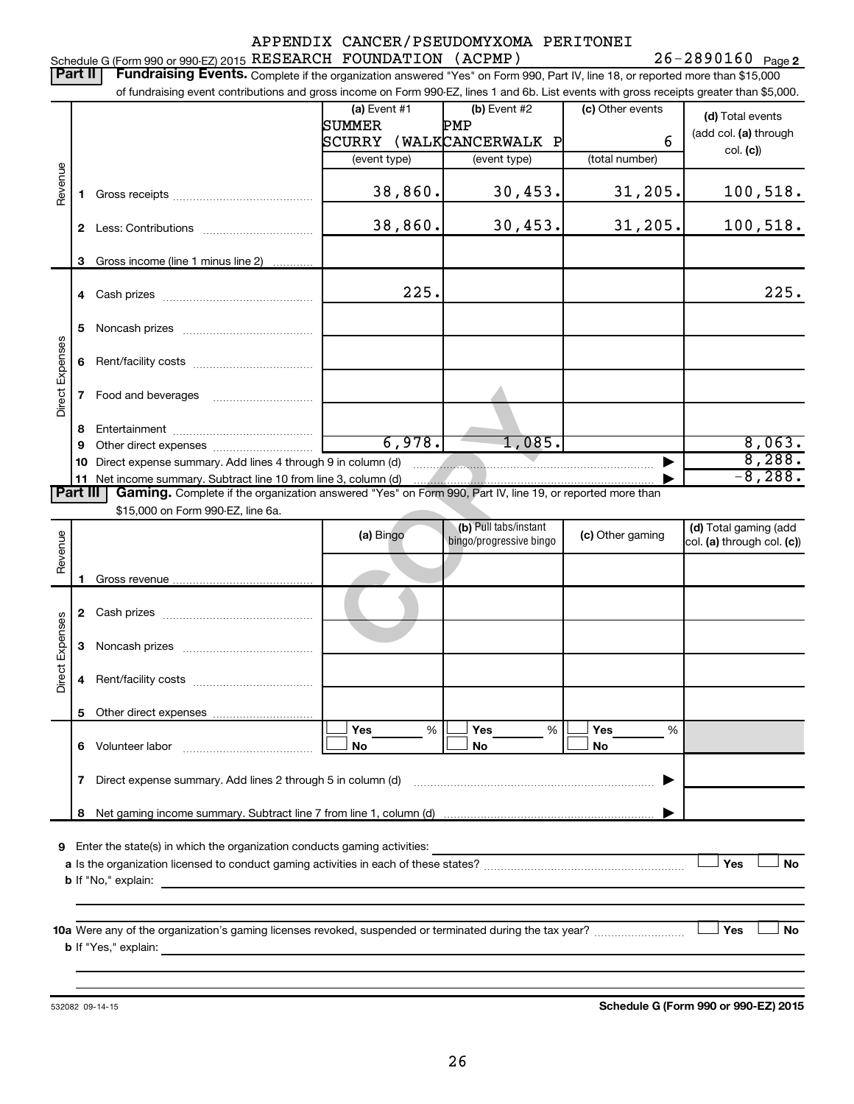|                  |                                                                                                                         |                                                                                                                                                                          |                                    | APPENDIX CANCER/PSEUDOMYXOMA PERITONEI |                  |                            |  |  |
|------------------|-------------------------------------------------------------------------------------------------------------------------|--------------------------------------------------------------------------------------------------------------------------------------------------------------------------|------------------------------------|----------------------------------------|------------------|----------------------------|--|--|
|                  |                                                                                                                         | Schedule G (Form 990 or 990-EZ) 2015 RESEARCH FOUNDATION (ACPMP)                                                                                                         |                                    |                                        |                  | $26 - 2890160$ Page 2      |  |  |
|                  | <b>Part II</b>                                                                                                          | Fundraising Events. Complete if the organization answered "Yes" on Form 990, Part IV, line 18, or reported more than \$15,000                                            |                                    |                                        |                  |                            |  |  |
|                  |                                                                                                                         | of fundraising event contributions and gross income on Form 990-EZ, lines 1 and 6b. List events with gross receipts greater than \$5,000.                                |                                    |                                        |                  |                            |  |  |
|                  |                                                                                                                         |                                                                                                                                                                          | (a) Event #1                       | (b) Event #2                           | (c) Other events | (d) Total events           |  |  |
|                  |                                                                                                                         |                                                                                                                                                                          | SUMMER<br>SCURRY (WALKCANCERWALK P | PMP                                    | 6                | (add col. (a) through      |  |  |
|                  |                                                                                                                         |                                                                                                                                                                          | (event type)                       | (event type)                           | (total number)   | col. (c))                  |  |  |
|                  |                                                                                                                         |                                                                                                                                                                          |                                    |                                        |                  |                            |  |  |
| Revenue          | 1                                                                                                                       |                                                                                                                                                                          | 38,860.                            | 30,453.                                | 31, 205.         | 100, 518.                  |  |  |
|                  |                                                                                                                         |                                                                                                                                                                          |                                    |                                        |                  |                            |  |  |
|                  | $\mathbf{2}$                                                                                                            |                                                                                                                                                                          | 38,860.                            | 30,453.                                | 31, 205.         | 100, 518.                  |  |  |
|                  |                                                                                                                         |                                                                                                                                                                          |                                    |                                        |                  |                            |  |  |
|                  | 3                                                                                                                       | Gross income (line 1 minus line 2)                                                                                                                                       |                                    |                                        |                  |                            |  |  |
|                  |                                                                                                                         |                                                                                                                                                                          |                                    |                                        |                  |                            |  |  |
|                  |                                                                                                                         |                                                                                                                                                                          | 225.                               |                                        |                  | 225.                       |  |  |
|                  |                                                                                                                         |                                                                                                                                                                          |                                    |                                        |                  |                            |  |  |
|                  | 5                                                                                                                       |                                                                                                                                                                          |                                    |                                        |                  |                            |  |  |
| Direct Expenses  | 6                                                                                                                       |                                                                                                                                                                          |                                    |                                        |                  |                            |  |  |
|                  |                                                                                                                         |                                                                                                                                                                          |                                    |                                        |                  |                            |  |  |
|                  | 7                                                                                                                       |                                                                                                                                                                          |                                    |                                        |                  |                            |  |  |
|                  |                                                                                                                         |                                                                                                                                                                          |                                    |                                        |                  |                            |  |  |
|                  | 8                                                                                                                       |                                                                                                                                                                          |                                    |                                        |                  |                            |  |  |
|                  | 9                                                                                                                       |                                                                                                                                                                          | 6,978.                             | 1,085.                                 |                  | 8,063.                     |  |  |
|                  | 10                                                                                                                      | Direct expense summary. Add lines 4 through 9 in column (d)                                                                                                              |                                    |                                        |                  | 8,288.<br>$-8,288.$        |  |  |
|                  | 11<br>Part III                                                                                                          | Net income summary. Subtract line 10 from line 3, column (d)<br>Gaming. Complete if the organization answered "Yes" on Form 990, Part IV, line 19, or reported more than |                                    |                                        |                  |                            |  |  |
|                  |                                                                                                                         | \$15,000 on Form 990-EZ, line 6a.                                                                                                                                        |                                    |                                        |                  |                            |  |  |
|                  |                                                                                                                         |                                                                                                                                                                          |                                    | (b) Pull tabs/instant                  |                  | (d) Total gaming (add      |  |  |
|                  |                                                                                                                         |                                                                                                                                                                          | (a) Bingo                          | bingo/progressive bingo                | (c) Other gaming | col. (a) through col. (c)) |  |  |
| Revenue          |                                                                                                                         |                                                                                                                                                                          |                                    |                                        |                  |                            |  |  |
|                  | 1                                                                                                                       |                                                                                                                                                                          |                                    |                                        |                  |                            |  |  |
|                  |                                                                                                                         |                                                                                                                                                                          |                                    |                                        |                  |                            |  |  |
|                  |                                                                                                                         |                                                                                                                                                                          |                                    |                                        |                  |                            |  |  |
| Expenses         | 3                                                                                                                       |                                                                                                                                                                          |                                    |                                        |                  |                            |  |  |
|                  |                                                                                                                         |                                                                                                                                                                          |                                    |                                        |                  |                            |  |  |
| Direct           | 4                                                                                                                       |                                                                                                                                                                          |                                    |                                        |                  |                            |  |  |
|                  |                                                                                                                         |                                                                                                                                                                          |                                    |                                        |                  |                            |  |  |
|                  | 5                                                                                                                       |                                                                                                                                                                          |                                    |                                        |                  |                            |  |  |
|                  |                                                                                                                         |                                                                                                                                                                          | Yes<br>%                           | Yes<br>%                               | Yes<br>%         |                            |  |  |
|                  | 6                                                                                                                       | Volunteer labor                                                                                                                                                          | No                                 | No                                     | No               |                            |  |  |
|                  |                                                                                                                         |                                                                                                                                                                          |                                    |                                        |                  |                            |  |  |
|                  |                                                                                                                         | 7 Direct expense summary. Add lines 2 through 5 in column (d)                                                                                                            |                                    |                                        |                  |                            |  |  |
|                  | 8                                                                                                                       |                                                                                                                                                                          |                                    |                                        |                  |                            |  |  |
|                  |                                                                                                                         |                                                                                                                                                                          |                                    |                                        |                  |                            |  |  |
|                  | 9 Enter the state(s) in which the organization conducts gaming activities:                                              |                                                                                                                                                                          |                                    |                                        |                  |                            |  |  |
| Yes<br><b>No</b> |                                                                                                                         |                                                                                                                                                                          |                                    |                                        |                  |                            |  |  |
|                  | <b>b</b> If "No," explain:<br>the control of the control of the control of the control of the control of the control of |                                                                                                                                                                          |                                    |                                        |                  |                            |  |  |
|                  |                                                                                                                         |                                                                                                                                                                          |                                    |                                        |                  |                            |  |  |
|                  |                                                                                                                         |                                                                                                                                                                          |                                    |                                        |                  | Yes<br><b>No</b>           |  |  |
|                  |                                                                                                                         |                                                                                                                                                                          |                                    |                                        |                  |                            |  |  |
|                  |                                                                                                                         |                                                                                                                                                                          |                                    |                                        |                  |                            |  |  |
|                  |                                                                                                                         |                                                                                                                                                                          |                                    |                                        |                  |                            |  |  |

532082 09-14-15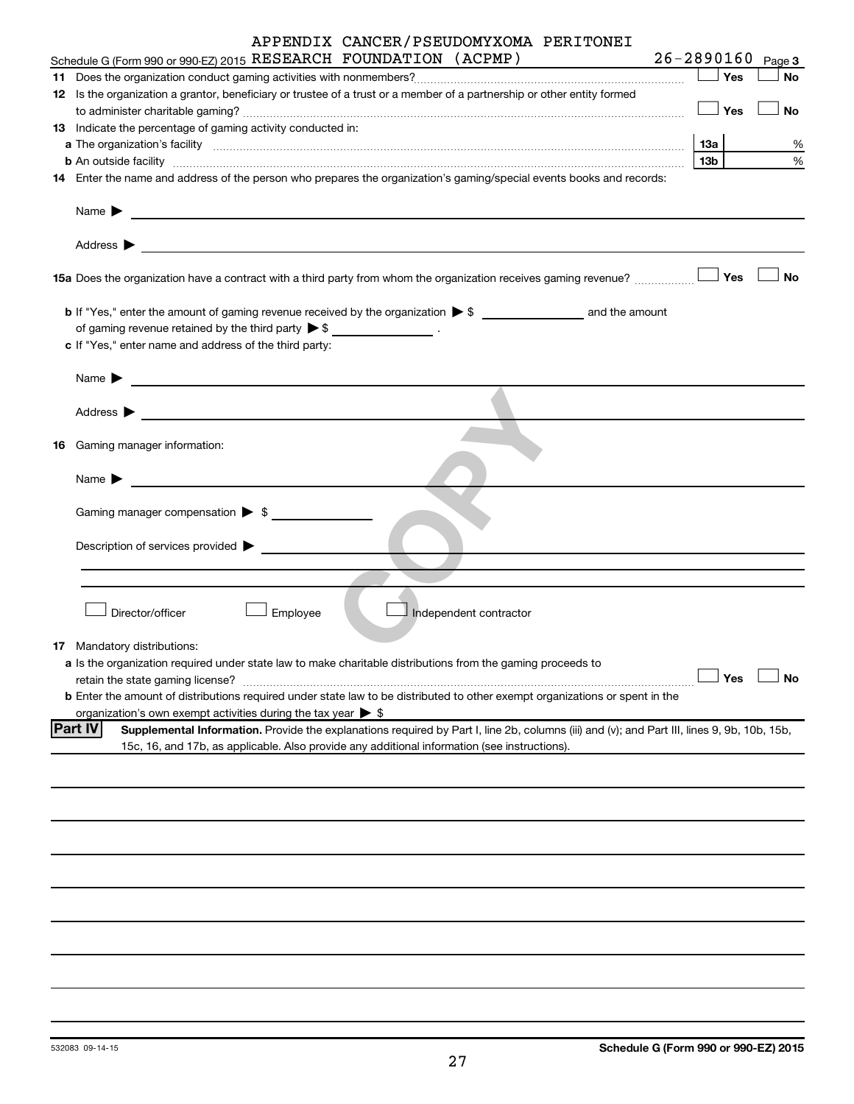| APPENDIX CANCER/PSEUDOMYXOMA PERITONEI<br>$26 - 2890160$<br>Schedule G (Form 990 or 990-EZ) 2015 RESEARCH FOUNDATION (ACPMP)                                                                                 |                 |     | Page 3    |
|--------------------------------------------------------------------------------------------------------------------------------------------------------------------------------------------------------------|-----------------|-----|-----------|
|                                                                                                                                                                                                              |                 |     |           |
|                                                                                                                                                                                                              |                 |     | No        |
| 12 Is the organization a grantor, beneficiary or trustee of a trust or a member of a partnership or other entity formed                                                                                      |                 |     |           |
|                                                                                                                                                                                                              | $\Box$ Yes      |     | No        |
| 13 Indicate the percentage of gaming activity conducted in:                                                                                                                                                  |                 |     |           |
|                                                                                                                                                                                                              | <b>13a</b>      |     | %         |
|                                                                                                                                                                                                              | 13 <sub>b</sub> |     | %         |
| 14 Enter the name and address of the person who prepares the organization's gaming/special events books and records:                                                                                         |                 |     |           |
| Name $\blacktriangleright$<br><u> 1989 - Andrea Andrew Maria (h. 1989).</u>                                                                                                                                  |                 |     |           |
| Address $\blacktriangleright$                                                                                                                                                                                |                 |     |           |
|                                                                                                                                                                                                              |                 |     | No        |
|                                                                                                                                                                                                              |                 |     |           |
| of gaming revenue retained by the third party $\triangleright$ \$ __________________.                                                                                                                        |                 |     |           |
|                                                                                                                                                                                                              |                 |     |           |
| c If "Yes," enter name and address of the third party:                                                                                                                                                       |                 |     |           |
|                                                                                                                                                                                                              |                 |     |           |
| Name $\blacktriangleright$                                                                                                                                                                                   |                 |     |           |
| Address $\blacktriangleright$<br><u> 1989 - John Harry Harry Harry Harry Harry Harry Harry Harry Harry Harry Harry Harry Harry Harry Harry Harry H</u>                                                       |                 |     |           |
|                                                                                                                                                                                                              |                 |     |           |
| <b>16</b> Gaming manager information:                                                                                                                                                                        |                 |     |           |
|                                                                                                                                                                                                              |                 |     |           |
| Name $\blacktriangleright$<br><u> 1980 - John Stein, Amerikaansk politiker (</u>                                                                                                                             |                 |     |           |
|                                                                                                                                                                                                              |                 |     |           |
|                                                                                                                                                                                                              |                 |     |           |
| Description of services provided $\blacktriangleright$                                                                                                                                                       |                 |     |           |
|                                                                                                                                                                                                              |                 |     |           |
|                                                                                                                                                                                                              |                 |     |           |
|                                                                                                                                                                                                              |                 |     |           |
| Director/officer<br>Employee<br>Independent contractor                                                                                                                                                       |                 |     |           |
|                                                                                                                                                                                                              |                 |     |           |
| <b>17</b> Mandatory distributions:                                                                                                                                                                           |                 |     |           |
| a Is the organization required under state law to make charitable distributions from the gaming proceeds to                                                                                                  |                 | Yes | <b>No</b> |
| retain the state gaming license?                                                                                                                                                                             |                 |     |           |
| b Enter the amount of distributions required under state law to be distributed to other exempt organizations or spent in the<br>organization's own exempt activities during the tax year $\triangleright$ \$ |                 |     |           |
| <b>Part IV</b><br>Supplemental Information. Provide the explanations required by Part I, line 2b, columns (iii) and (v); and Part III, lines 9, 9b, 10b, 15b,                                                |                 |     |           |
| 15c, 16, and 17b, as applicable. Also provide any additional information (see instructions).                                                                                                                 |                 |     |           |
|                                                                                                                                                                                                              |                 |     |           |
|                                                                                                                                                                                                              |                 |     |           |
|                                                                                                                                                                                                              |                 |     |           |
|                                                                                                                                                                                                              |                 |     |           |
|                                                                                                                                                                                                              |                 |     |           |
|                                                                                                                                                                                                              |                 |     |           |
|                                                                                                                                                                                                              |                 |     |           |
|                                                                                                                                                                                                              |                 |     |           |
|                                                                                                                                                                                                              |                 |     |           |
|                                                                                                                                                                                                              |                 |     |           |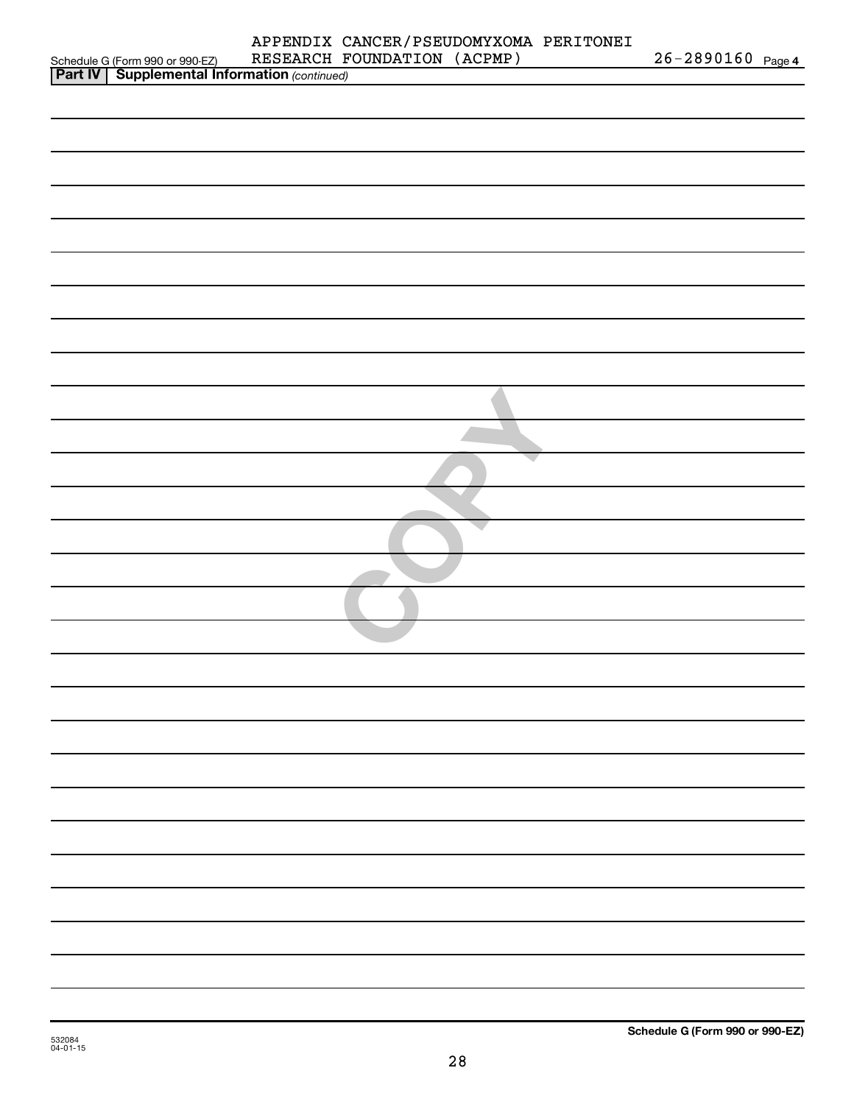|                                                                                                     | APPENDIX CANCER/PSEUDOMYXOMA PERITONEI |                   |  |
|-----------------------------------------------------------------------------------------------------|----------------------------------------|-------------------|--|
| Schedule G (Form 990 or 990-EZ) RESEARCH F<br><b>Part IV   Supplemental Information</b> (continued) | RESEARCH FOUNDATION (ACPMP)            | 26-2890160 Page 4 |  |
|                                                                                                     |                                        |                   |  |
|                                                                                                     |                                        |                   |  |
|                                                                                                     |                                        |                   |  |
|                                                                                                     |                                        |                   |  |
|                                                                                                     |                                        |                   |  |
|                                                                                                     |                                        |                   |  |
|                                                                                                     |                                        |                   |  |
|                                                                                                     |                                        |                   |  |
|                                                                                                     |                                        |                   |  |
|                                                                                                     |                                        |                   |  |
|                                                                                                     |                                        |                   |  |
|                                                                                                     |                                        |                   |  |
|                                                                                                     |                                        |                   |  |
|                                                                                                     |                                        |                   |  |
|                                                                                                     |                                        |                   |  |
|                                                                                                     |                                        |                   |  |
|                                                                                                     |                                        |                   |  |
|                                                                                                     |                                        |                   |  |
|                                                                                                     |                                        |                   |  |
|                                                                                                     |                                        |                   |  |
|                                                                                                     |                                        |                   |  |
|                                                                                                     |                                        |                   |  |
|                                                                                                     |                                        |                   |  |
|                                                                                                     |                                        |                   |  |
|                                                                                                     |                                        |                   |  |
|                                                                                                     |                                        |                   |  |
|                                                                                                     |                                        |                   |  |
|                                                                                                     |                                        |                   |  |
|                                                                                                     |                                        |                   |  |
|                                                                                                     |                                        |                   |  |
|                                                                                                     |                                        |                   |  |
|                                                                                                     |                                        |                   |  |
|                                                                                                     |                                        |                   |  |
|                                                                                                     |                                        |                   |  |
|                                                                                                     |                                        |                   |  |
|                                                                                                     |                                        |                   |  |
|                                                                                                     |                                        |                   |  |
|                                                                                                     |                                        |                   |  |
|                                                                                                     |                                        |                   |  |
|                                                                                                     |                                        |                   |  |
|                                                                                                     |                                        |                   |  |
|                                                                                                     |                                        |                   |  |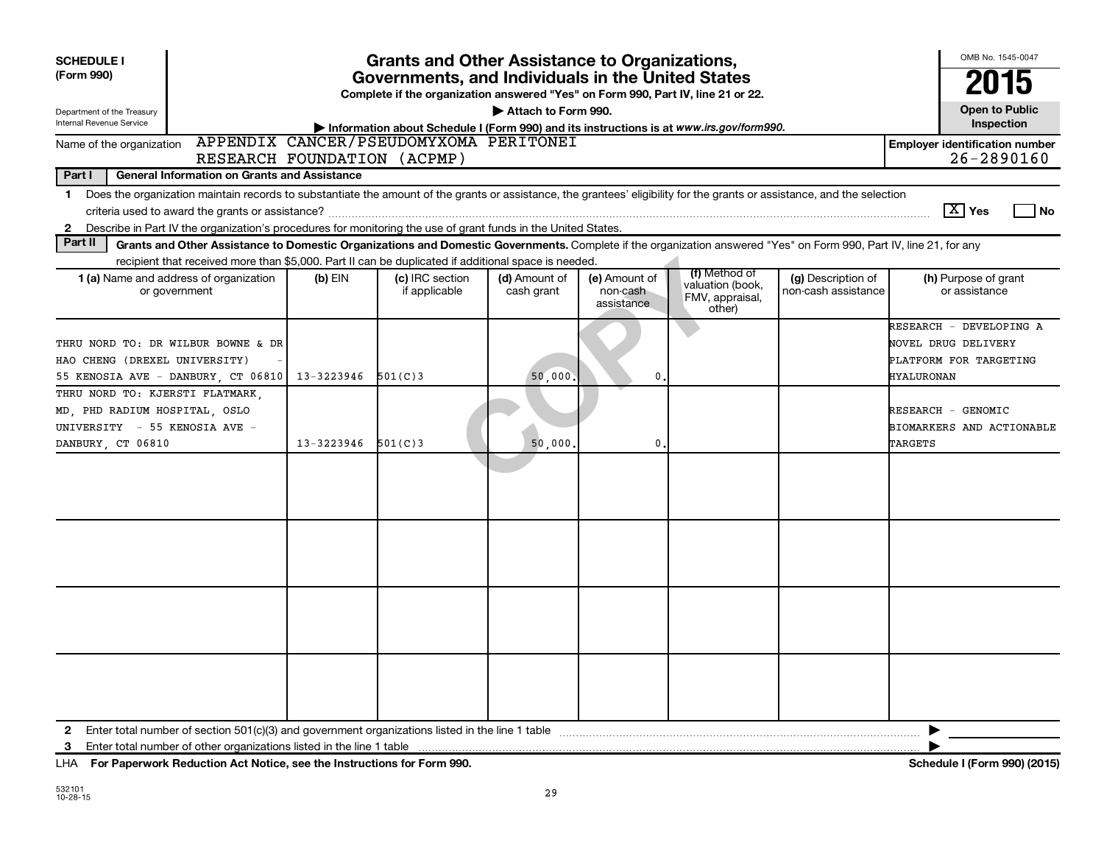| <b>SCHEDULE I</b><br><b>Grants and Other Assistance to Organizations,</b><br>(Form 990)<br>Governments, and Individuals in the United States<br>Complete if the organization answered "Yes" on Form 990, Part IV, line 21 or 22.<br>Attach to Form 990.<br>Department of the Treasury<br>Internal Revenue Service<br>Information about Schedule I (Form 990) and its instructions is at www.irs.gov/form990. |                                                                                                                                                                                                                                                                                           |            |                                        |                             |                                         |                                               |                                           |                                                                                               |  |  |
|--------------------------------------------------------------------------------------------------------------------------------------------------------------------------------------------------------------------------------------------------------------------------------------------------------------------------------------------------------------------------------------------------------------|-------------------------------------------------------------------------------------------------------------------------------------------------------------------------------------------------------------------------------------------------------------------------------------------|------------|----------------------------------------|-----------------------------|-----------------------------------------|-----------------------------------------------|-------------------------------------------|-----------------------------------------------------------------------------------------------|--|--|
| Name of the organization                                                                                                                                                                                                                                                                                                                                                                                     |                                                                                                                                                                                                                                                                                           |            | APPENDIX CANCER/PSEUDOMYXOMA PERITONEI |                             |                                         |                                               |                                           | Inspection<br><b>Employer identification number</b>                                           |  |  |
|                                                                                                                                                                                                                                                                                                                                                                                                              | $26 - 2890160$<br>RESEARCH FOUNDATION (ACPMP)                                                                                                                                                                                                                                             |            |                                        |                             |                                         |                                               |                                           |                                                                                               |  |  |
| Part I                                                                                                                                                                                                                                                                                                                                                                                                       | General Information on Grants and Assistance                                                                                                                                                                                                                                              |            |                                        |                             |                                         |                                               |                                           |                                                                                               |  |  |
| 1.<br>2                                                                                                                                                                                                                                                                                                                                                                                                      | Does the organization maintain records to substantiate the amount of the grants or assistance, the grantees' eligibility for the grants or assistance, and the selection<br>Describe in Part IV the organization's procedures for monitoring the use of grant funds in the United States. |            |                                        |                             |                                         |                                               |                                           | $ \mathbf{X} $ Yes<br>l No                                                                    |  |  |
| Part II                                                                                                                                                                                                                                                                                                                                                                                                      | Grants and Other Assistance to Domestic Organizations and Domestic Governments. Complete if the organization answered "Yes" on Form 990, Part IV, line 21, for any                                                                                                                        |            |                                        |                             |                                         |                                               |                                           |                                                                                               |  |  |
|                                                                                                                                                                                                                                                                                                                                                                                                              | recipient that received more than \$5,000. Part II can be duplicated if additional space is needed.                                                                                                                                                                                       |            |                                        |                             |                                         | (f) Method of                                 |                                           |                                                                                               |  |  |
| 1 (a) Name and address of organization                                                                                                                                                                                                                                                                                                                                                                       | or government                                                                                                                                                                                                                                                                             | (b) EIN    | (c) IRC section<br>if applicable       | (d) Amount of<br>cash grant | (e) Amount of<br>non-cash<br>assistance | valuation (book,<br>FMV, appraisal,<br>other) | (g) Description of<br>non-cash assistance | (h) Purpose of grant<br>or assistance                                                         |  |  |
| THRU NORD TO: DR WILBUR BOWNE & DR<br>HAO CHENG (DREXEL UNIVERSITY)<br>55 KENOSIA AVE - DANBURY, CT 06810                                                                                                                                                                                                                                                                                                    |                                                                                                                                                                                                                                                                                           | 13-3223946 | 501(C)3                                | 50,000.                     | 0                                       |                                               |                                           | RESEARCH - DEVELOPING A<br>NOVEL DRUG DELIVERY<br>PLATFORM FOR TARGETING<br><b>HYALURONAN</b> |  |  |
| THRU NORD TO: KJERSTI FLATMARK,<br>MD, PHD RADIUM HOSPITAL, OSLO<br>UNIVERSITY - 55 KENOSIA AVE -<br>DANBURY CT 06810                                                                                                                                                                                                                                                                                        |                                                                                                                                                                                                                                                                                           | 13-3223946 | 501(C)3                                | 50,000                      | $\mathbf 0$                             |                                               |                                           | RESEARCH - GENOMIC<br>BIOMARKERS AND ACTIONABLE<br><b>TARGETS</b>                             |  |  |
|                                                                                                                                                                                                                                                                                                                                                                                                              |                                                                                                                                                                                                                                                                                           |            |                                        |                             |                                         |                                               |                                           |                                                                                               |  |  |
|                                                                                                                                                                                                                                                                                                                                                                                                              |                                                                                                                                                                                                                                                                                           |            |                                        |                             |                                         |                                               |                                           |                                                                                               |  |  |
|                                                                                                                                                                                                                                                                                                                                                                                                              |                                                                                                                                                                                                                                                                                           |            |                                        |                             |                                         |                                               |                                           |                                                                                               |  |  |
|                                                                                                                                                                                                                                                                                                                                                                                                              |                                                                                                                                                                                                                                                                                           |            |                                        |                             |                                         |                                               |                                           |                                                                                               |  |  |
| $\mathbf{2}$<br>3                                                                                                                                                                                                                                                                                                                                                                                            | Enter total number of other organizations listed in the line 1 table                                                                                                                                                                                                                      |            |                                        |                             |                                         |                                               |                                           |                                                                                               |  |  |
|                                                                                                                                                                                                                                                                                                                                                                                                              |                                                                                                                                                                                                                                                                                           |            |                                        |                             |                                         |                                               |                                           |                                                                                               |  |  |

**For Paperwork Reduction Act Notice, see the Instructions for Form 990. Schedule I (Form 990) (2015)** LHA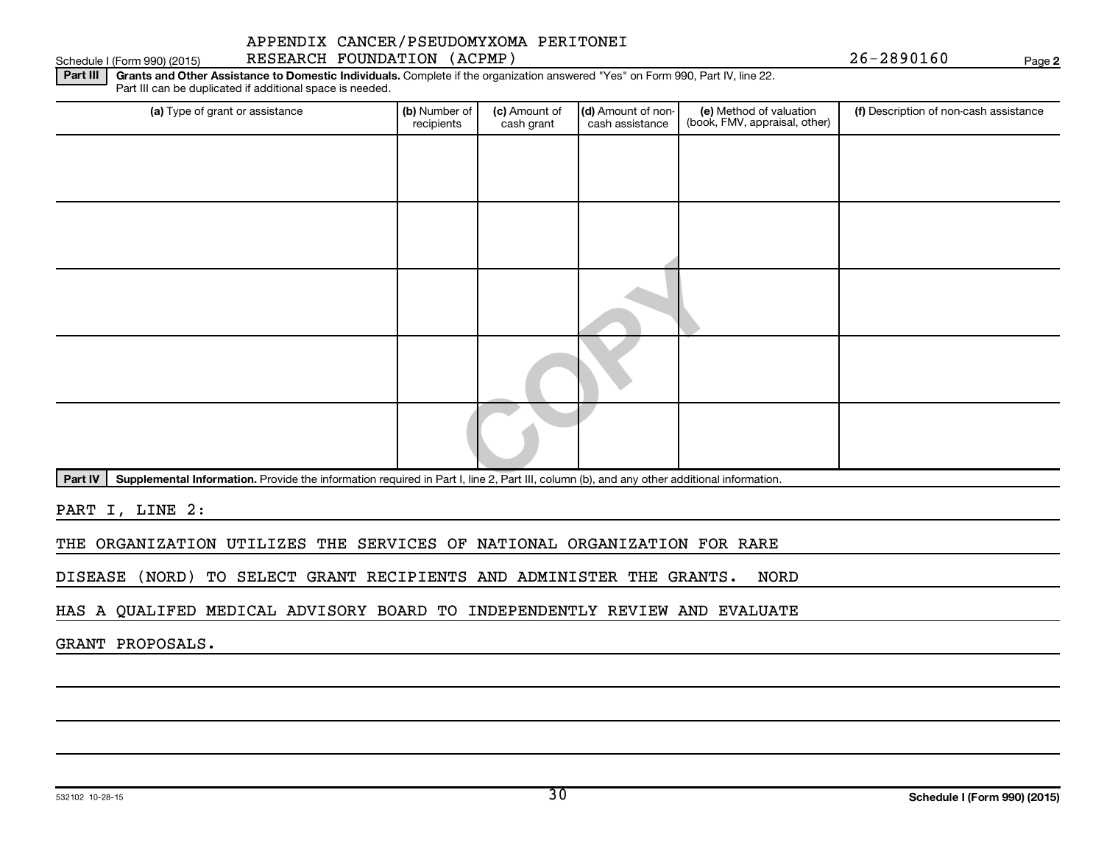#### Schedule I (Form 990) (2015) RESEARCH FOUNDATION (ACPMP) Page APPENDIX CANCER/PSEUDOMYXOMA PERITONEI

**2**

Part III | Grants and Other Assistance to Domestic Individuals. Complete if the organization answered "Yes" on Form 990, Part IV, line 22. Part III can be duplicated if additional space is needed.

| (a) Type of grant or assistance                                                                                                                      | (b) Number of<br>recipients | (c) Amount of<br>cash grant | (d) Amount of non-<br>cash assistance | (e) Method of valuation<br>(book, FMV, appraisal, other) | (f) Description of non-cash assistance |
|------------------------------------------------------------------------------------------------------------------------------------------------------|-----------------------------|-----------------------------|---------------------------------------|----------------------------------------------------------|----------------------------------------|
|                                                                                                                                                      |                             |                             |                                       |                                                          |                                        |
|                                                                                                                                                      |                             |                             |                                       |                                                          |                                        |
|                                                                                                                                                      |                             |                             |                                       |                                                          |                                        |
|                                                                                                                                                      |                             |                             |                                       |                                                          |                                        |
|                                                                                                                                                      |                             |                             |                                       |                                                          |                                        |
|                                                                                                                                                      |                             |                             |                                       |                                                          |                                        |
|                                                                                                                                                      |                             |                             |                                       |                                                          |                                        |
|                                                                                                                                                      |                             |                             |                                       |                                                          |                                        |
|                                                                                                                                                      |                             |                             |                                       |                                                          |                                        |
| Supplemental Information. Provide the information required in Part I, line 2, Part III, column (b), and any other additional information.<br>Part IV |                             |                             |                                       |                                                          |                                        |

PART I, LINE 2:

THE ORGANIZATION UTILIZES THE SERVICES OF NATIONAL ORGANIZATION FOR RARE

DISEASE (NORD) TO SELECT GRANT RECIPIENTS AND ADMINISTER THE GRANTS. NORD

HAS A QUALIFED MEDICAL ADVISORY BOARD TO INDEPENDENTLY REVIEW AND EVALUATE

GRANT PROPOSALS.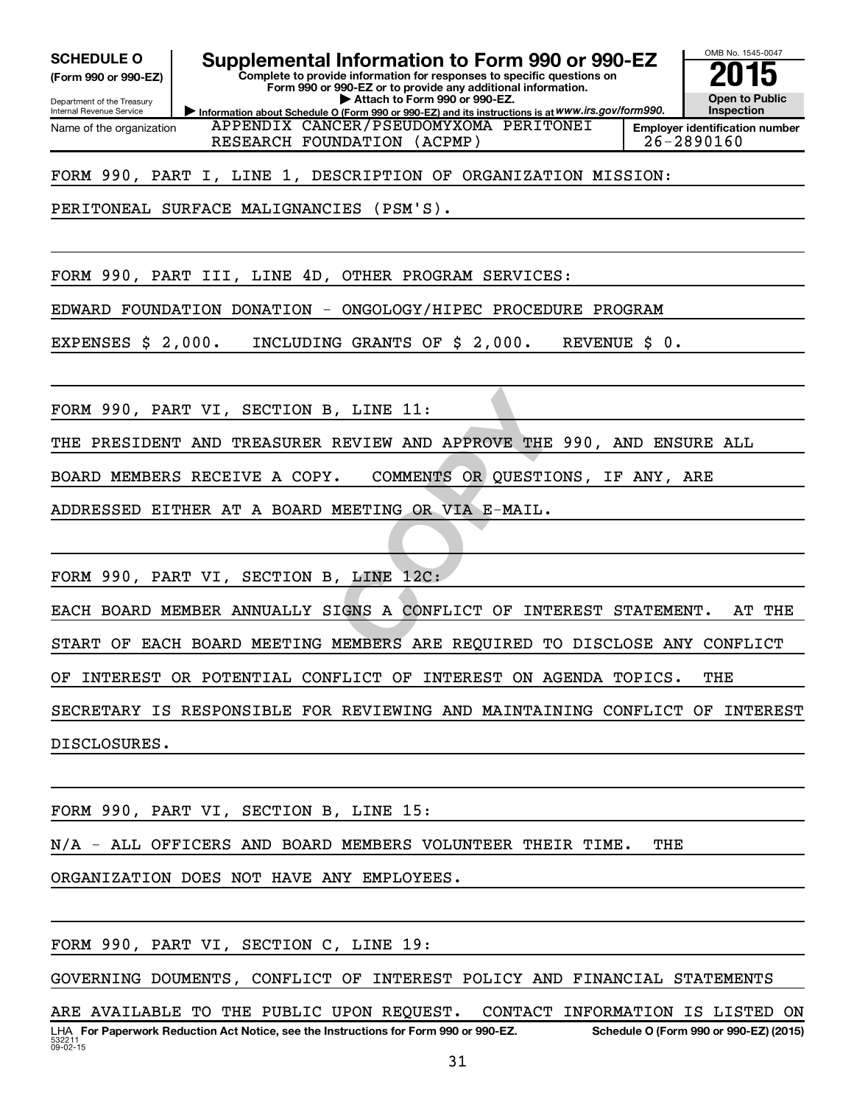**(Form 990 or 990-EZ)**

Department of the Treasury Internal Revenue Service Name of the organization

SCHEDULE O **Supplemental Information to Form 990 or 990-EZ** 2015<br>(Form 990 or 990-EZ) Complete to provide information for responses to specific questions on

**Information about Schedule O (Form 990 or 990-EZ) and its instructions is at WWW.irs.gov/form990. Complete to provide information for responses to specific questions on Form 990 or 990-EZ or to provide any additional information. | Attach to Form 990 or 990-EZ.**



APPENDIX CANCER/PSEUDOMYXOMA PERITONEI RESEARCH FOUNDATION (ACPMP) | 26-2890160

FORM 990, PART I, LINE 1, DESCRIPTION OF ORGANIZATION MISSION:

PERITONEAL SURFACE MALIGNANCIES (PSM'S).

FORM 990, PART III, LINE 4D, OTHER PROGRAM SERVICES:

EDWARD FOUNDATION DONATION - ONGOLOGY/HIPEC PROCEDURE PROGRAM

EXPENSES \$ 2,000. INCLUDING GRANTS OF \$ 2,000. REVENUE \$ 0.

FORM 990, PART VI, SECTION B, LINE 11:

THE PRESIDENT AND TREASURER REVIEW AND APPROVE THE 990, AND ENSURE ALL

BOARD MEMBERS RECEIVE A COPY. COMMENTS OR QUESTIONS, IF ANY, ARE

ADDRESSED EITHER AT A BOARD MEETING OR VIA E-MAIL.

FORM 990, PART VI, SECTION B, LINE 12C:

**EXAMPLEM AND APPROVE THE 990,<br>
COMMENTS OR QUESTIONS,<br>
<u>MEETING OR VIA E-MAIL.</u><br>
COMMENTS OR QUESTIONS,<br>
COMENTS OR VIA E-MAIL.<br>
CONFLICT OF INTEREST<br>
CONFLICT OF INTEREST<br>
MEMBERS ARE REQUIRED TO DIS** EACH BOARD MEMBER ANNUALLY SIGNS A CONFLICT OF INTEREST STATEMENT. AT THE START OF EACH BOARD MEETING MEMBERS ARE REQUIRED TO DISCLOSE ANY CONFLICT OF INTEREST OR POTENTIAL CONFLICT OF INTEREST ON AGENDA TOPICS. THE SECRETARY IS RESPONSIBLE FOR REVIEWING AND MAINTAINING CONFLICT OF INTEREST DISCLOSURES.

FORM 990, PART VI, SECTION B, LINE 15:

N/A - ALL OFFICERS AND BOARD MEMBERS VOLUNTEER THEIR TIME. THE

ORGANIZATION DOES NOT HAVE ANY EMPLOYEES.

FORM 990, PART VI, SECTION C, LINE 19:

GOVERNING DOUMENTS, CONFLICT OF INTEREST POLICY AND FINANCIAL STATEMENTS

53221  $09 - 02 - 15$ LHA For Paperwork Reduction Act Notice, see the Instructions for Form 990 or 990-EZ. Schedule O (Form 990 or 990-EZ) (2015) ARE AVAILABLE TO THE PUBLIC UPON REQUEST. CONTACT INFORMATION IS LISTED ON